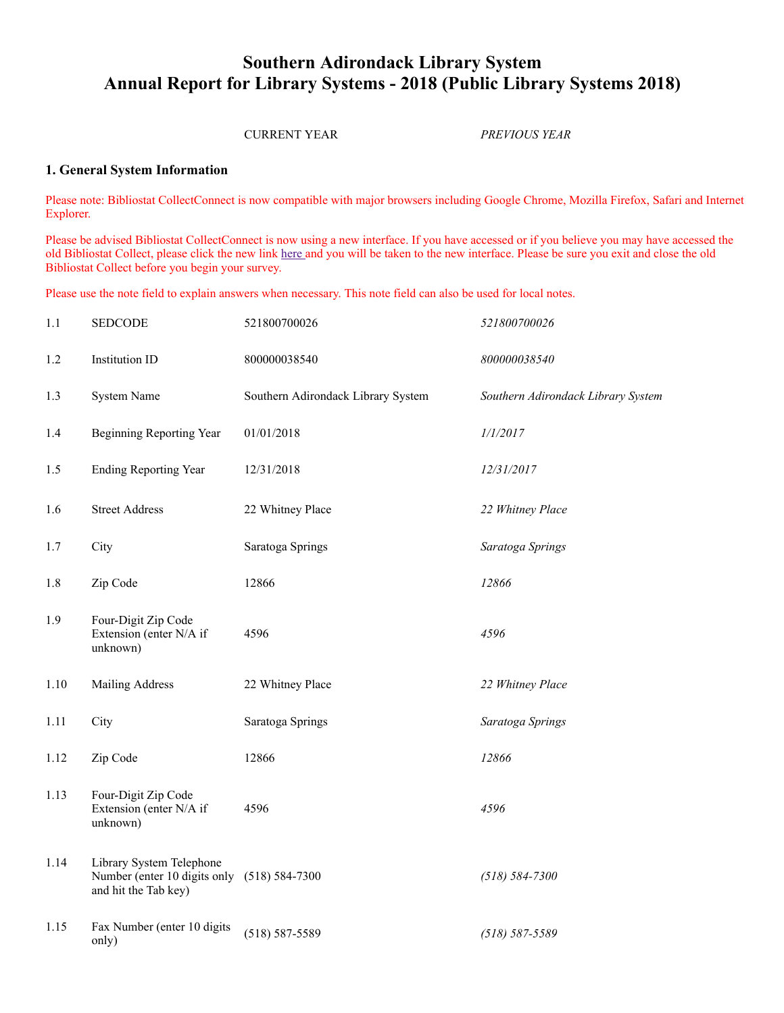## **Southern Adirondack Library System Annual Report for Library Systems - 2018 (Public Library Systems 2018)**

### CURRENT YEAR *PREVIOUS YEAR*

### **1. General System Information**

Please note: Bibliostat CollectConnect is now compatible with major browsers including Google Chrome, Mozilla Firefox, Safari and Internet Explorer.

Please be advised Bibliostat CollectConnect is now using a new interface. If you have accessed or if you believe you may have accessed the old Bibliostat Collect, please click the new link [here a](http://collectconnect.baker-taylor.com:8080/login.aspx)nd you will be taken to the new interface. Please be sure you exit and close the old Bibliostat Collect before you begin your survey.

Please use the note field to explain answers when necessary. This note field can also be used for local notes.

| 1.1  | <b>SEDCODE</b>                                                                                  | 521800700026                       | 521800700026                       |
|------|-------------------------------------------------------------------------------------------------|------------------------------------|------------------------------------|
| 1.2  | Institution ID                                                                                  | 800000038540                       | 800000038540                       |
| 1.3  | System Name                                                                                     | Southern Adirondack Library System | Southern Adirondack Library System |
| 1.4  | Beginning Reporting Year                                                                        | 01/01/2018                         | 1/1/2017                           |
| 1.5  | <b>Ending Reporting Year</b>                                                                    | 12/31/2018                         | 12/31/2017                         |
| 1.6  | <b>Street Address</b>                                                                           | 22 Whitney Place                   | 22 Whitney Place                   |
| 1.7  | City                                                                                            | Saratoga Springs                   | Saratoga Springs                   |
| 1.8  | Zip Code                                                                                        | 12866                              | 12866                              |
| 1.9  | Four-Digit Zip Code<br>Extension (enter N/A if<br>unknown)                                      | 4596                               | 4596                               |
| 1.10 | Mailing Address                                                                                 | 22 Whitney Place                   | 22 Whitney Place                   |
| 1.11 | City                                                                                            | Saratoga Springs                   | Saratoga Springs                   |
| 1.12 | Zip Code                                                                                        | 12866                              | 12866                              |
| 1.13 | Four-Digit Zip Code<br>Extension (enter N/A if<br>unknown)                                      | 4596                               | 4596                               |
| 1.14 | Library System Telephone<br>Number (enter 10 digits only (518) 584-7300<br>and hit the Tab key) |                                    | $(518) 584 - 7300$                 |
| 1.15 | Fax Number (enter 10 digits<br>only)                                                            | $(518) 587 - 5589$                 | $(518) 587 - 5589$                 |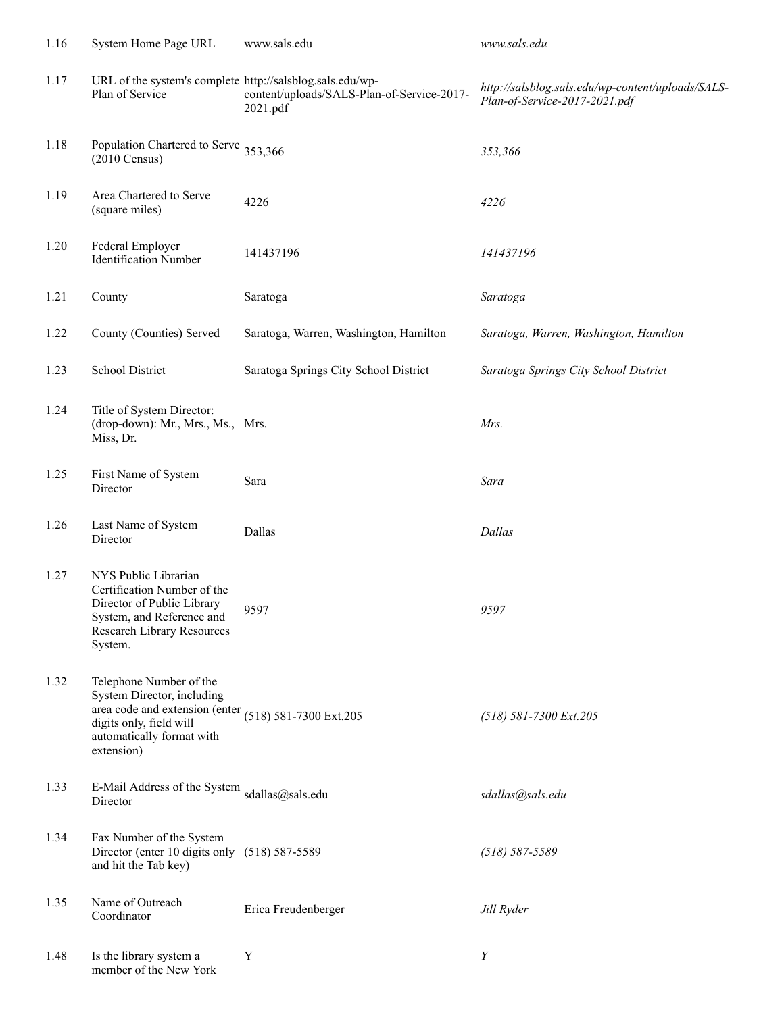| 1.16 | System Home Page URL                                                                                                                                                                 | www.sals.edu                                           | www.sals.edu                                                                       |
|------|--------------------------------------------------------------------------------------------------------------------------------------------------------------------------------------|--------------------------------------------------------|------------------------------------------------------------------------------------|
| 1.17 | URL of the system's complete http://salsblog.sals.edu/wp-<br>Plan of Service                                                                                                         | content/uploads/SALS-Plan-of-Service-2017-<br>2021.pdf | http://salsblog.sals.edu/wp-content/uploads/SALS-<br>Plan-of-Service-2017-2021.pdf |
| 1.18 | Population Chartered to Serve 353,366<br>$(2010 \text{ Census})$                                                                                                                     |                                                        | 353,366                                                                            |
| 1.19 | Area Chartered to Serve<br>(square miles)                                                                                                                                            | 4226                                                   | 4226                                                                               |
| 1.20 | Federal Employer<br><b>Identification Number</b>                                                                                                                                     | 141437196                                              | 141437196                                                                          |
| 1.21 | County                                                                                                                                                                               | Saratoga                                               | Saratoga                                                                           |
| 1.22 | County (Counties) Served                                                                                                                                                             | Saratoga, Warren, Washington, Hamilton                 | Saratoga, Warren, Washington, Hamilton                                             |
| 1.23 | School District                                                                                                                                                                      | Saratoga Springs City School District                  | Saratoga Springs City School District                                              |
| 1.24 | Title of System Director:<br>(drop-down): Mr., Mrs., Ms., Mrs.<br>Miss, Dr.                                                                                                          |                                                        | Mrs.                                                                               |
| 1.25 | First Name of System<br>Director                                                                                                                                                     | Sara                                                   | Sara                                                                               |
| 1.26 | Last Name of System<br>Director                                                                                                                                                      | Dallas                                                 | Dallas                                                                             |
| 1.27 | NYS Public Librarian<br>Certification Number of the<br>Director of Public Library<br>System, and Reference and<br><b>Research Library Resources</b><br>System.                       | 9597                                                   | 9597                                                                               |
| 1.32 | Telephone Number of the<br>System Director, including<br>area code and extension (enter (518) 581-7300 Ext.205<br>digits only, field will<br>automatically format with<br>extension) |                                                        | (518) 581-7300 Ext.205                                                             |
| 1.33 | E-Mail Address of the System sdallas@sals.edu<br>Director                                                                                                                            |                                                        | sdallas@sals.edu                                                                   |
| 1.34 | Fax Number of the System<br>Director (enter 10 digits only (518) 587-5589<br>and hit the Tab key)                                                                                    |                                                        | $(518) 587 - 5589$                                                                 |
| 1.35 | Name of Outreach<br>Coordinator                                                                                                                                                      | Erica Freudenberger                                    | Jill Ryder                                                                         |
| 1.48 | Is the library system a<br>member of the New York                                                                                                                                    | Y                                                      | Y                                                                                  |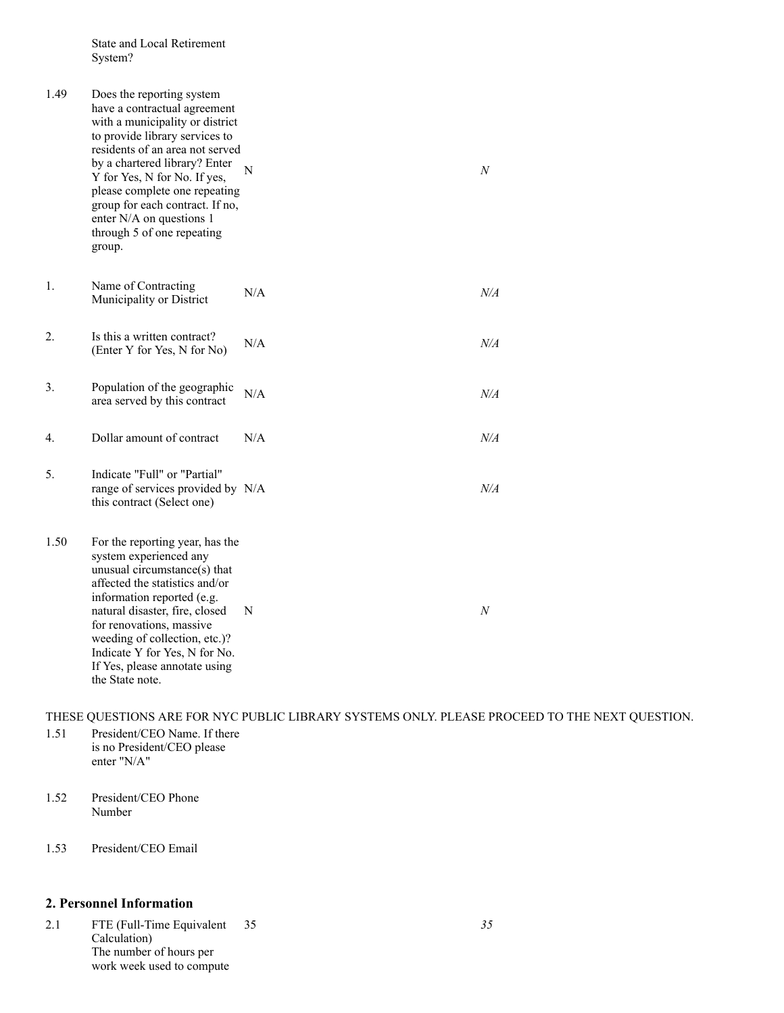State and Local Retirement System?

| 1.49 | Does the reporting system<br>have a contractual agreement<br>with a municipality or district<br>to provide library services to<br>residents of an area not served<br>by a chartered library? Enter<br>Y for Yes, N for No. If yes,<br>please complete one repeating<br>group for each contract. If no,<br>enter N/A on questions 1<br>through 5 of one repeating<br>group. | N   | N         |
|------|----------------------------------------------------------------------------------------------------------------------------------------------------------------------------------------------------------------------------------------------------------------------------------------------------------------------------------------------------------------------------|-----|-----------|
| 1.   | Name of Contracting<br>Municipality or District                                                                                                                                                                                                                                                                                                                            | N/A | $N\!/\!A$ |
| 2.   | Is this a written contract?<br>(Enter Y for Yes, N for No)                                                                                                                                                                                                                                                                                                                 | N/A | $N\!/\!A$ |
| 3.   | Population of the geographic<br>area served by this contract                                                                                                                                                                                                                                                                                                               | N/A | N/A       |
| 4.   | Dollar amount of contract                                                                                                                                                                                                                                                                                                                                                  | N/A | $N\!/\!A$ |
| 5.   | Indicate "Full" or "Partial"<br>range of services provided by N/A<br>this contract (Select one)                                                                                                                                                                                                                                                                            |     | N/A       |
| 1.50 | For the reporting year, has the<br>system experienced any<br>unusual circumstance(s) that<br>affected the statistics and/or<br>information reported (e.g.<br>natural disaster, fire, closed<br>for renovations, massive<br>weeding of collection, etc.)?<br>Indicate Y for Yes, N for No.<br>If Yes, please annotate using<br>the State note.                              | N   | N         |

THESE QUESTIONS ARE FOR NYC PUBLIC LIBRARY SYSTEMS ONLY. PLEASE PROCEED TO THE NEXT QUESTION.

- 1.51 President/CEO Name. If there is no President/CEO please enter "N/A"
- 1.52 President/CEO Phone Number
- 1.53 President/CEO Email

### **2. Personnel Information**

2.1 FTE (Full-Time Equivalent Calculation) The number of hours per work week used to compute 35 *35*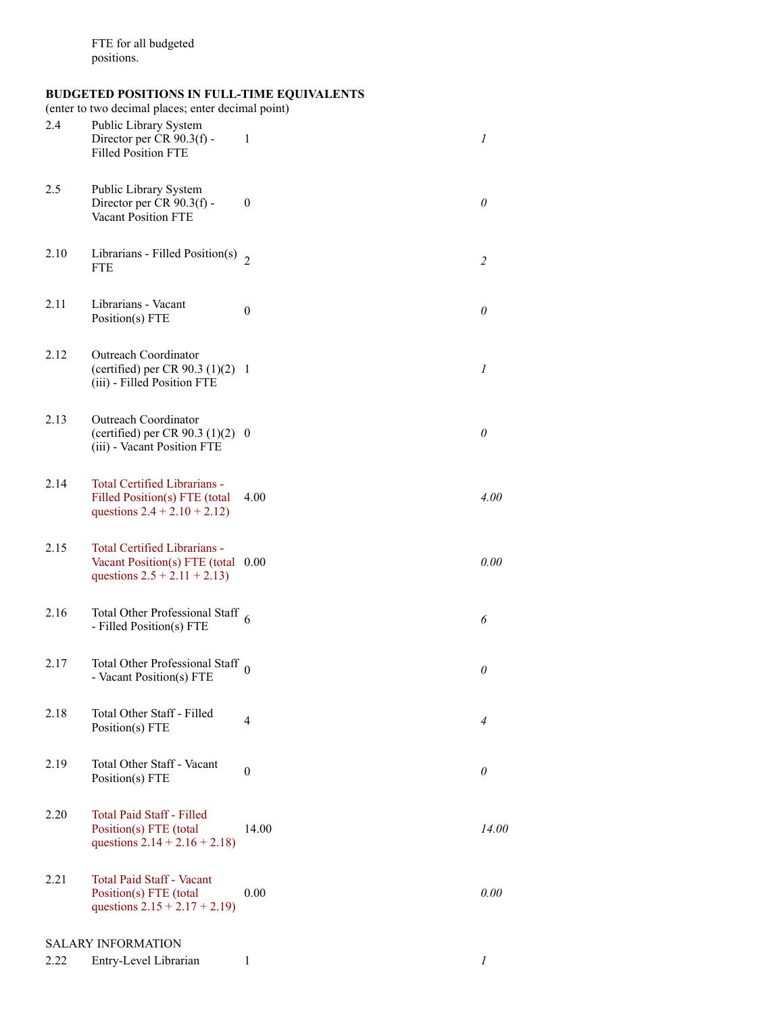#### **BUDGETED POSITIONS IN FULL-TIME EQUIVALENTS**

(enter to two decimal places; enter decimal point)

| 2.4  | Public Library System<br>Director per CR 90.3(f) -<br><b>Filled Position FTE</b>                    | 1                | 1              |
|------|-----------------------------------------------------------------------------------------------------|------------------|----------------|
| 2.5  | Public Library System<br>Director per CR 90.3(f) -<br><b>Vacant Position FTE</b>                    | $\boldsymbol{0}$ | $\theta$       |
| 2.10 | Librarians - Filled Position(s) $\frac{1}{2}$<br><b>FTE</b>                                         |                  | $\overline{c}$ |
| 2.11 | Librarians - Vacant<br>Position(s) FTE                                                              | $\theta$         | $\theta$       |
| 2.12 | Outreach Coordinator<br>(certified) per CR 90.3 $(1)(2)$ 1<br>(iii) - Filled Position FTE           |                  | 1              |
| 2.13 | Outreach Coordinator<br>(certified) per CR 90.3 $(1)(2)$ 0<br>(iii) - Vacant Position FTE           |                  | $\theta$       |
| 2.14 | Total Certified Librarians -<br>Filled Position(s) FTE (total<br>questions $2.4 + 2.10 + 2.12$      | 4.00             | 4.00           |
| 2.15 | Total Certified Librarians -<br>Vacant Position(s) FTE (total 0.00<br>questions $2.5 + 2.11 + 2.13$ |                  | 0.00           |
| 2.16 | Total Other Professional Staff $6$<br>- Filled Position(s) FTE                                      |                  | 6              |
| 2.17 | Total Other Professional Staff $_0$<br>- Vacant Position(s) FTE                                     |                  | $\theta$       |
| 2.18 | Total Other Staff - Filled<br>Position(s) FTE                                                       | 4                | $\overline{4}$ |
| 2.19 | Total Other Staff - Vacant<br>Position(s) FTE                                                       | $\mathbf{0}$     | $\theta$       |
| 2.20 | <b>Total Paid Staff - Filled</b><br>Position(s) FTE (total<br>questions $2.14 + 2.16 + 2.18$        | 14.00            | 14.00          |
| 2.21 | <b>Total Paid Staff - Vacant</b><br>Position(s) FTE (total<br>questions $2.15 + 2.17 + 2.19$        | 0.00             | 0.00           |
|      | <b>SALARY INFORMATION</b>                                                                           |                  |                |
| 2.22 | Entry-Level Librarian                                                                               | 1                | 1              |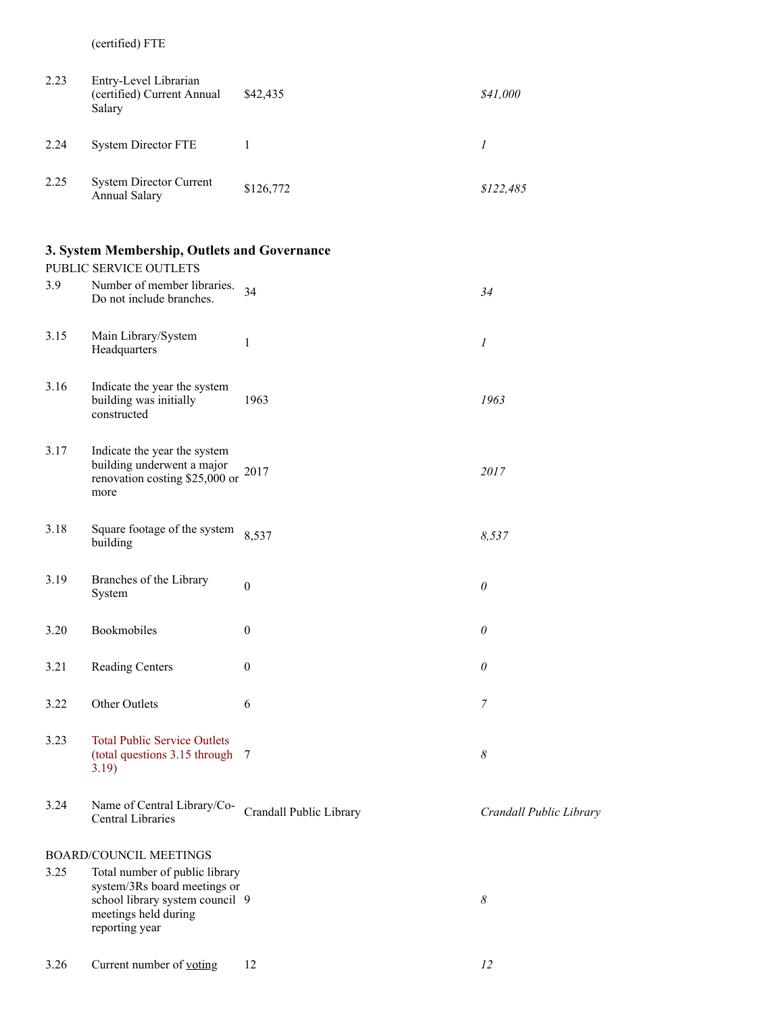(certified) FTE

| 2.23 | Entry-Level Librarian<br>(certified) Current Annual<br>Salary | \$42,435  | \$41,000  |
|------|---------------------------------------------------------------|-----------|-----------|
| 2.24 | <b>System Director FTE</b>                                    |           |           |
| 2.25 | <b>System Director Current</b><br><b>Annual Salary</b>        | \$126,772 | \$122,485 |

### **3. System Membership, Outlets and Governance**

|      | PUBLIC SERVICE OUTLETS                                                                               |                |                |
|------|------------------------------------------------------------------------------------------------------|----------------|----------------|
| 3.9  | Number of member libraries.<br>Do not include branches.                                              | 34             | 34             |
| 3.15 | Main Library/System<br>Headquarters                                                                  | 1              | $\mathcal{I}$  |
| 3.16 | Indicate the year the system<br>building was initially<br>constructed                                | 1963           | 1963           |
| 3.17 | Indicate the year the system<br>building underwent a major<br>renovation costing \$25,000 or<br>more | 2017           | 2017           |
| 3.18 | Square footage of the system<br>building                                                             | 8,537          | 8,537          |
| 3.19 | Branches of the Library<br>System                                                                    | $\theta$       | $\theta$       |
| 3.20 | Bookmobiles                                                                                          | $\theta$       | $\theta$       |
| 3.21 | <b>Reading Centers</b>                                                                               | $\overline{0}$ | $\theta$       |
| 3.22 | Other Outlets                                                                                        | 6              | $\overline{7}$ |
| 3.23 | <b>Total Public Service Outlets</b><br>(total questions 3.15 through<br>3.19)                        | 7              | 8              |

3.24 Name of Central Library/Co-Central Libraries Crandall Public Library *Crandall Public Library*

### BOARD/COUNCIL MEETINGS

3.25 Total number of public library system/3Rs board meetings or school library system council 9 meetings held during reporting year 9 *8*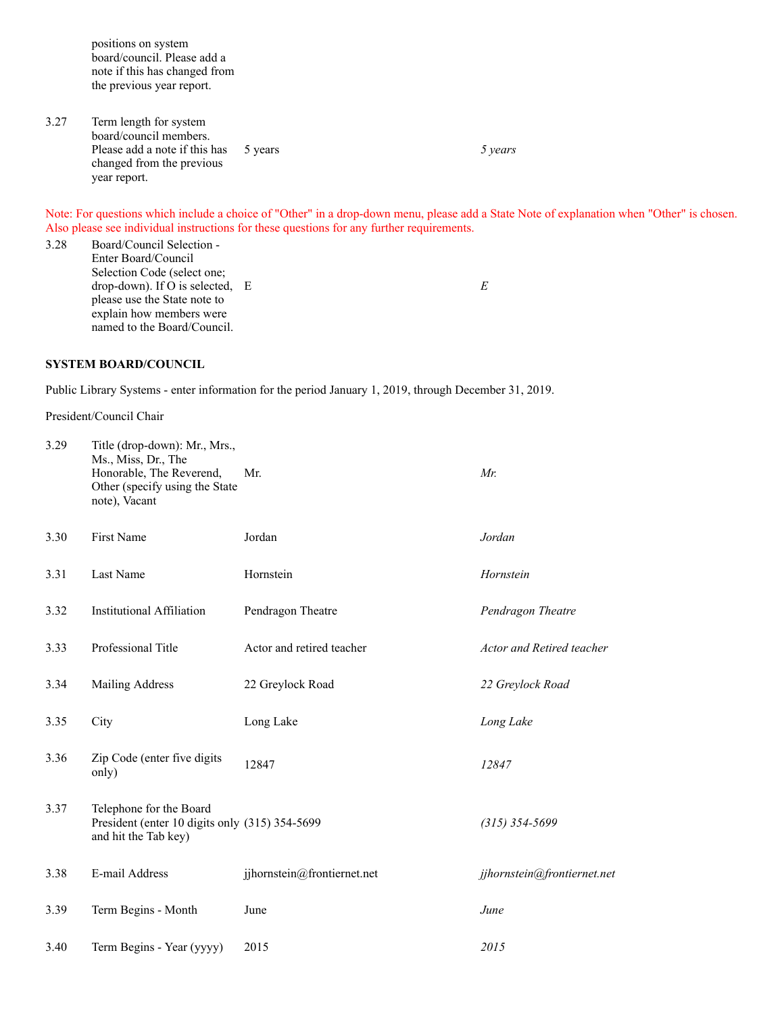positions on system board/council. Please add a note if this has changed from the previous year report.

3.27 Term length for system board/council members. Please add a note if this has changed from the previous year report. 5 years *5 years*

Note: For questions which include a choice of "Other" in a drop-down menu, please add a State Note of explanation when "Other" is chosen. Also please see individual instructions for these questions for any further requirements.

3.28 Board/Council Selection - Enter Board/Council Selection Code (select one; drop-down). If O is selected, E please use the State note to explain how members were named to the Board/Council. E  $E$ 

#### **SYSTEM BOARD/COUNCIL**

Public Library Systems - enter information for the period January 1, 2019, through December 31, 2019.

President/Council Chair

| 3.29 | Title (drop-down): Mr., Mrs.,<br>Ms., Miss, Dr., The<br>Honorable, The Reverend,<br>Other (specify using the State<br>note), Vacant | Mr.                         | Mr.                         |
|------|-------------------------------------------------------------------------------------------------------------------------------------|-----------------------------|-----------------------------|
| 3.30 | First Name                                                                                                                          | Jordan                      | Jordan                      |
| 3.31 | Last Name                                                                                                                           | Hornstein                   | Hornstein                   |
| 3.32 | <b>Institutional Affiliation</b>                                                                                                    | Pendragon Theatre           | Pendragon Theatre           |
| 3.33 | Professional Title                                                                                                                  | Actor and retired teacher   | Actor and Retired teacher   |
| 3.34 | Mailing Address                                                                                                                     | 22 Greylock Road            | 22 Greylock Road            |
| 3.35 | City                                                                                                                                | Long Lake                   | Long Lake                   |
| 3.36 | Zip Code (enter five digits<br>only)                                                                                                | 12847                       | 12847                       |
| 3.37 | Telephone for the Board<br>President (enter 10 digits only (315) 354-5699<br>and hit the Tab key)                                   |                             | $(315)$ 354-5699            |
| 3.38 | E-mail Address                                                                                                                      | jjhornstein@frontiernet.net | jjhornstein@frontiernet.net |
| 3.39 | Term Begins - Month                                                                                                                 | June                        | June                        |
| 3.40 | Term Begins - Year (yyyy)                                                                                                           | 2015                        | 2015                        |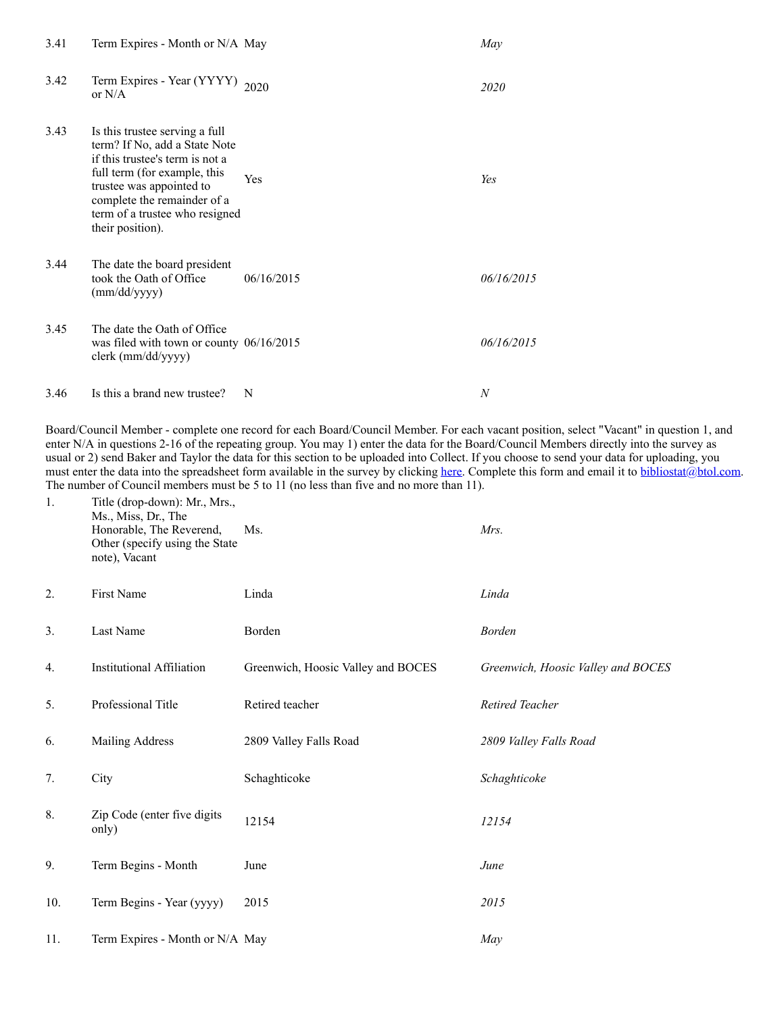| 3.41 | Term Expires - Month or N/A May                                                                                                                                                                                                                     |            | May              |
|------|-----------------------------------------------------------------------------------------------------------------------------------------------------------------------------------------------------------------------------------------------------|------------|------------------|
| 3.42 | Term Expires - Year (YYYY) 2020<br>or $N/A$                                                                                                                                                                                                         |            | 2020             |
| 3.43 | Is this trustee serving a full<br>term? If No, add a State Note<br>if this trustee's term is not a<br>full term (for example, this<br>trustee was appointed to<br>complete the remainder of a<br>term of a trustee who resigned<br>their position). | Yes        | Yes              |
| 3.44 | The date the board president<br>took the Oath of Office<br>(mm/dd/yyyy)                                                                                                                                                                             | 06/16/2015 | 06/16/2015       |
| 3.45 | The date the Oath of Office<br>was filed with town or county $06/16/2015$<br>clerk (mm/dd/yyyy)                                                                                                                                                     |            | 06/16/2015       |
| 3.46 | Is this a brand new trustee?                                                                                                                                                                                                                        | N          | $\boldsymbol{N}$ |

Board/Council Member - complete one record for each Board/Council Member. For each vacant position, select "Vacant" in question 1, and enter N/A in questions 2-16 of the repeating group. You may 1) enter the data for the Board/Council Members directly into the survey as usual or 2) send Baker and Taylor the data for this section to be uploaded into Collect. If you choose to send your data for uploading, you must enter the data into the spreadsheet form available in the survey by clicking [here.](http://collectconnect.baker-taylor.com:8080/Board/2018/**OrgID**.xlsx) Complete this form and email it to [bibliostat@btol.com.](mailto:bibliostat@btol.com) The number of Council members must be 5 to 11 (no less than five and no more than 11).

| 1.  | Title (drop-down): Mr., Mrs.,<br>Ms., Miss, Dr., The<br>Honorable, The Reverend,<br>Other (specify using the State<br>note), Vacant | Ms.                                | Mrs.                               |
|-----|-------------------------------------------------------------------------------------------------------------------------------------|------------------------------------|------------------------------------|
| 2.  | First Name                                                                                                                          | Linda                              | Linda                              |
| 3.  | Last Name                                                                                                                           | Borden                             | <b>Borden</b>                      |
| 4.  | <b>Institutional Affiliation</b>                                                                                                    | Greenwich, Hoosic Valley and BOCES | Greenwich, Hoosic Valley and BOCES |
| 5.  | Professional Title                                                                                                                  | Retired teacher                    | Retired Teacher                    |
| 6.  | Mailing Address                                                                                                                     | 2809 Valley Falls Road             | 2809 Valley Falls Road             |
| 7.  | City                                                                                                                                | Schaghticoke                       | Schaghticoke                       |
| 8.  | Zip Code (enter five digits<br>only)                                                                                                | 12154                              | 12154                              |
| 9.  | Term Begins - Month                                                                                                                 | June                               | June                               |
| 10. | Term Begins - Year (yyyy)                                                                                                           | 2015                               | 2015                               |
| 11. | Term Expires - Month or N/A May                                                                                                     |                                    | May                                |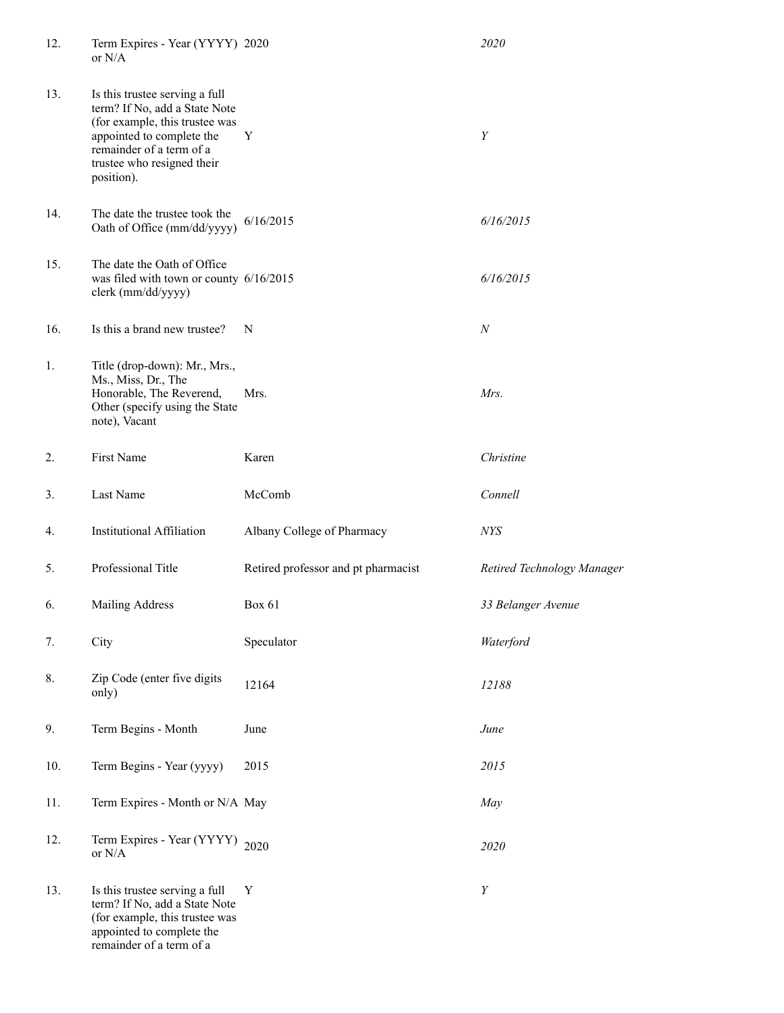| 12. | Term Expires - Year (YYYY) 2020<br>or $N/A$                                                                                                                                                            |                                     | 2020                       |
|-----|--------------------------------------------------------------------------------------------------------------------------------------------------------------------------------------------------------|-------------------------------------|----------------------------|
| 13. | Is this trustee serving a full<br>term? If No, add a State Note<br>(for example, this trustee was<br>appointed to complete the<br>remainder of a term of a<br>trustee who resigned their<br>position). | Y                                   | $\boldsymbol{Y}$           |
| 14. | The date the trustee took the<br>Oath of Office (mm/dd/yyyy)                                                                                                                                           | 6/16/2015                           | 6/16/2015                  |
| 15. | The date the Oath of Office<br>was filed with town or county 6/16/2015<br>clerk (mm/dd/yyyy)                                                                                                           |                                     | 6/16/2015                  |
| 16. | Is this a brand new trustee?                                                                                                                                                                           | N                                   | $\cal N$                   |
| 1.  | Title (drop-down): Mr., Mrs.,<br>Ms., Miss, Dr., The<br>Honorable, The Reverend,<br>Other (specify using the State<br>note), Vacant                                                                    | Mrs.                                | Mrs.                       |
| 2.  | First Name                                                                                                                                                                                             | Karen                               | Christine                  |
| 3.  | Last Name                                                                                                                                                                                              | McComb                              | Connell                    |
| 4.  | <b>Institutional Affiliation</b>                                                                                                                                                                       | Albany College of Pharmacy          | NYS                        |
| 5.  | Professional Title                                                                                                                                                                                     | Retired professor and pt pharmacist | Retired Technology Manager |
| 6.  | Mailing Address                                                                                                                                                                                        | <b>Box 61</b>                       | 33 Belanger Avenue         |
| 7.  | City                                                                                                                                                                                                   | Speculator                          | Waterford                  |
| 8.  | Zip Code (enter five digits<br>only)                                                                                                                                                                   | 12164                               | 12188                      |
| 9.  | Term Begins - Month                                                                                                                                                                                    | June                                | June                       |
| 10. | Term Begins - Year (yyyy)                                                                                                                                                                              | 2015                                | 2015                       |
| 11. | Term Expires - Month or N/A May                                                                                                                                                                        |                                     | May                        |
| 12. | Term Expires - Year (YYYY)<br>or $N/A$                                                                                                                                                                 | 2020                                | 2020                       |
| 13. | Is this trustee serving a full<br>term? If No, add a State Note<br>(for example, this trustee was<br>appointed to complete the<br>remainder of a term of a                                             | Y                                   | Y                          |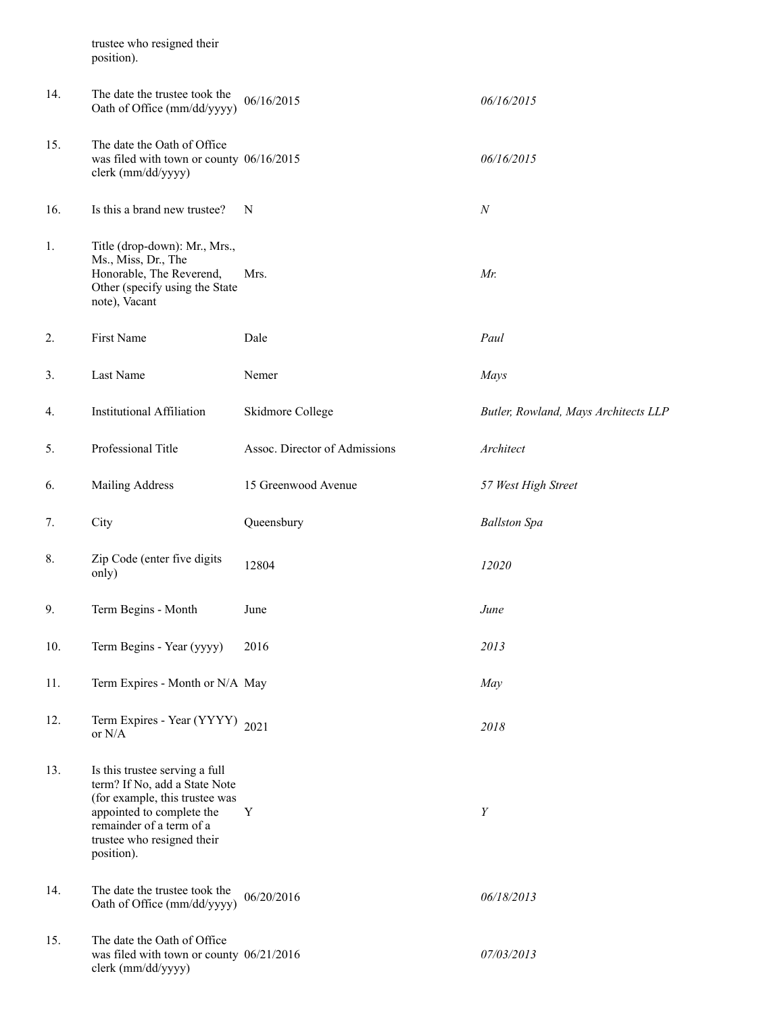|     | trustee who resigned their<br>position).                                                                                                                                                               |                               |                                      |
|-----|--------------------------------------------------------------------------------------------------------------------------------------------------------------------------------------------------------|-------------------------------|--------------------------------------|
| 14. | The date the trustee took the<br>Oath of Office (mm/dd/yyyy)                                                                                                                                           | 06/16/2015                    | 06/16/2015                           |
| 15. | The date the Oath of Office<br>was filed with town or county 06/16/2015<br>clerk (mm/dd/yyyy)                                                                                                          |                               | 06/16/2015                           |
| 16. | Is this a brand new trustee?                                                                                                                                                                           | N                             | $\boldsymbol{N}$                     |
| 1.  | Title (drop-down): Mr., Mrs.,<br>Ms., Miss, Dr., The<br>Honorable, The Reverend,<br>Other (specify using the State<br>note), Vacant                                                                    | Mrs.                          | Mr.                                  |
| 2.  | First Name                                                                                                                                                                                             | Dale                          | Paul                                 |
| 3.  | Last Name                                                                                                                                                                                              | Nemer                         | Mays                                 |
| 4.  | <b>Institutional Affiliation</b>                                                                                                                                                                       | Skidmore College              | Butler, Rowland, Mays Architects LLP |
| 5.  | Professional Title                                                                                                                                                                                     | Assoc. Director of Admissions | Architect                            |
| 6.  | Mailing Address                                                                                                                                                                                        | 15 Greenwood Avenue           | 57 West High Street                  |
| 7.  | City                                                                                                                                                                                                   | Queensbury                    | <b>Ballston Spa</b>                  |
| 8.  | Zip Code (enter five digits<br>only)                                                                                                                                                                   | 12804                         | 12020                                |
| 9.  | Term Begins - Month                                                                                                                                                                                    | June                          | June                                 |
| 10. | Term Begins - Year (yyyy)                                                                                                                                                                              | 2016                          | 2013                                 |
| 11. | Term Expires - Month or N/A May                                                                                                                                                                        |                               | May                                  |
| 12. | Term Expires - Year (YYYY)<br>or $N/A$                                                                                                                                                                 | 2021                          | 2018                                 |
| 13. | Is this trustee serving a full<br>term? If No, add a State Note<br>(for example, this trustee was<br>appointed to complete the<br>remainder of a term of a<br>trustee who resigned their<br>position). | Y                             | Y                                    |
| 14. | The date the trustee took the<br>Oath of Office (mm/dd/yyyy)                                                                                                                                           | 06/20/2016                    | 06/18/2013                           |
| 15. | The date the Oath of Office<br>was filed with town or county 06/21/2016<br>clerk (mm/dd/yyyy)                                                                                                          |                               | 07/03/2013                           |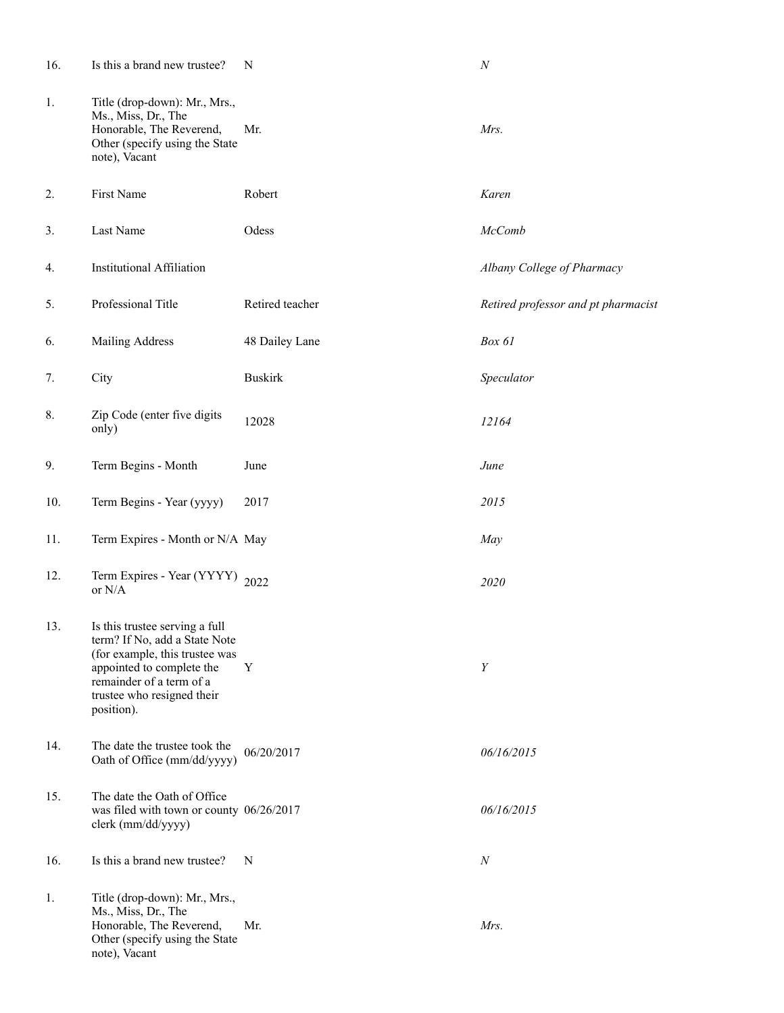| 16. | Is this a brand new trustee?                                                                                                                                                                           | N               | $\cal N$                            |
|-----|--------------------------------------------------------------------------------------------------------------------------------------------------------------------------------------------------------|-----------------|-------------------------------------|
| 1.  | Title (drop-down): Mr., Mrs.,<br>Ms., Miss, Dr., The<br>Honorable, The Reverend,<br>Other (specify using the State<br>note), Vacant                                                                    | Mr.             | Mrs.                                |
| 2.  | First Name                                                                                                                                                                                             | Robert          | Karen                               |
| 3.  | Last Name                                                                                                                                                                                              | Odess           | <b>McComb</b>                       |
| 4.  | <b>Institutional Affiliation</b>                                                                                                                                                                       |                 | Albany College of Pharmacy          |
| 5.  | Professional Title                                                                                                                                                                                     | Retired teacher | Retired professor and pt pharmacist |
| 6.  | Mailing Address                                                                                                                                                                                        | 48 Dailey Lane  | Box 61                              |
| 7.  | City                                                                                                                                                                                                   | <b>Buskirk</b>  | Speculator                          |
| 8.  | Zip Code (enter five digits<br>only)                                                                                                                                                                   | 12028           | 12164                               |
| 9.  | Term Begins - Month                                                                                                                                                                                    | June            | June                                |
| 10. | Term Begins - Year (yyyy)                                                                                                                                                                              | 2017            | 2015                                |
| 11. | Term Expires - Month or N/A May                                                                                                                                                                        |                 | May                                 |
| 12. | Term Expires - Year (YYYY) 2022<br>or N/A                                                                                                                                                              |                 | 2020                                |
| 13. | Is this trustee serving a full<br>term? If No, add a State Note<br>(for example, this trustee was<br>appointed to complete the<br>remainder of a term of a<br>trustee who resigned their<br>position). | $\mathbf Y$     | Y                                   |
| 14. | The date the trustee took the<br>Oath of Office (mm/dd/yyyy)                                                                                                                                           | 06/20/2017      | 06/16/2015                          |
| 15. | The date the Oath of Office<br>was filed with town or county 06/26/2017<br>clerk (mm/dd/yyyy)                                                                                                          |                 | 06/16/2015                          |
| 16. | Is this a brand new trustee?                                                                                                                                                                           | N               | $\boldsymbol{N}$                    |
| 1.  | Title (drop-down): Mr., Mrs.,<br>Ms., Miss, Dr., The<br>Honorable, The Reverend,<br>Other (specify using the State<br>note), Vacant                                                                    | Mr.             | Mrs.                                |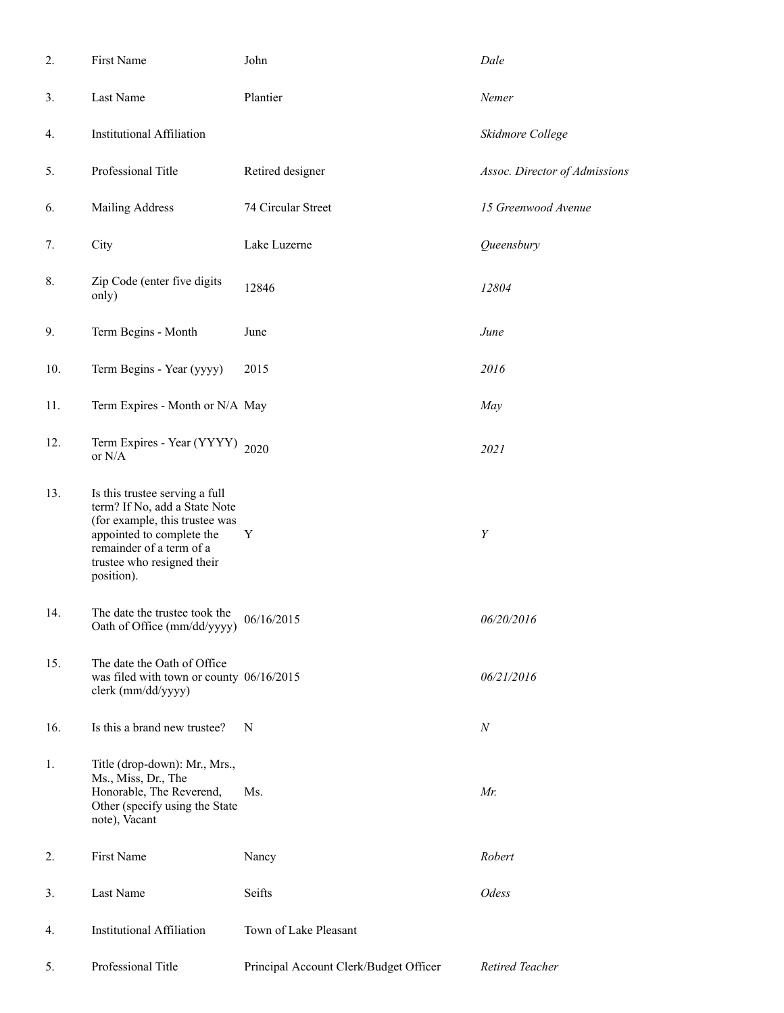| 2.  | First Name                                                                                                                                                                                             | John                                   | Dale                          |
|-----|--------------------------------------------------------------------------------------------------------------------------------------------------------------------------------------------------------|----------------------------------------|-------------------------------|
| 3.  | Last Name                                                                                                                                                                                              | Plantier                               | Nemer                         |
| 4.  | <b>Institutional Affiliation</b>                                                                                                                                                                       |                                        | Skidmore College              |
| 5.  | Professional Title                                                                                                                                                                                     | Retired designer                       | Assoc. Director of Admissions |
| 6.  | <b>Mailing Address</b>                                                                                                                                                                                 | 74 Circular Street                     | 15 Greenwood Avenue           |
| 7.  | City                                                                                                                                                                                                   | Lake Luzerne                           | Queensbury                    |
| 8.  | Zip Code (enter five digits<br>only)                                                                                                                                                                   | 12846                                  | 12804                         |
| 9.  | Term Begins - Month                                                                                                                                                                                    | June                                   | June                          |
| 10. | Term Begins - Year (yyyy)                                                                                                                                                                              | 2015                                   | 2016                          |
| 11. | Term Expires - Month or N/A May                                                                                                                                                                        |                                        | May                           |
| 12. | Term Expires - Year (YYYY) 2020<br>or N/A                                                                                                                                                              |                                        | 2021                          |
| 13. | Is this trustee serving a full<br>term? If No, add a State Note<br>(for example, this trustee was<br>appointed to complete the<br>remainder of a term of a<br>trustee who resigned their<br>position). | Y                                      | Y                             |
| 14. | The date the trustee took the<br>Oath of Office (mm/dd/yyyy)                                                                                                                                           | 06/16/2015                             | 06/20/2016                    |
| 15. | The date the Oath of Office<br>was filed with town or county 06/16/2015<br>clerk (mm/dd/yyyy)                                                                                                          |                                        | 06/21/2016                    |
| 16. | Is this a brand new trustee?                                                                                                                                                                           | N                                      | $\boldsymbol{N}$              |
| 1.  | Title (drop-down): Mr., Mrs.,<br>Ms., Miss, Dr., The<br>Honorable, The Reverend,<br>Other (specify using the State<br>note), Vacant                                                                    | Ms.                                    | Mr.                           |
| 2.  | First Name                                                                                                                                                                                             | Nancy                                  | Robert                        |
| 3.  | Last Name                                                                                                                                                                                              | Seifts                                 | Odess                         |
| 4.  | <b>Institutional Affiliation</b>                                                                                                                                                                       | Town of Lake Pleasant                  |                               |
| 5.  | Professional Title                                                                                                                                                                                     | Principal Account Clerk/Budget Officer | Retired Teacher               |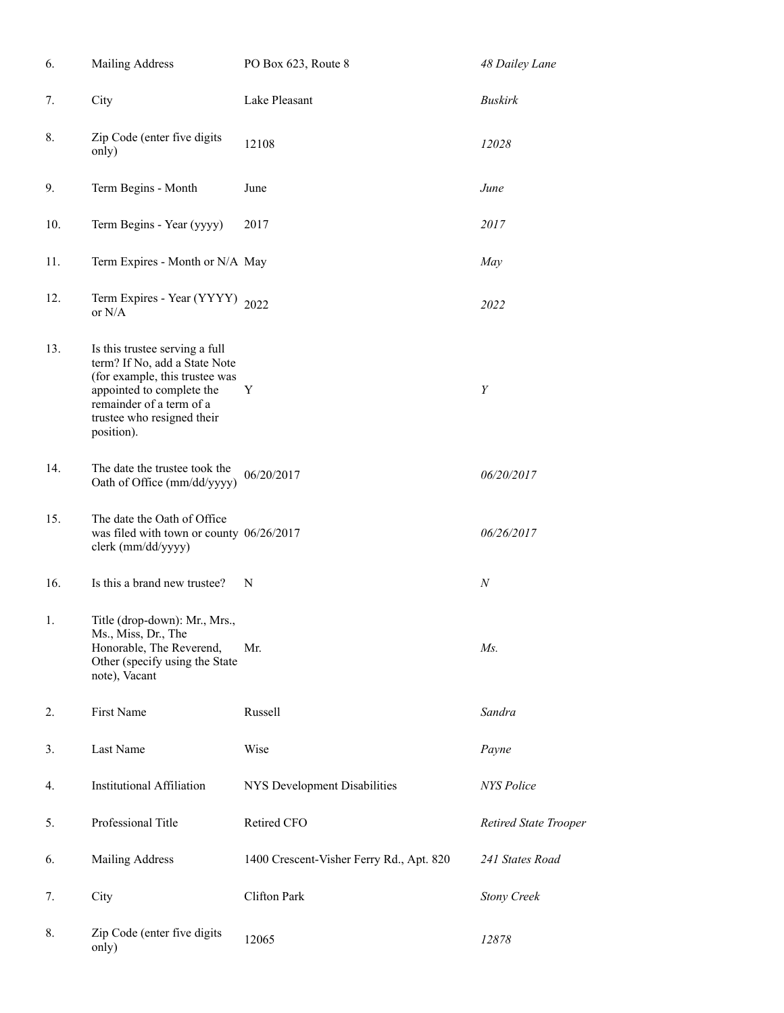| 6.  | Mailing Address                                                                                                                                                                                        | PO Box 623, Route 8                      | 48 Dailey Lane        |
|-----|--------------------------------------------------------------------------------------------------------------------------------------------------------------------------------------------------------|------------------------------------------|-----------------------|
| 7.  | City                                                                                                                                                                                                   | Lake Pleasant                            | <b>Buskirk</b>        |
| 8.  | Zip Code (enter five digits<br>only)                                                                                                                                                                   | 12108                                    | 12028                 |
| 9.  | Term Begins - Month                                                                                                                                                                                    | June                                     | June                  |
| 10. | Term Begins - Year (yyyy)                                                                                                                                                                              | 2017                                     | 2017                  |
| 11. | Term Expires - Month or N/A May                                                                                                                                                                        |                                          | May                   |
| 12. | Term Expires - Year (YYYY)<br>or $N/A$                                                                                                                                                                 | 2022                                     | 2022                  |
| 13. | Is this trustee serving a full<br>term? If No, add a State Note<br>(for example, this trustee was<br>appointed to complete the<br>remainder of a term of a<br>trustee who resigned their<br>position). | Y                                        | Y                     |
| 14. | The date the trustee took the<br>Oath of Office (mm/dd/yyyy)                                                                                                                                           | 06/20/2017                               | 06/20/2017            |
| 15. | The date the Oath of Office<br>was filed with town or county 06/26/2017<br>clerk (mm/dd/yyyy)                                                                                                          |                                          | 06/26/2017            |
| 16. | Is this a brand new trustee?                                                                                                                                                                           | N                                        | $\boldsymbol{N}$      |
| 1.  | Title (drop-down): Mr., Mrs.,<br>Ms., Miss, Dr., The<br>Honorable, The Reverend,<br>Other (specify using the State<br>note), Vacant                                                                    | Mr.                                      | $Ms$ .                |
| 2.  | First Name                                                                                                                                                                                             | Russell                                  | Sandra                |
| 3.  | Last Name                                                                                                                                                                                              | Wise                                     | Payne                 |
| 4.  | <b>Institutional Affiliation</b>                                                                                                                                                                       | NYS Development Disabilities             | <b>NYS</b> Police     |
| 5.  | Professional Title                                                                                                                                                                                     | Retired CFO                              | Retired State Trooper |
| 6.  | Mailing Address                                                                                                                                                                                        | 1400 Crescent-Visher Ferry Rd., Apt. 820 | 241 States Road       |
| 7.  | City                                                                                                                                                                                                   | Clifton Park                             | <b>Stony Creek</b>    |
| 8.  | Zip Code (enter five digits<br>only)                                                                                                                                                                   | 12065                                    | 12878                 |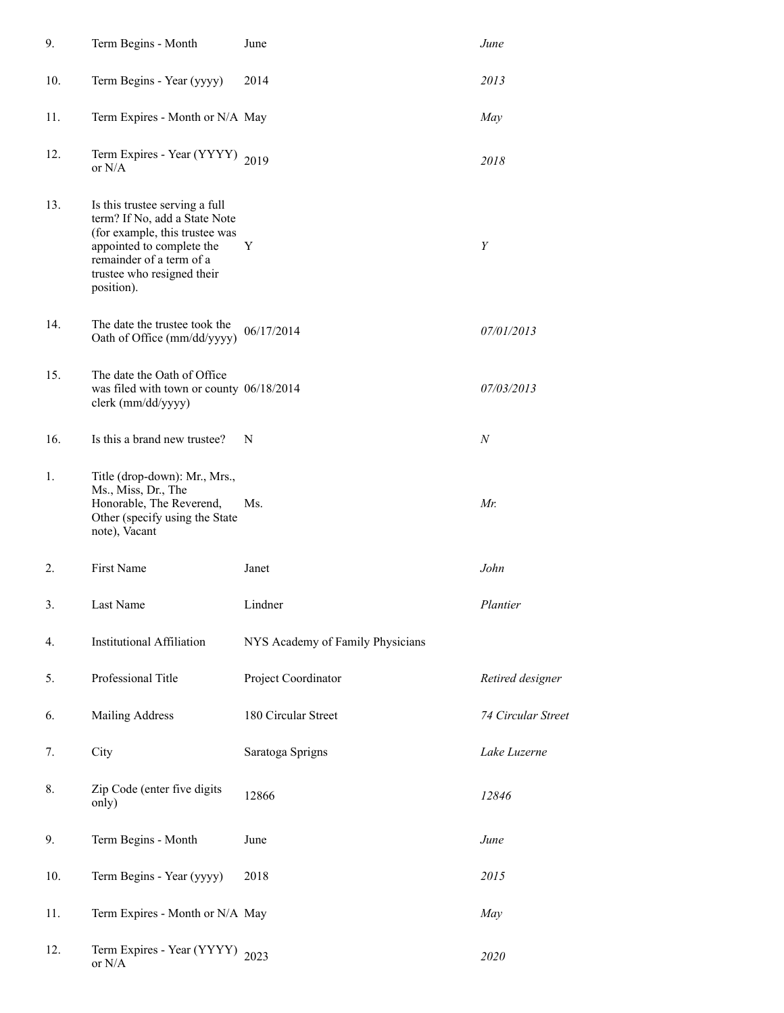| 9.  | Term Begins - Month                                                                                                                                                                                    | June                             | June               |
|-----|--------------------------------------------------------------------------------------------------------------------------------------------------------------------------------------------------------|----------------------------------|--------------------|
| 10. | Term Begins - Year (yyyy)                                                                                                                                                                              | 2014                             | 2013               |
| 11. | Term Expires - Month or N/A May                                                                                                                                                                        |                                  | May                |
| 12. | Term Expires - Year (YYYY) 2019<br>or $N/A$                                                                                                                                                            |                                  | 2018               |
| 13. | Is this trustee serving a full<br>term? If No, add a State Note<br>(for example, this trustee was<br>appointed to complete the<br>remainder of a term of a<br>trustee who resigned their<br>position). | Y                                | Y                  |
| 14. | The date the trustee took the<br>Oath of Office (mm/dd/yyyy)                                                                                                                                           | 06/17/2014                       | 07/01/2013         |
| 15. | The date the Oath of Office<br>was filed with town or county 06/18/2014<br>clerk (mm/dd/yyyy)                                                                                                          |                                  | 07/03/2013         |
| 16. | Is this a brand new trustee?                                                                                                                                                                           | N                                | $\boldsymbol{N}$   |
| 1.  | Title (drop-down): Mr., Mrs.,<br>Ms., Miss, Dr., The<br>Honorable, The Reverend,<br>Other (specify using the State<br>note), Vacant                                                                    | Ms.                              | Mr.                |
| 2.  | First Name                                                                                                                                                                                             | Janet                            | John               |
| 3.  | Last Name                                                                                                                                                                                              | Lindner                          | Plantier           |
| 4.  | <b>Institutional Affiliation</b>                                                                                                                                                                       | NYS Academy of Family Physicians |                    |
| 5.  | Professional Title                                                                                                                                                                                     | Project Coordinator              | Retired designer   |
| 6.  | Mailing Address                                                                                                                                                                                        | 180 Circular Street              | 74 Circular Street |
| 7.  | City                                                                                                                                                                                                   | Saratoga Sprigns                 | Lake Luzerne       |
| 8.  | Zip Code (enter five digits<br>only)                                                                                                                                                                   | 12866                            | 12846              |
| 9.  | Term Begins - Month                                                                                                                                                                                    | June                             | June               |
| 10. | Term Begins - Year (yyyy)                                                                                                                                                                              | 2018                             | 2015               |
| 11. | Term Expires - Month or N/A May                                                                                                                                                                        |                                  | May                |
| 12. | Term Expires - Year (YYYY) 2023<br>or $N/A$                                                                                                                                                            |                                  | 2020               |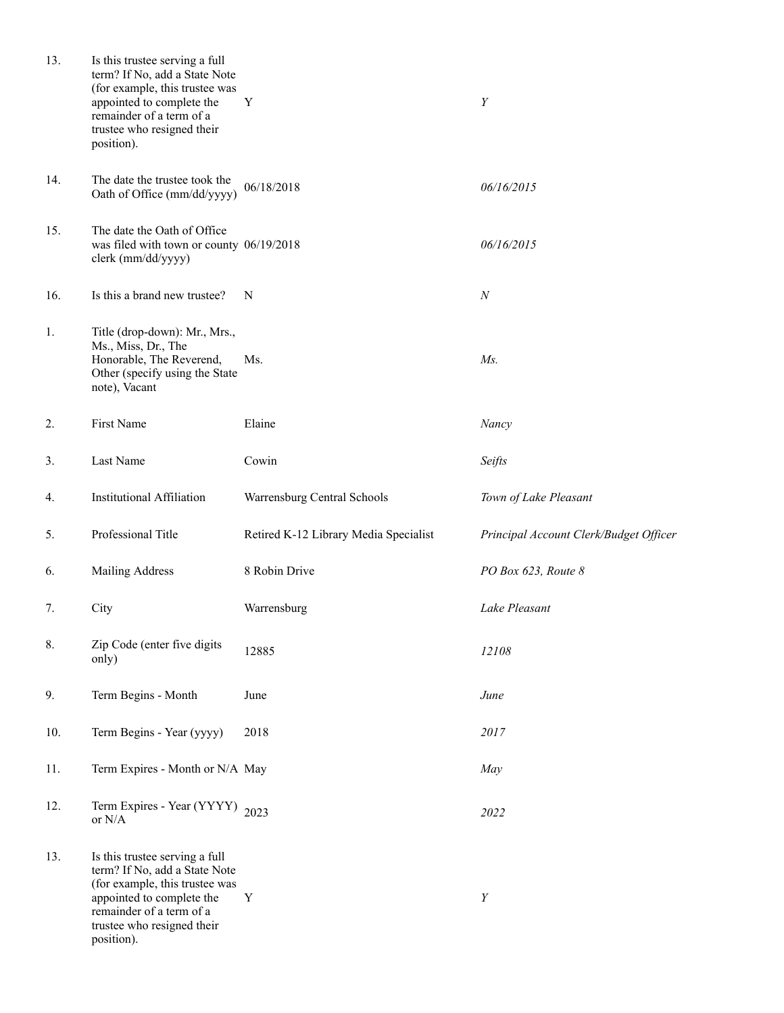| 13. | Is this trustee serving a full<br>term? If No, add a State Note<br>(for example, this trustee was<br>appointed to complete the<br>remainder of a term of a<br>trustee who resigned their<br>position). | Y                                     | Y                                      |
|-----|--------------------------------------------------------------------------------------------------------------------------------------------------------------------------------------------------------|---------------------------------------|----------------------------------------|
| 14. | The date the trustee took the<br>Oath of Office (mm/dd/yyyy)                                                                                                                                           | 06/18/2018                            | 06/16/2015                             |
| 15. | The date the Oath of Office<br>was filed with town or county 06/19/2018<br>clerk (mm/dd/yyyy)                                                                                                          |                                       | 06/16/2015                             |
| 16. | Is this a brand new trustee?                                                                                                                                                                           | N                                     | $\boldsymbol{N}$                       |
| 1.  | Title (drop-down): Mr., Mrs.,<br>Ms., Miss, Dr., The<br>Honorable, The Reverend,<br>Other (specify using the State<br>note), Vacant                                                                    | Ms.                                   | $Ms$ .                                 |
| 2.  | First Name                                                                                                                                                                                             | Elaine                                | Nancy                                  |
| 3.  | Last Name                                                                                                                                                                                              | Cowin                                 | Seifts                                 |
| 4.  | <b>Institutional Affiliation</b>                                                                                                                                                                       | Warrensburg Central Schools           | Town of Lake Pleasant                  |
| 5.  | Professional Title                                                                                                                                                                                     | Retired K-12 Library Media Specialist | Principal Account Clerk/Budget Officer |
| 6.  | Mailing Address                                                                                                                                                                                        | 8 Robin Drive                         | PO Box 623, Route 8                    |
| 7.  | City                                                                                                                                                                                                   | Warrensburg                           | Lake Pleasant                          |
| 8.  | Zip Code (enter five digits<br>only)                                                                                                                                                                   | 12885                                 | 12108                                  |
| 9.  | Term Begins - Month                                                                                                                                                                                    | June                                  | June                                   |
| 10. | Term Begins - Year (yyyy)                                                                                                                                                                              | 2018                                  | 2017                                   |
| 11. | Term Expires - Month or N/A May                                                                                                                                                                        |                                       | May                                    |
| 12. | Term Expires - Year (YYYY) 2023<br>or $N/A$                                                                                                                                                            |                                       | 2022                                   |
| 13. | Is this trustee serving a full<br>term? If No, add a State Note<br>(for example, this trustee was<br>appointed to complete the<br>remainder of a term of a<br>trustee who resigned their<br>position). | Y                                     | Y                                      |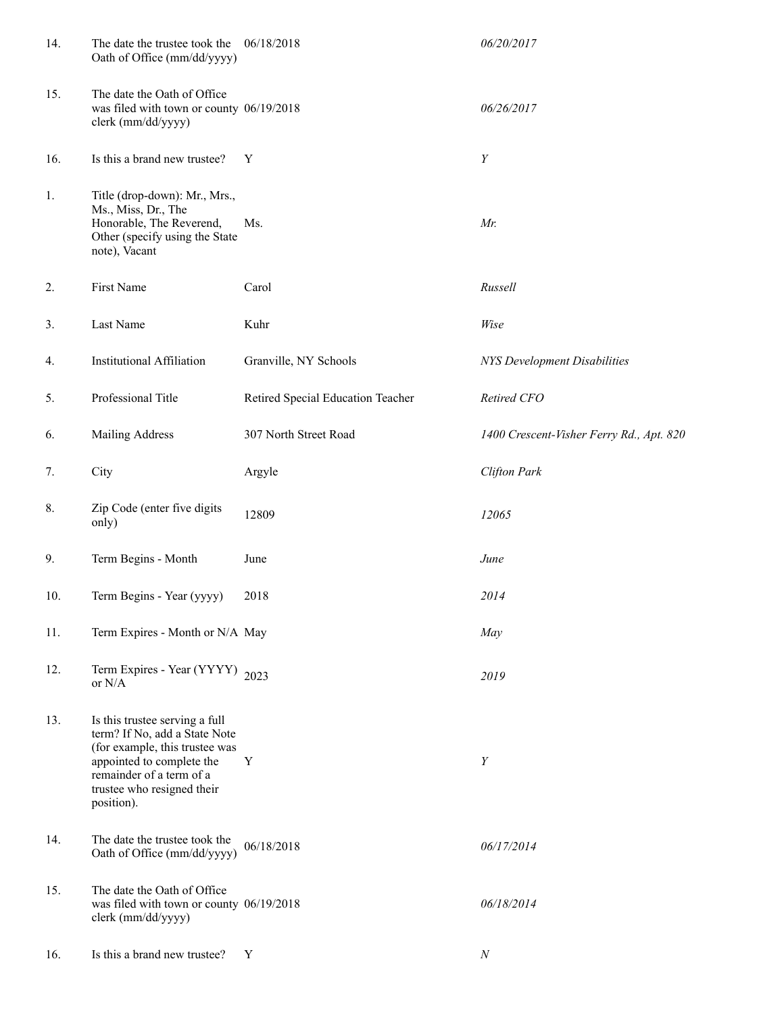| 14. | The date the trustee took the<br>Oath of Office (mm/dd/yyyy)                                                                                                                                           | 06/18/2018                        | 06/20/2017                               |
|-----|--------------------------------------------------------------------------------------------------------------------------------------------------------------------------------------------------------|-----------------------------------|------------------------------------------|
| 15. | The date the Oath of Office<br>was filed with town or county 06/19/2018<br>clerk (mm/dd/yyyy)                                                                                                          |                                   | 06/26/2017                               |
| 16. | Is this a brand new trustee?                                                                                                                                                                           | Y                                 | Y                                        |
| 1.  | Title (drop-down): Mr., Mrs.,<br>Ms., Miss, Dr., The<br>Honorable, The Reverend,<br>Other (specify using the State<br>note), Vacant                                                                    | Ms.                               | Mr.                                      |
| 2.  | First Name                                                                                                                                                                                             | Carol                             | Russell                                  |
| 3.  | Last Name                                                                                                                                                                                              | Kuhr                              | Wise                                     |
| 4.  | <b>Institutional Affiliation</b>                                                                                                                                                                       | Granville, NY Schools             | NYS Development Disabilities             |
| 5.  | Professional Title                                                                                                                                                                                     | Retired Special Education Teacher | Retired CFO                              |
| 6.  | <b>Mailing Address</b>                                                                                                                                                                                 | 307 North Street Road             | 1400 Crescent-Visher Ferry Rd., Apt. 820 |
| 7.  | City                                                                                                                                                                                                   | Argyle                            | <b>Clifton Park</b>                      |
| 8.  | Zip Code (enter five digits<br>only)                                                                                                                                                                   | 12809                             | 12065                                    |
| 9.  | Term Begins - Month                                                                                                                                                                                    | June                              | June                                     |
| 10. | Term Begins - Year (yyyy)                                                                                                                                                                              | 2018                              | 2014                                     |
| 11. | Term Expires - Month or N/A May                                                                                                                                                                        |                                   | May                                      |
| 12. | Term Expires - Year (YYYY) 2023<br>or $N/A$                                                                                                                                                            |                                   | 2019                                     |
| 13. | Is this trustee serving a full<br>term? If No, add a State Note<br>(for example, this trustee was<br>appointed to complete the<br>remainder of a term of a<br>trustee who resigned their<br>position). | Y                                 | Y                                        |
| 14. | The date the trustee took the<br>Oath of Office (mm/dd/yyyy)                                                                                                                                           | 06/18/2018                        | 06/17/2014                               |
| 15. | The date the Oath of Office<br>was filed with town or county 06/19/2018<br>clerk (mm/dd/yyyy)                                                                                                          |                                   | 06/18/2014                               |
| 16. | Is this a brand new trustee?                                                                                                                                                                           | Y                                 | $\cal N$                                 |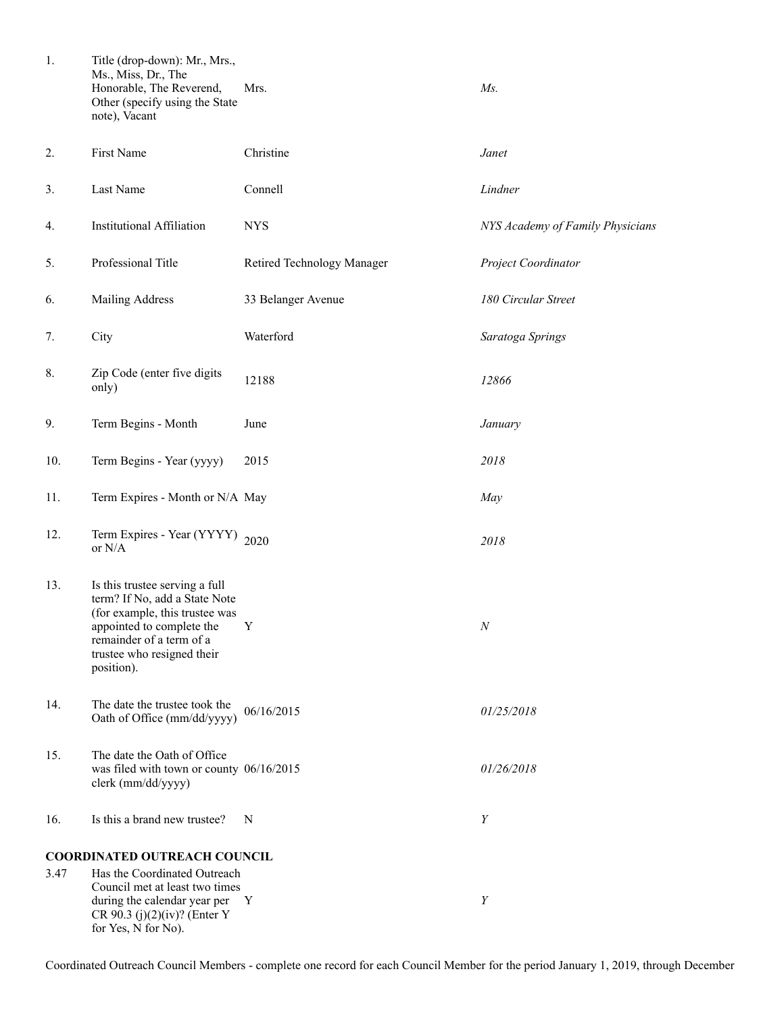| 1.   | Title (drop-down): Mr., Mrs.,<br>Ms., Miss, Dr., The<br>Honorable, The Reverend,<br>Other (specify using the State<br>note), Vacant                                                                      | Mrs.                       | $Ms$ .                           |
|------|----------------------------------------------------------------------------------------------------------------------------------------------------------------------------------------------------------|----------------------------|----------------------------------|
| 2.   | First Name                                                                                                                                                                                               | Christine                  | Janet                            |
| 3.   | Last Name                                                                                                                                                                                                | Connell                    | Lindner                          |
| 4.   | <b>Institutional Affiliation</b>                                                                                                                                                                         | <b>NYS</b>                 | NYS Academy of Family Physicians |
| 5.   | Professional Title                                                                                                                                                                                       | Retired Technology Manager | Project Coordinator              |
| 6.   | Mailing Address                                                                                                                                                                                          | 33 Belanger Avenue         | 180 Circular Street              |
| 7.   | City                                                                                                                                                                                                     | Waterford                  | Saratoga Springs                 |
| 8.   | Zip Code (enter five digits<br>only)                                                                                                                                                                     | 12188                      | 12866                            |
| 9.   | Term Begins - Month                                                                                                                                                                                      | June                       | January                          |
| 10.  | Term Begins - Year (yyyy)                                                                                                                                                                                | 2015                       | 2018                             |
| 11.  | Term Expires - Month or N/A May                                                                                                                                                                          |                            | May                              |
| 12.  | Term Expires - Year (YYYY) 2020<br>or $N/A$                                                                                                                                                              |                            | 2018                             |
| 13.  | Is this trustee serving a full<br>term? If No, add a State Note<br>(for example, this trustee was<br>appointed to complete the Y<br>remainder of a term of a<br>trustee who resigned their<br>position). |                            | $N_{\rm}$                        |
| 14.  | The date the trustee took the<br>Oath of Office (mm/dd/yyyy)                                                                                                                                             | 06/16/2015                 | 01/25/2018                       |
| 15.  | The date the Oath of Office<br>was filed with town or county 06/16/2015<br>clerk (mm/dd/yyyy)                                                                                                            |                            | 01/26/2018                       |
| 16.  | Is this a brand new trustee?                                                                                                                                                                             | N                          | Y                                |
|      | COORDINATED OUTREACH COUNCIL                                                                                                                                                                             |                            |                                  |
| 3.47 | Has the Coordinated Outreach<br>Council met at least two times<br>during the calendar year per<br>CR 90.3 (j)(2)(iv)? (Enter Y<br>for Yes, N for No).                                                    | Y                          | Y                                |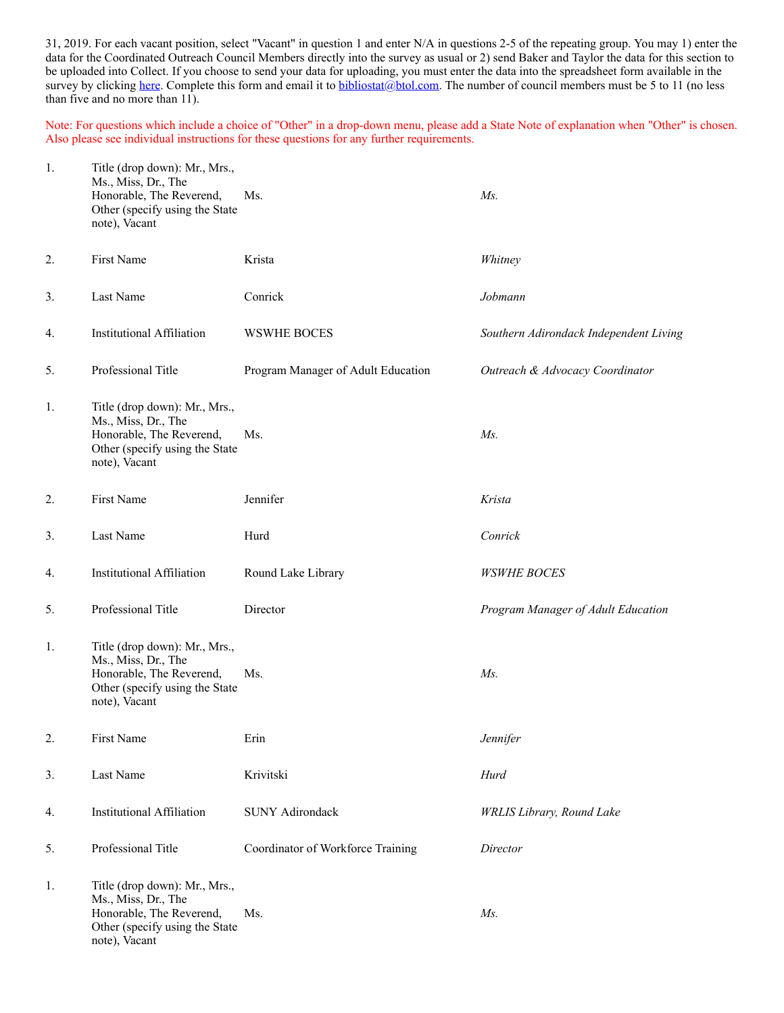31, 2019. For each vacant position, select "Vacant" in question 1 and enter N/A in questions 2-5 of the repeating group. You may 1) enter the data for the Coordinated Outreach Council Members directly into the survey as usual or 2) send Baker and Taylor the data for this section to be uploaded into Collect. If you choose to send your data for uploading, you must enter the data into the spreadsheet form available in the survey by clicking [here](http://collectconnect.baker-taylor.com:8080/Outreach/2018/**OrgID**.xlsx). Complete this form and email it to [bibliostat@btol.com.](mailto:bibliostat@btol.com) The number of council members must be 5 to 11 (no less than five and no more than 11).

Note: For questions which include a choice of "Other" in a drop-down menu, please add a State Note of explanation when "Other" is chosen. Also please see individual instructions for these questions for any further requirements.

| 1. | Title (drop down): Mr., Mrs.,<br>Ms., Miss, Dr., The<br>Honorable, The Reverend,<br>Other (specify using the State<br>note), Vacant | Ms.                                | $Ms$ .                                 |
|----|-------------------------------------------------------------------------------------------------------------------------------------|------------------------------------|----------------------------------------|
| 2. | First Name                                                                                                                          | Krista                             | Whitney                                |
| 3. | Last Name                                                                                                                           | Conrick                            | Jobmann                                |
| 4. | <b>Institutional Affiliation</b>                                                                                                    | <b>WSWHE BOCES</b>                 | Southern Adirondack Independent Living |
| 5. | Professional Title                                                                                                                  | Program Manager of Adult Education | Outreach & Advocacy Coordinator        |
| 1. | Title (drop down): Mr., Mrs.,<br>Ms., Miss, Dr., The<br>Honorable, The Reverend,<br>Other (specify using the State<br>note), Vacant | Ms.                                | $Ms$ .                                 |
| 2. | First Name                                                                                                                          | Jennifer                           | Krista                                 |
| 3. | Last Name                                                                                                                           | Hurd                               | Conrick                                |
| 4. | <b>Institutional Affiliation</b>                                                                                                    | Round Lake Library                 | <b>WSWHE BOCES</b>                     |
| 5. | Professional Title                                                                                                                  | Director                           | Program Manager of Adult Education     |
| 1. | Title (drop down): Mr., Mrs.,<br>Ms., Miss, Dr., The<br>Honorable, The Reverend,<br>Other (specify using the State<br>note), Vacant | Ms.                                | Ms.                                    |
| 2. | First Name                                                                                                                          | Erin                               | Jennifer                               |
| 3. | Last Name                                                                                                                           | Krivitski                          | Hurd                                   |
| 4. | <b>Institutional Affiliation</b>                                                                                                    | <b>SUNY Adirondack</b>             | <b>WRLIS Library</b> , Round Lake      |
| 5. | Professional Title                                                                                                                  | Coordinator of Workforce Training  | Director                               |
| 1. | Title (drop down): Mr., Mrs.,<br>Ms., Miss, Dr., The<br>Honorable, The Reverend,<br>Other (specify using the State<br>note), Vacant | Ms.                                | $Ms$ .                                 |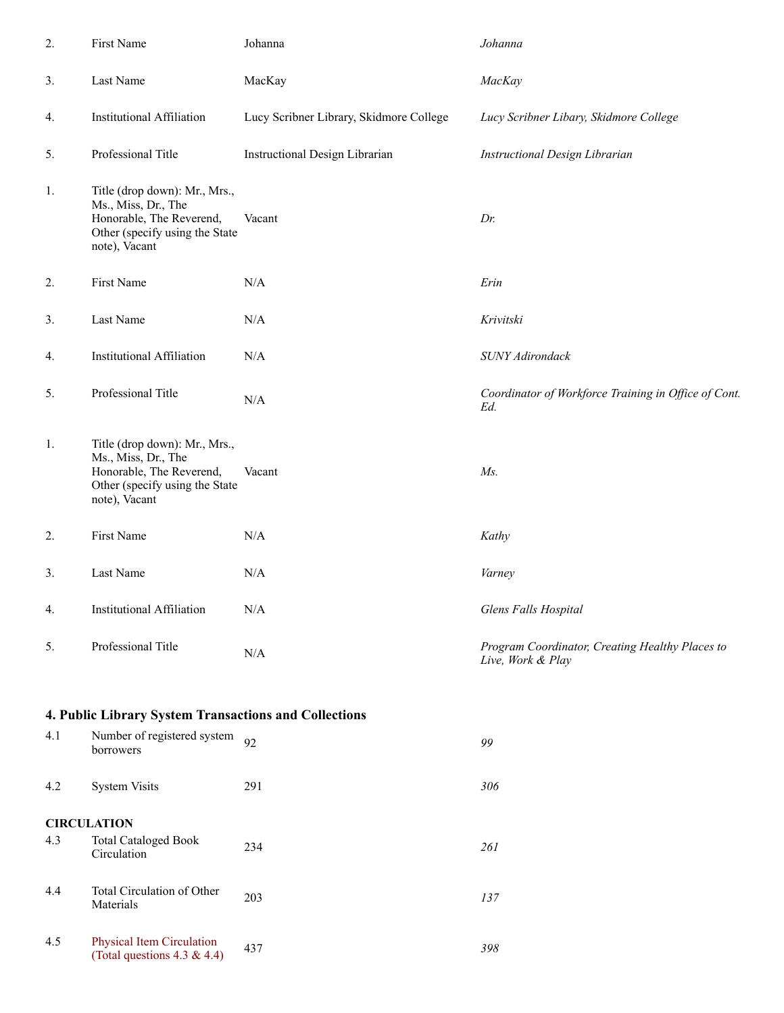| 2.  | First Name                                                                                                                          | Johanna                                 | Johanna                                                              |
|-----|-------------------------------------------------------------------------------------------------------------------------------------|-----------------------------------------|----------------------------------------------------------------------|
| 3.  | Last Name                                                                                                                           | MacKay                                  | MacKay                                                               |
| 4.  | <b>Institutional Affiliation</b>                                                                                                    | Lucy Scribner Library, Skidmore College | Lucy Scribner Libary, Skidmore College                               |
| 5.  | Professional Title                                                                                                                  | Instructional Design Librarian          | Instructional Design Librarian                                       |
| 1.  | Title (drop down): Mr., Mrs.,<br>Ms., Miss, Dr., The<br>Honorable, The Reverend,<br>Other (specify using the State<br>note), Vacant | Vacant                                  | Dr.                                                                  |
| 2.  | First Name                                                                                                                          | N/A                                     | Erin                                                                 |
| 3.  | Last Name                                                                                                                           | N/A                                     | Krivitski                                                            |
| 4.  | <b>Institutional Affiliation</b>                                                                                                    | N/A                                     | <b>SUNY Adirondack</b>                                               |
| 5.  | Professional Title                                                                                                                  | N/A                                     | Coordinator of Workforce Training in Office of Cont.<br>Ed.          |
| 1.  | Title (drop down): Mr., Mrs.,<br>Ms., Miss, Dr., The<br>Honorable, The Reverend,<br>Other (specify using the State<br>note), Vacant | Vacant                                  | $Ms$ .                                                               |
| 2.  | First Name                                                                                                                          | N/A                                     | Kathy                                                                |
| 3.  | Last Name                                                                                                                           | N/A                                     | Varney                                                               |
| 4.  | <b>Institutional Affiliation</b>                                                                                                    | $\rm N/A$                               | Glens Falls Hospital                                                 |
| 5.  | Professional Title                                                                                                                  | $\rm N/A$                               | Program Coordinator, Creating Healthy Places to<br>Live, Work & Play |
|     | 4. Public Library System Transactions and Collections                                                                               |                                         |                                                                      |
| 4.1 | Number of registered system<br>borrowers                                                                                            | 92                                      | 99                                                                   |
| 4.2 | <b>System Visits</b>                                                                                                                | 291                                     | 306                                                                  |
|     | <b>CIRCULATION</b>                                                                                                                  |                                         |                                                                      |
| 4.3 | <b>Total Cataloged Book</b><br>Circulation                                                                                          | 234                                     | 261                                                                  |

4.4 Total Circulation of Other Fotal Christian of Other 203 **137**<br>Materials 137

4.5 Physical Item Circulation (Total questions 4.3 & 4.4) <sup>437</sup> *<sup>398</sup>*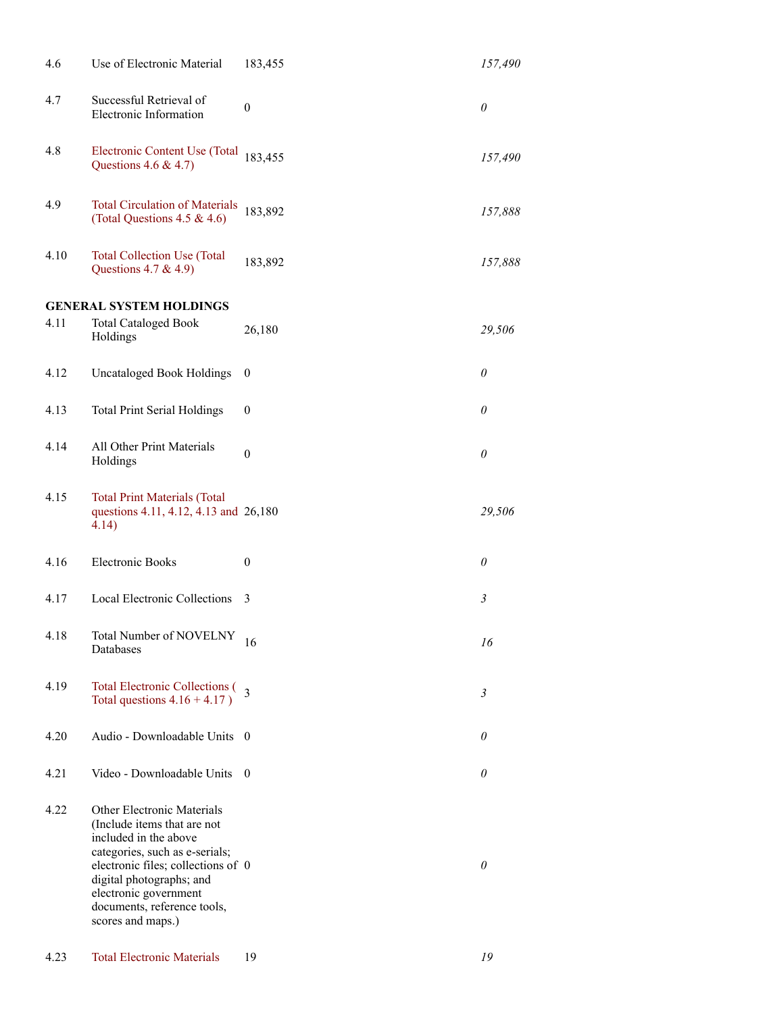| 4.6  | Use of Electronic Material                                                                                                                                                                                                                                          | 183,455          | 157,490        |
|------|---------------------------------------------------------------------------------------------------------------------------------------------------------------------------------------------------------------------------------------------------------------------|------------------|----------------|
| 4.7  | Successful Retrieval of<br>Electronic Information                                                                                                                                                                                                                   | $\boldsymbol{0}$ | $\theta$       |
| 4.8  | Electronic Content Use (Total<br>Questions $4.6 \& 4.7$ )                                                                                                                                                                                                           | 183,455          | 157,490        |
| 4.9  | <b>Total Circulation of Materials</b><br>(Total Questions 4.5 & 4.6)                                                                                                                                                                                                | 183,892          | 157,888        |
| 4.10 | <b>Total Collection Use (Total</b><br>Questions 4.7 & 4.9)                                                                                                                                                                                                          | 183,892          | 157,888        |
|      | <b>GENERAL SYSTEM HOLDINGS</b>                                                                                                                                                                                                                                      |                  |                |
| 4.11 | <b>Total Cataloged Book</b><br>Holdings                                                                                                                                                                                                                             | 26,180           | 29,506         |
| 4.12 | <b>Uncataloged Book Holdings</b>                                                                                                                                                                                                                                    | $\theta$         | $\theta$       |
| 4.13 | <b>Total Print Serial Holdings</b>                                                                                                                                                                                                                                  | $\theta$         | $\theta$       |
| 4.14 | All Other Print Materials<br>Holdings                                                                                                                                                                                                                               | $\boldsymbol{0}$ | $\theta$       |
| 4.15 | <b>Total Print Materials (Total</b><br>questions 4.11, 4.12, 4.13 and 26,180<br>4.14)                                                                                                                                                                               |                  | 29,506         |
| 4.16 | <b>Electronic Books</b>                                                                                                                                                                                                                                             | $\theta$         | $\theta$       |
| 4.17 | Local Electronic Collections                                                                                                                                                                                                                                        | 3                | $\mathfrak{Z}$ |
| 4.18 | Total Number of NOVELNY<br>Databases                                                                                                                                                                                                                                | 16               | 16             |
| 4.19 | Total Electronic Collections (3<br>Total questions $4.16 + 4.17$ )                                                                                                                                                                                                  |                  | 3              |
| 4.20 | Audio - Downloadable Units                                                                                                                                                                                                                                          | $\theta$         | $\theta$       |
| 4.21 | Video - Downloadable Units                                                                                                                                                                                                                                          | - 0              | $\theta$       |
| 4.22 | Other Electronic Materials<br>(Include items that are not<br>included in the above<br>categories, such as e-serials;<br>electronic files; collections of 0<br>digital photographs; and<br>electronic government<br>documents, reference tools,<br>scores and maps.) |                  | $\theta$       |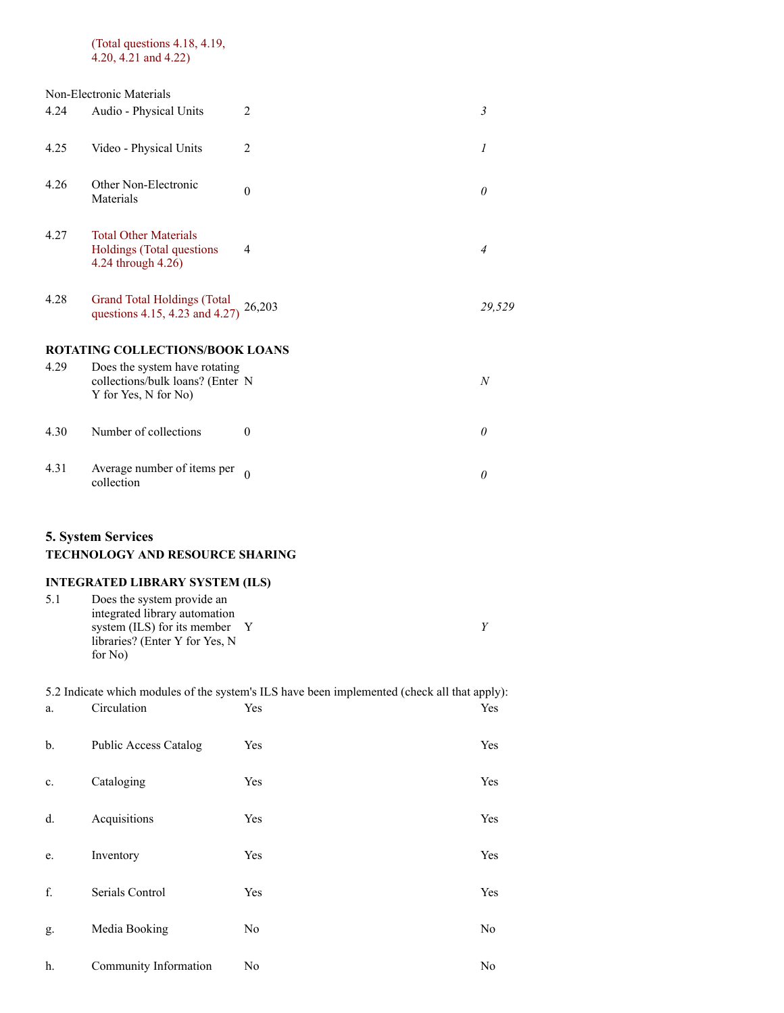#### (Total questions 4.18, 4.19, 4.20, 4.21 and 4.22)

# Non-Electronic Materials 4.24 Audio - Physical Units 2 *3* 4.25 Video - Physical Units 2 *1* 4.26 Other Non-Electronic Materials <sup>0</sup> *<sup>0</sup>* 4.27 Total Other Materials Holdings (Total questions 4.24 through  $4.26$ ) 4 *4* 4.28 Grand Total Holdings (Total questions 4.15, 4.23 and 4.27) 26,203 *29,529* **ROTATING COLLECTIONS/BOOK LOANS** 4.29 Does the system have rotating collections/bulk loans? (Enter N Y for Yes, N for No) N *N* 4.30 Number of collections 0 *0* 4.31 Average number of items per 0 *0 0*

### **5. System Services**

### **TECHNOLOGY AND RESOURCE SHARING**

# **INTEGRATED LIBRARY SYSTEM (ILS)**

| 5.1 | Does the system provide an        |  |  |  |  |
|-----|-----------------------------------|--|--|--|--|
|     | integrated library automation     |  |  |  |  |
|     | system $(ILS)$ for its member $Y$ |  |  |  |  |
|     | libraries? (Enter Y for Yes, N    |  |  |  |  |
|     | for No)                           |  |  |  |  |
|     |                                   |  |  |  |  |

|    | 5.2 Indicate which modules of the system's ILS have been implemented (check all that apply): |                |     |  |  |
|----|----------------------------------------------------------------------------------------------|----------------|-----|--|--|
| a. | Circulation                                                                                  | Yes            | Yes |  |  |
| b. | Public Access Catalog                                                                        | Yes            | Yes |  |  |
| c. | Cataloging                                                                                   | Yes            | Yes |  |  |
| d. | Acquisitions                                                                                 | Yes            | Yes |  |  |
| e. | Inventory                                                                                    | Yes            | Yes |  |  |
| f. | Serials Control                                                                              | Yes            | Yes |  |  |
| g. | Media Booking                                                                                | N <sub>o</sub> | No  |  |  |
| h. | Community Information                                                                        | No             | No  |  |  |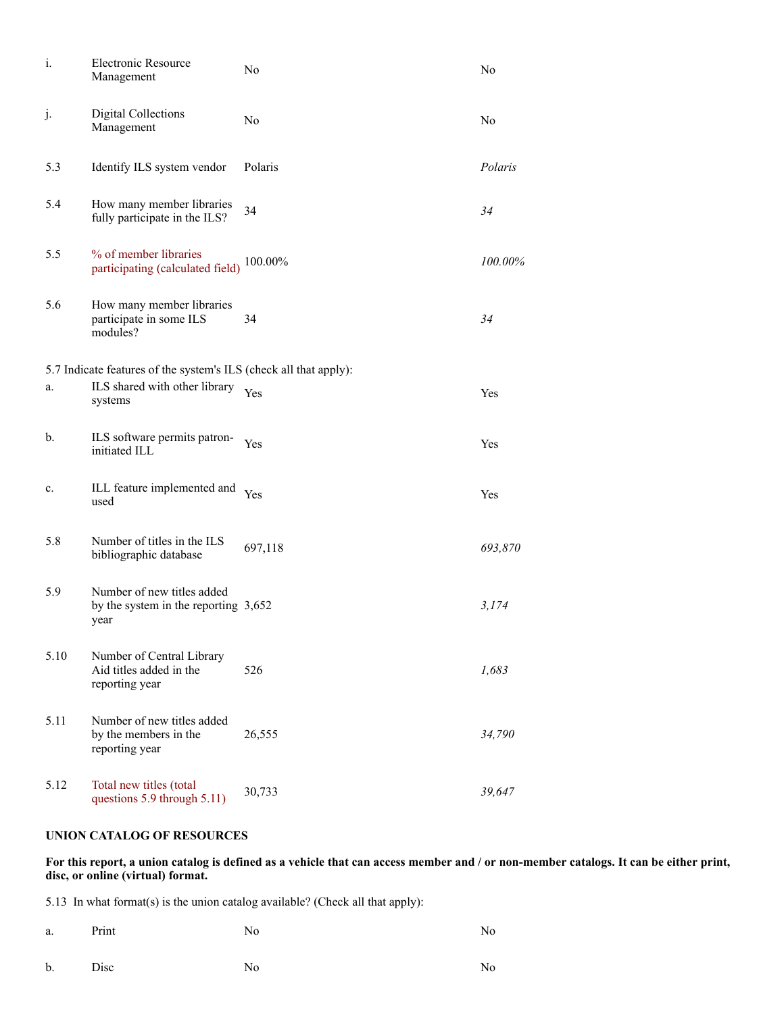| $\mathbf{i}$ . | Electronic Resource<br>Management                                            | No      | No      |
|----------------|------------------------------------------------------------------------------|---------|---------|
| j.             | Digital Collections<br>Management                                            | No      | No      |
| 5.3            | Identify ILS system vendor                                                   | Polaris | Polaris |
| 5.4            | How many member libraries<br>fully participate in the ILS?                   | 34      | 34      |
| 5.5            | % of member libraries<br>participating (calculated field)                    | 100.00% | 100.00% |
| 5.6            | How many member libraries<br>participate in some ILS<br>modules?             | 34      | 34      |
|                | 5.7 Indicate features of the system's ILS (check all that apply):            |         |         |
| a.             | ILS shared with other library<br>systems                                     | Yes     | Yes     |
| $\mathbf{b}$ . | ILS software permits patron-<br>initiated ILL                                | Yes     | Yes     |
| c.             | ILL feature implemented and<br>used                                          | Yes     | Yes     |
| 5.8            | Number of titles in the ILS<br>bibliographic database                        | 697,118 | 693,870 |
| 5.9            | Number of new titles added<br>by the system in the reporting $3,652$<br>year |         | 3,174   |
| 5.10           | Number of Central Library<br>Aid titles added in the<br>reporting year       | 526     | 1,683   |
| 5.11           | Number of new titles added<br>by the members in the<br>reporting year        | 26,555  | 34,790  |
| 5.12           | Total new titles (total<br>questions 5.9 through 5.11)                       | 30,733  | 39,647  |

### **UNION CATALOG OF RESOURCES**

**For this report, a union catalog is defined as a vehicle that can access member and / or non-member catalogs. It can be either print, disc, or online (virtual) format.**

5.13 In what format(s) is the union catalog available? (Check all that apply):

| a. Print | ----- | No<br>$ -$ | No |
|----------|-------|------------|----|
|          |       |            |    |

b. Disc No No No No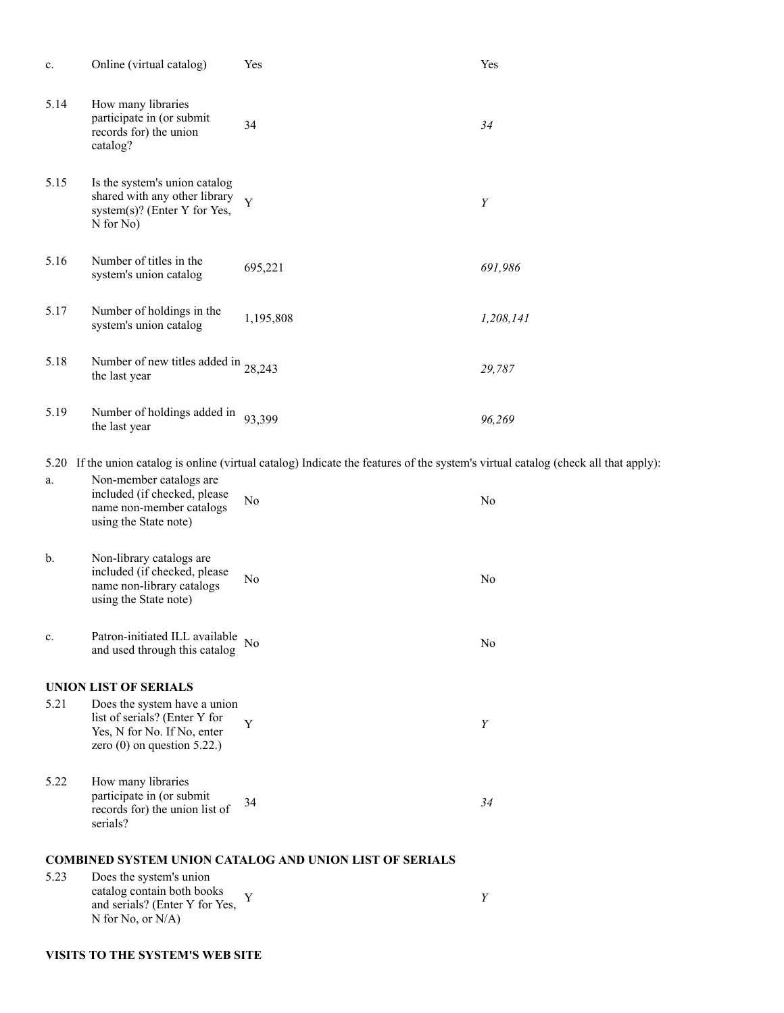| c.   | Online (virtual catalog)                                                                                                      | Yes                                                                                                                                 | Yes       |  |  |
|------|-------------------------------------------------------------------------------------------------------------------------------|-------------------------------------------------------------------------------------------------------------------------------------|-----------|--|--|
| 5.14 | How many libraries<br>participate in (or submit<br>records for) the union<br>catalog?                                         | 34                                                                                                                                  | 34        |  |  |
| 5.15 | Is the system's union catalog<br>shared with any other library<br>system(s)? (Enter Y for Yes,<br>N for No)                   | Y                                                                                                                                   | Y         |  |  |
| 5.16 | Number of titles in the<br>system's union catalog                                                                             | 695,221                                                                                                                             | 691,986   |  |  |
| 5.17 | Number of holdings in the<br>system's union catalog                                                                           | 1,195,808                                                                                                                           | 1,208,141 |  |  |
| 5.18 | Number of new titles added in $28,243$<br>the last year                                                                       |                                                                                                                                     | 29,787    |  |  |
| 5.19 | Number of holdings added in $93,399$<br>the last year                                                                         |                                                                                                                                     | 96,269    |  |  |
|      |                                                                                                                               | 5.20 If the union catalog is online (virtual catalog) Indicate the features of the system's virtual catalog (check all that apply): |           |  |  |
| a.   | Non-member catalogs are<br>included (if checked, please<br>name non-member catalogs<br>using the State note)                  | No                                                                                                                                  | No        |  |  |
| b.   | Non-library catalogs are<br>included (if checked, please<br>name non-library catalogs<br>using the State note)                | No                                                                                                                                  | No        |  |  |
| c.   | Patron-initiated ILL available<br>and used through this catalog                                                               | No                                                                                                                                  | No        |  |  |
|      | <b>UNION LIST OF SERIALS</b>                                                                                                  |                                                                                                                                     |           |  |  |
| 5.21 | Does the system have a union<br>list of serials? (Enter Y for<br>Yes, N for No. If No, enter<br>zero $(0)$ on question 5.22.) | Y                                                                                                                                   | Y         |  |  |
| 5.22 | How many libraries<br>participate in (or submit<br>records for) the union list of<br>serials?                                 | 34                                                                                                                                  | 34        |  |  |
|      |                                                                                                                               |                                                                                                                                     |           |  |  |
| 5.23 | Does the system's union                                                                                                       | <b>COMBINED SYSTEM UNION CATALOG AND UNION LIST OF SERIALS</b>                                                                      |           |  |  |
|      | catalog contain both books<br>and serials? (Enter Y for Yes,<br>N for No, or N/A)                                             | Y                                                                                                                                   | Y         |  |  |

### **VISITS TO THE SYSTEM'S WEB SITE**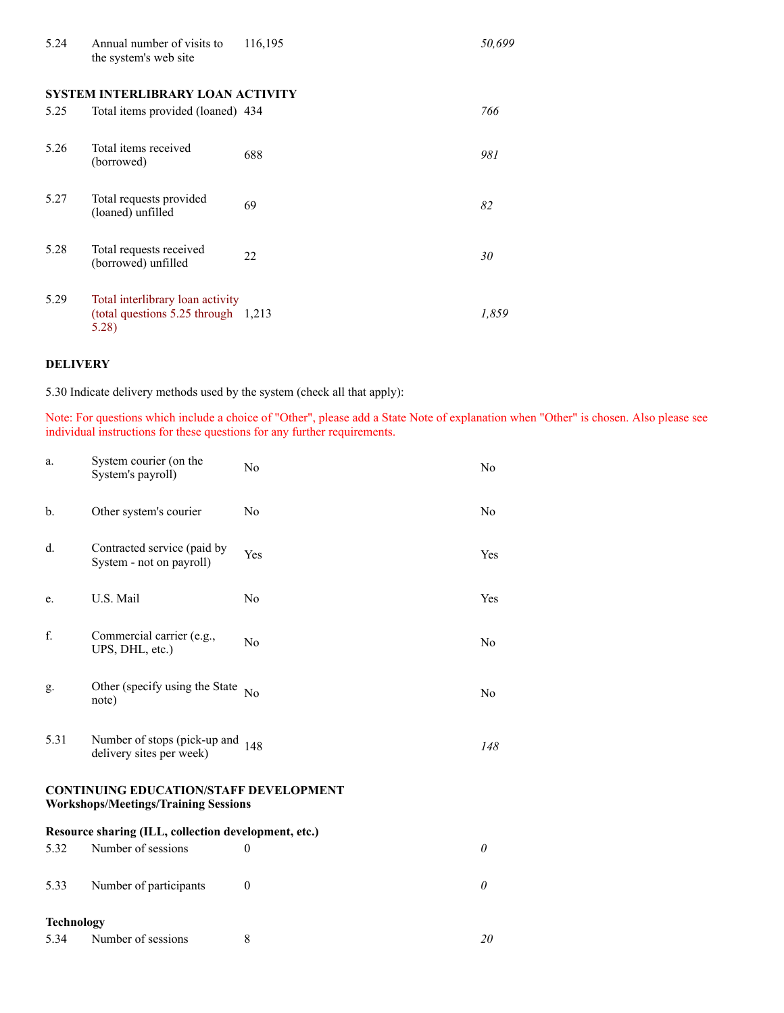| 5.24 | Annual number of visits to<br>the system's web site                                 | 116,195 | 50,699 |
|------|-------------------------------------------------------------------------------------|---------|--------|
|      | SYSTEM INTERLIBRARY LOAN ACTIVITY                                                   |         |        |
| 5.25 | Total items provided (loaned) 434                                                   |         | 766    |
| 5.26 | Total items received<br>(borrowed)                                                  | 688     | 981    |
| 5.27 | Total requests provided<br>(loaned) unfilled                                        | 69      | 82     |
| 5.28 | Total requests received<br>(borrowed) unfilled                                      | 22      | 30     |
| 5.29 | Total interlibrary loan activity<br>(total questions $5.25$ through 1,213)<br>5.28) |         | 1,859  |

### **DELIVERY**

5.30 Indicate delivery methods used by the system (check all that apply):

Note: For questions which include a choice of "Other", please add a State Note of explanation when "Other" is chosen. Also please see individual instructions for these questions for any further requirements.

| a.                | System courier (on the<br>System's payroll)                                                  | No             | N <sub>o</sub> |  |
|-------------------|----------------------------------------------------------------------------------------------|----------------|----------------|--|
| b.                | Other system's courier                                                                       | N <sub>o</sub> | N <sub>o</sub> |  |
| d.                | Contracted service (paid by<br>System - not on payroll)                                      | <b>Yes</b>     | Yes            |  |
| e.                | U.S. Mail                                                                                    | No             | Yes            |  |
| f.                | Commercial carrier (e.g.,<br>UPS, DHL, etc.)                                                 | N <sub>o</sub> | N <sub>o</sub> |  |
| g.                | Other (specify using the State<br>note)                                                      | No             | No             |  |
| 5.31              | Number of stops (pick-up and<br>delivery sites per week)                                     | 148            | 148            |  |
|                   | <b>CONTINUING EDUCATION/STAFF DEVELOPMENT</b><br><b>Workshops/Meetings/Training Sessions</b> |                |                |  |
|                   | Resource sharing (ILL, collection development, etc.)                                         |                |                |  |
| 5.32              | Number of sessions                                                                           | $\theta$       | $\theta$       |  |
| 5.33              | Number of participants                                                                       | $\theta$       | $\theta$       |  |
| <b>Technology</b> |                                                                                              |                |                |  |
| 5.34              | Number of sessions                                                                           | 8              | 20             |  |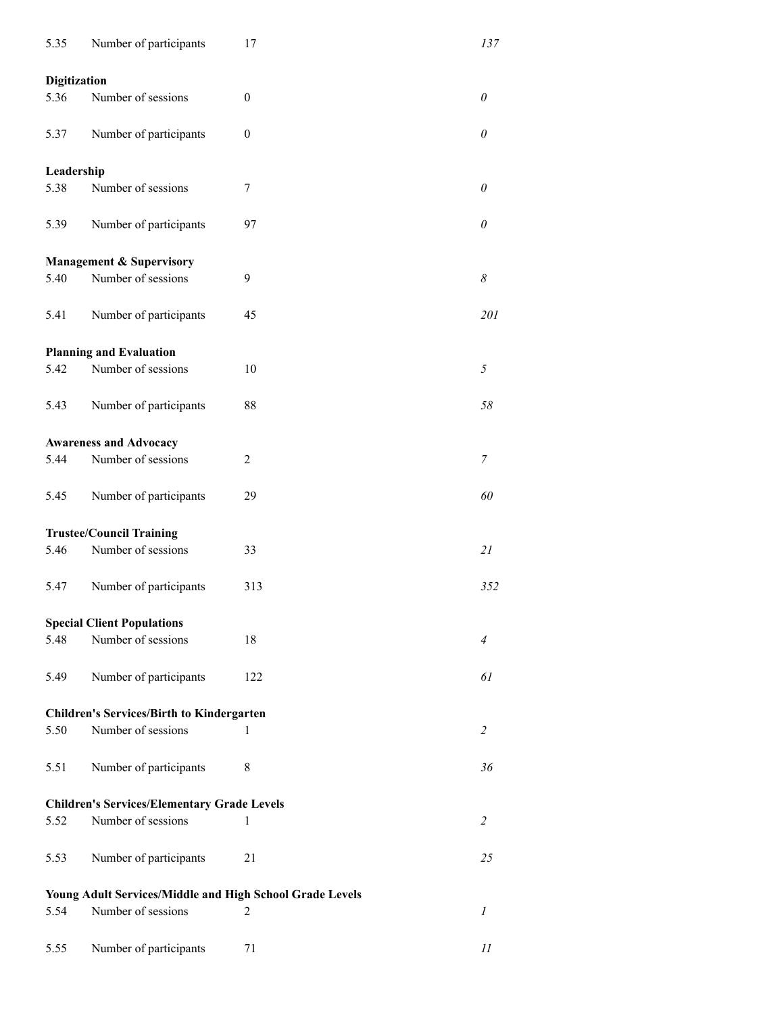| 5.35                | Number of participants                                   | 17       | 137                        |  |  |
|---------------------|----------------------------------------------------------|----------|----------------------------|--|--|
| <b>Digitization</b> |                                                          |          |                            |  |  |
| 5.36                | Number of sessions                                       | $\theta$ | $\theta$                   |  |  |
| 5.37                | Number of participants                                   | $\theta$ | $\theta$                   |  |  |
| Leadership          |                                                          |          |                            |  |  |
| 5.38                | Number of sessions                                       | 7        | $\theta$                   |  |  |
| 5.39                | Number of participants                                   | 97       | 0                          |  |  |
|                     | <b>Management &amp; Supervisory</b>                      |          |                            |  |  |
| 5.40                | Number of sessions                                       | 9        | $\boldsymbol{\mathcal{S}}$ |  |  |
| 5.41                | Number of participants                                   | 45       | 201                        |  |  |
|                     | <b>Planning and Evaluation</b>                           |          |                            |  |  |
| 5.42                | Number of sessions                                       | 10       | $\sqrt{2}$                 |  |  |
| 5.43                | Number of participants                                   | 88       | 58                         |  |  |
|                     |                                                          |          |                            |  |  |
|                     | <b>Awareness and Advocacy</b>                            |          |                            |  |  |
| 5.44                | Number of sessions                                       | 2        | 7                          |  |  |
| 5.45                | Number of participants                                   | 29       | 60                         |  |  |
|                     | <b>Trustee/Council Training</b>                          |          |                            |  |  |
| 5.46                | Number of sessions                                       | 33       | 21                         |  |  |
| 5.47                | Number of participants                                   | 313      | 352                        |  |  |
|                     | <b>Special Client Populations</b>                        |          |                            |  |  |
| 5.48                | Number of sessions                                       | 18       | 4                          |  |  |
|                     |                                                          |          |                            |  |  |
| 5.49                | Number of participants                                   | 122      | 61                         |  |  |
|                     | <b>Children's Services/Birth to Kindergarten</b>         |          |                            |  |  |
| 5.50                | Number of sessions                                       | 1        | $\overline{2}$             |  |  |
| 5.51                | Number of participants                                   | 8        | 36                         |  |  |
|                     | <b>Children's Services/Elementary Grade Levels</b>       |          |                            |  |  |
| 5.52                | Number of sessions                                       | 1        | 2                          |  |  |
| 5.53                | Number of participants                                   | 21       | 25                         |  |  |
|                     | Young Adult Services/Middle and High School Grade Levels |          |                            |  |  |
| 5.54                | Number of sessions                                       | 2        | $\mathfrak l$              |  |  |
|                     |                                                          |          |                            |  |  |
| 5.55                | Number of participants                                   | 71       | 11                         |  |  |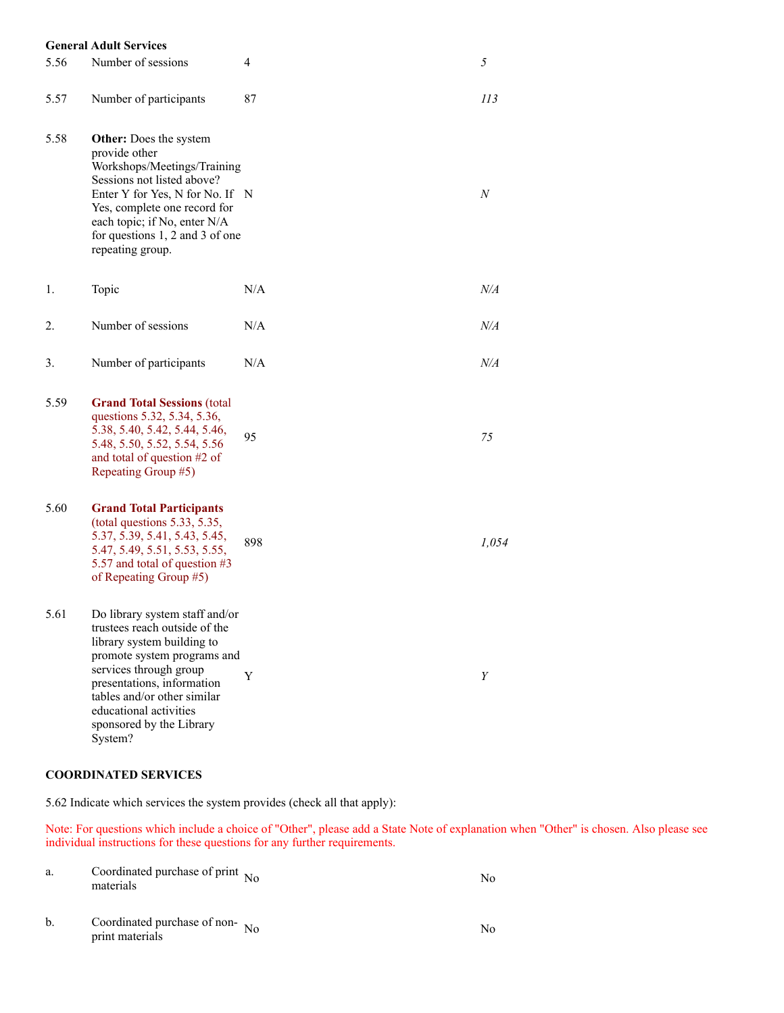#### **General Adult Services**

| 5.56 | Number of sessions                                                                                                                                                                                                                                                                   | 4   | 5                |
|------|--------------------------------------------------------------------------------------------------------------------------------------------------------------------------------------------------------------------------------------------------------------------------------------|-----|------------------|
| 5.57 | Number of participants                                                                                                                                                                                                                                                               | 87  | 113              |
| 5.58 | Other: Does the system<br>provide other<br>Workshops/Meetings/Training<br>Sessions not listed above?<br>Enter Y for Yes, N for No. If N<br>Yes, complete one record for<br>each topic; if No, enter N/A<br>for questions $1, 2$ and $3$ of one<br>repeating group.                   |     | $\boldsymbol{N}$ |
| 1.   | Topic                                                                                                                                                                                                                                                                                | N/A | N/A              |
| 2.   | Number of sessions                                                                                                                                                                                                                                                                   | N/A | $N\!/\!A$        |
| 3.   | Number of participants                                                                                                                                                                                                                                                               | N/A | N/A              |
| 5.59 | <b>Grand Total Sessions (total</b><br>questions 5.32, 5.34, 5.36,<br>5.38, 5.40, 5.42, 5.44, 5.46,<br>5.48, 5.50, 5.52, 5.54, 5.56<br>and total of question #2 of<br>Repeating Group #5)                                                                                             | 95  | 75               |
| 5.60 | <b>Grand Total Participants</b><br>(total questions 5.33, 5.35,<br>5.37, 5.39, 5.41, 5.43, 5.45,<br>5.47, 5.49, 5.51, 5.53, 5.55,<br>5.57 and total of question #3<br>of Repeating Group #5)                                                                                         | 898 | 1,054            |
| 5.61 | Do library system staff and/or<br>trustees reach outside of the<br>library system building to<br>promote system programs and<br>services through group<br>presentations, information<br>tables and/or other similar<br>educational activities<br>sponsored by the Library<br>System? | Y   | Y                |

### **COORDINATED SERVICES**

5.62 Indicate which services the system provides (check all that apply):

Note: For questions which include a choice of "Other", please add a State Note of explanation when "Other" is chosen. Also please see individual instructions for these questions for any further requirements.

| a. | Coordinated purchase of print $N_0$<br>materials  | Nο |
|----|---------------------------------------------------|----|
| b. | Coordinated purchase of non-No<br>print materials | No |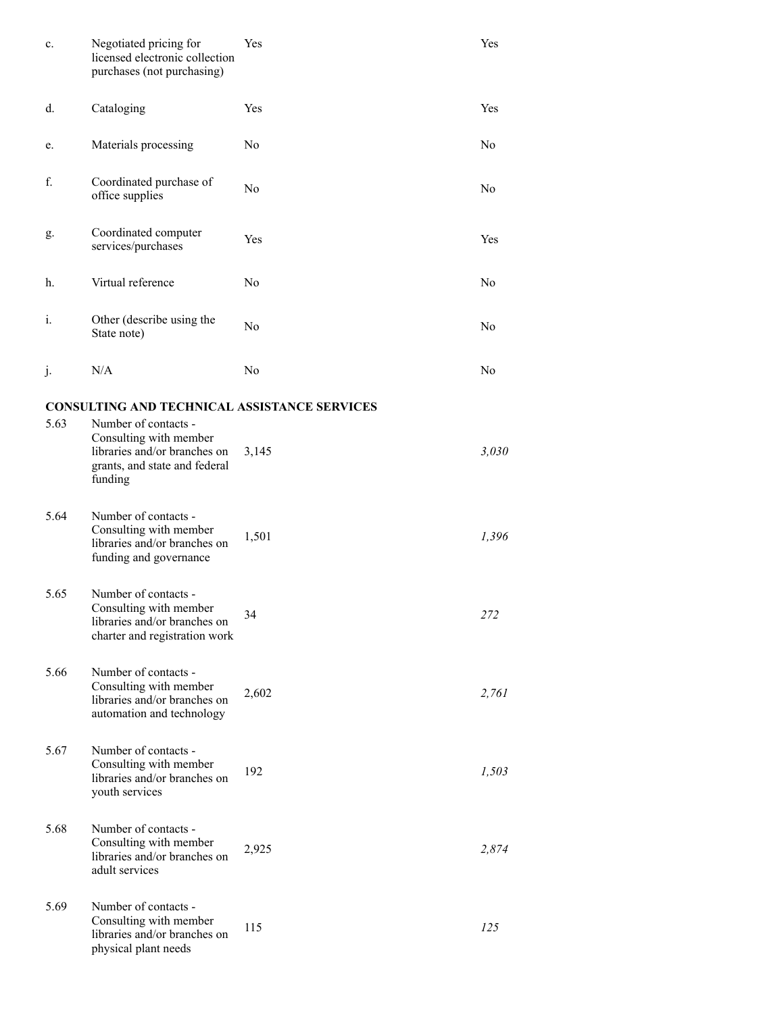| c.   | Negotiated pricing for<br>licensed electronic collection<br>purchases (not purchasing)                                     | Yes   | Yes            |
|------|----------------------------------------------------------------------------------------------------------------------------|-------|----------------|
| d.   | Cataloging                                                                                                                 | Yes   | Yes            |
| e.   | Materials processing                                                                                                       | No    | N <sub>o</sub> |
| f.   | Coordinated purchase of<br>office supplies                                                                                 | No    | No             |
| g.   | Coordinated computer<br>services/purchases                                                                                 | Yes   | Yes            |
| h.   | Virtual reference                                                                                                          | No    | N <sub>o</sub> |
| i.   | Other (describe using the<br>State note)                                                                                   | No    | No             |
| j.   | N/A                                                                                                                        | No    | No             |
|      | <b>CONSULTING AND TECHNICAL ASSISTANCE SERVICES</b>                                                                        |       |                |
| 5.63 | Number of contacts -<br>Consulting with member<br>libraries and/or branches on<br>grants, and state and federal<br>funding | 3,145 | 3,030          |
| 5.64 | Number of contacts -<br>Consulting with member<br>libraries and/or branches on<br>funding and governance                   | 1,501 | 1,396          |
| 5.65 | Number of contacts -<br>Consulting with member<br>libraries and/or branches on<br>charter and registration work            | 34    | 272            |
| 5.66 | Number of contacts -<br>Consulting with member<br>libraries and/or branches on<br>automation and technology                | 2,602 | 2,761          |
| 5.67 | Number of contacts -<br>Consulting with member<br>libraries and/or branches on<br>youth services                           | 192   | 1,503          |
| 5.68 | Number of contacts -<br>Consulting with member<br>libraries and/or branches on<br>adult services                           | 2,925 | 2,874          |
| 5.69 | Number of contacts -<br>Consulting with member<br>libraries and/or branches on<br>physical plant needs                     | 115   | 125            |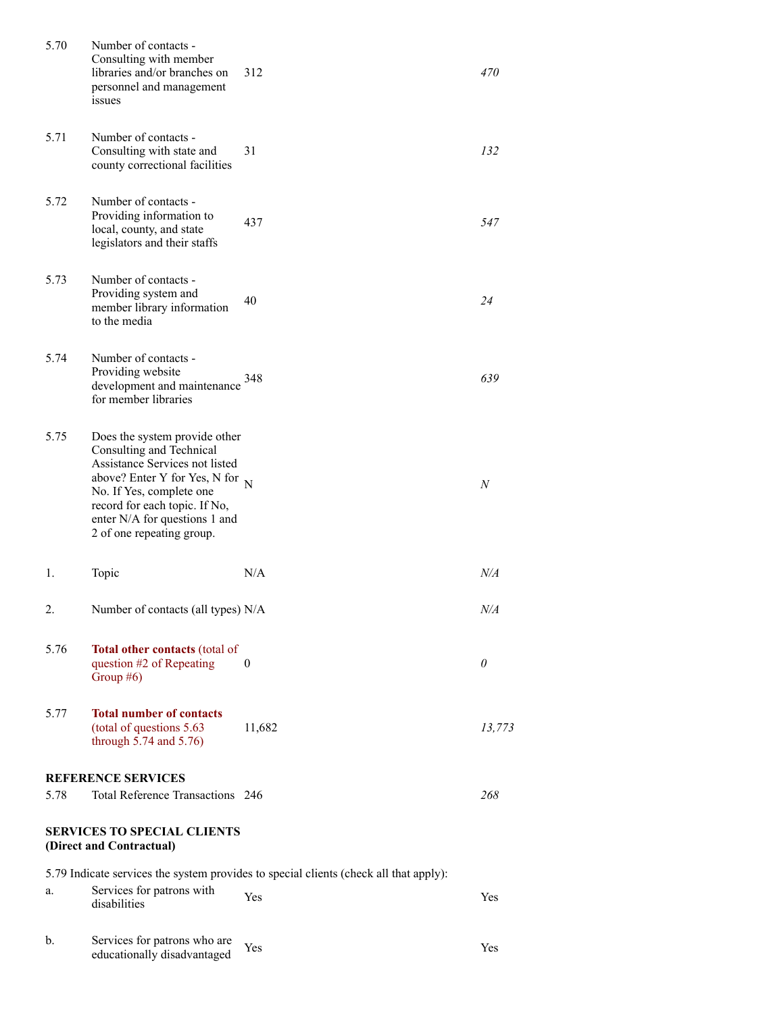| 5.70                                                           | Number of contacts -<br>Consulting with member<br>libraries and/or branches on<br>personnel and management<br>issues                                                                                                                                         | 312                                                                                   | 470      |
|----------------------------------------------------------------|--------------------------------------------------------------------------------------------------------------------------------------------------------------------------------------------------------------------------------------------------------------|---------------------------------------------------------------------------------------|----------|
| 5.71                                                           | Number of contacts -<br>Consulting with state and<br>county correctional facilities                                                                                                                                                                          | 31                                                                                    | 132      |
| 5.72                                                           | Number of contacts -<br>Providing information to<br>local, county, and state<br>legislators and their staffs                                                                                                                                                 | 437                                                                                   | 547      |
| 5.73                                                           | Number of contacts -<br>Providing system and<br>member library information<br>to the media                                                                                                                                                                   | 40                                                                                    | 24       |
| 5.74                                                           | Number of contacts -<br>Providing website<br>development and maintenance<br>for member libraries                                                                                                                                                             | 348                                                                                   | 639      |
| 5.75                                                           | Does the system provide other<br>Consulting and Technical<br>Assistance Services not listed<br>above? Enter Y for Yes, N for $_N$<br>No. If Yes, complete one<br>record for each topic. If No,<br>enter N/A for questions 1 and<br>2 of one repeating group. |                                                                                       | N        |
| 1.                                                             | Topic                                                                                                                                                                                                                                                        | N/A                                                                                   | N/A      |
| 2.                                                             | Number of contacts (all types) N/A                                                                                                                                                                                                                           |                                                                                       | N/A      |
| 5.76                                                           | Total other contacts (total of<br>question #2 of Repeating<br>Group $#6$ )                                                                                                                                                                                   | $\theta$                                                                              | $\theta$ |
| 5.77                                                           | <b>Total number of contacts</b><br>(total of questions 5.63<br>through $5.74$ and $5.76$ )                                                                                                                                                                   | 11,682                                                                                | 13,773   |
|                                                                | <b>REFERENCE SERVICES</b>                                                                                                                                                                                                                                    |                                                                                       |          |
| 5.78                                                           | Total Reference Transactions 246                                                                                                                                                                                                                             |                                                                                       | 268      |
| <b>SERVICES TO SPECIAL CLIENTS</b><br>(Direct and Contractual) |                                                                                                                                                                                                                                                              |                                                                                       |          |
|                                                                |                                                                                                                                                                                                                                                              | 5.79 Indicate services the system provides to special clients (check all that apply): |          |
| a.                                                             | Services for patrons with<br>disabilities                                                                                                                                                                                                                    | Yes                                                                                   | Yes      |
| b.                                                             | Services for patrons who are<br>educationally disadvantaged                                                                                                                                                                                                  | Yes                                                                                   | Yes      |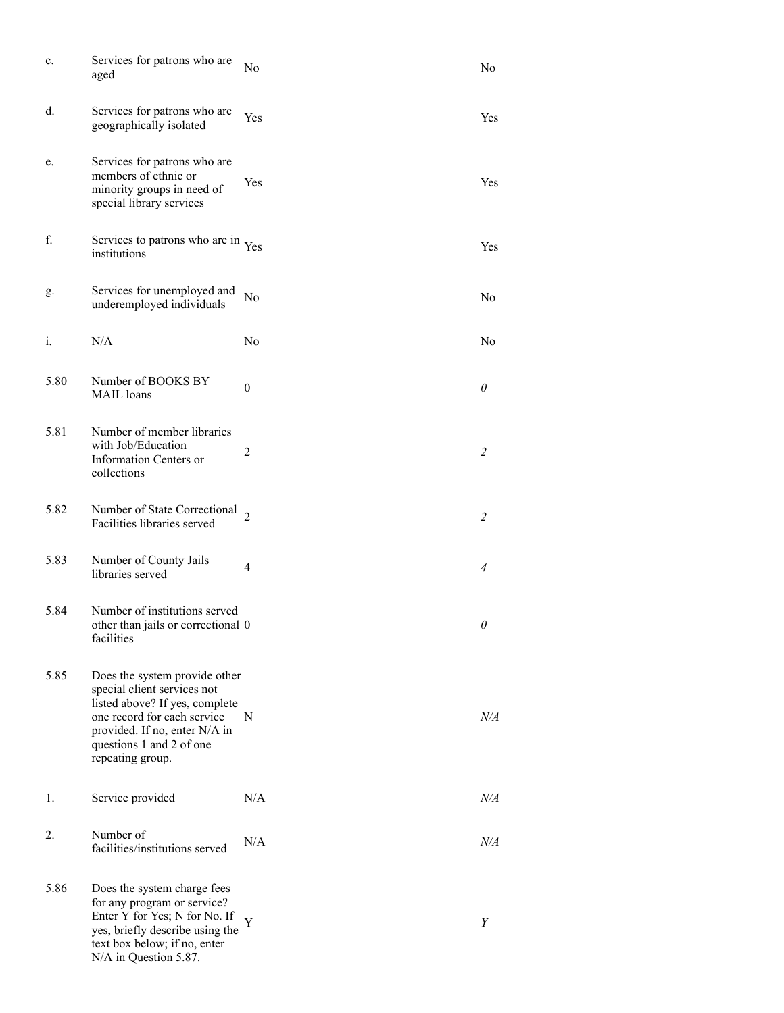| c.   | Services for patrons who are<br>aged                                                                                                                                                                           | No             | No                    |
|------|----------------------------------------------------------------------------------------------------------------------------------------------------------------------------------------------------------------|----------------|-----------------------|
| d.   | Services for patrons who are<br>geographically isolated                                                                                                                                                        | Yes            | Yes                   |
| e.   | Services for patrons who are<br>members of ethnic or<br>minority groups in need of<br>special library services                                                                                                 | Yes            | Yes                   |
| f.   | Services to patrons who are in Yes<br>institutions                                                                                                                                                             |                | Yes                   |
| g.   | Services for unemployed and<br>underemployed individuals                                                                                                                                                       | No             | No                    |
| i.   | N/A                                                                                                                                                                                                            | No             | No                    |
| 5.80 | Number of BOOKS BY<br><b>MAIL</b> loans                                                                                                                                                                        | $\theta$       | 0                     |
| 5.81 | Number of member libraries<br>with Job/Education<br>Information Centers or<br>collections                                                                                                                      | $\overline{2}$ | 2                     |
| 5.82 | Number of State Correctional<br>Facilities libraries served                                                                                                                                                    | $\overline{2}$ | $\overline{2}$        |
| 5.83 | Number of County Jails<br>libraries served                                                                                                                                                                     | 4              | $\overline{4}$        |
| 5.84 | Number of institutions served<br>other than jails or correctional 0<br>facilities                                                                                                                              |                | $\boldsymbol{\theta}$ |
| 5.85 | Does the system provide other<br>special client services not<br>listed above? If yes, complete<br>one record for each service<br>provided. If no, enter N/A in<br>questions 1 and 2 of one<br>repeating group. | N              | $N\!/\!A$             |
| 1.   | Service provided                                                                                                                                                                                               | N/A            | $N\!/\!A$             |
| 2.   | Number of<br>facilities/institutions served                                                                                                                                                                    | N/A            | N/A                   |
| 5.86 | Does the system charge fees<br>for any program or service?<br>Enter Y for Yes; N for No. If<br>yes, briefly describe using the<br>text box below; if no, enter<br>N/A in Question 5.87.                        | Y              | Y                     |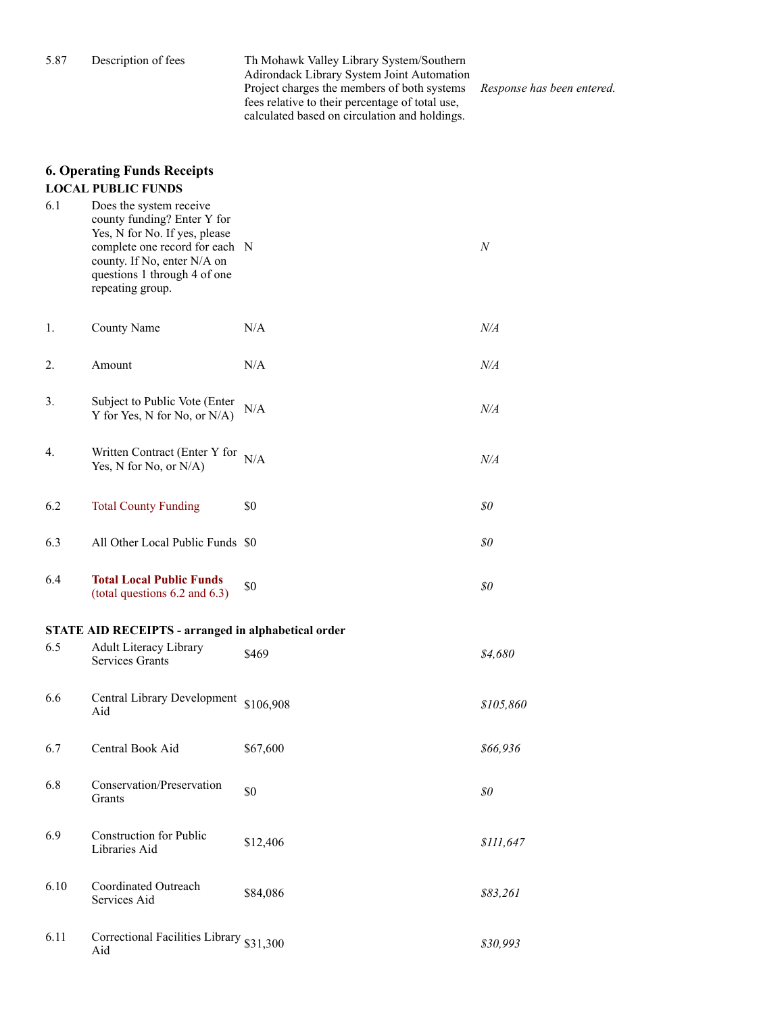5.87 Description of fees Th Mohawk Valley Library System/Southern Adirondack Library System Joint Automation Project charges the members of both systems fees relative to their percentage of total use, calculated based on circulation and holdings.

*Response has been entered.*

### **6. Operating Funds Receipts LOCAL PUBLIC FUNDS**

| 6.1  | Does the system receive<br>county funding? Enter Y for<br>Yes, N for No. If yes, please<br>complete one record for each N<br>county. If No, enter N/A on<br>questions 1 through 4 of one<br>repeating group. |           | $\boldsymbol{N}$ |
|------|--------------------------------------------------------------------------------------------------------------------------------------------------------------------------------------------------------------|-----------|------------------|
| 1.   | County Name                                                                                                                                                                                                  | N/A       | $N\!/\!A$        |
| 2.   | Amount                                                                                                                                                                                                       | N/A       | $N\!/\!A$        |
| 3.   | Subject to Public Vote (Enter<br>Y for Yes, N for No, or N/A)                                                                                                                                                | N/A       | $N\!/\!A$        |
| 4.   | Written Contract (Enter Y for<br>Yes, N for No, or N/A)                                                                                                                                                      | N/A       | N/A              |
| 6.2  | <b>Total County Funding</b>                                                                                                                                                                                  | \$0       | \$0              |
| 6.3  | All Other Local Public Funds \$0                                                                                                                                                                             |           | \$0              |
| 6.4  | <b>Total Local Public Funds</b><br>(total questions $6.2$ and $6.3$ )                                                                                                                                        | \$0       | \$0              |
|      | <b>STATE AID RECEIPTS - arranged in alphabetical order</b>                                                                                                                                                   |           |                  |
| 6.5  | Adult Literacy Library<br><b>Services Grants</b>                                                                                                                                                             | \$469     | \$4,680          |
| 6.6  | Central Library Development<br>Aid                                                                                                                                                                           | \$106,908 | \$105,860        |
| 6.7  | Central Book Aid                                                                                                                                                                                             | \$67,600  | \$66,936         |
| 6.8  | Conservation/Preservation<br>Grants                                                                                                                                                                          | \$0       | \$0              |
| 6.9  | <b>Construction for Public</b><br>Libraries Aid                                                                                                                                                              | \$12,406  | \$111,647        |
| 6.10 | Coordinated Outreach<br>Services Aid                                                                                                                                                                         | \$84,086  | \$83,261         |
| 6.11 | Correctional Facilities Library \$31,300<br>Aid                                                                                                                                                              |           | \$30,993         |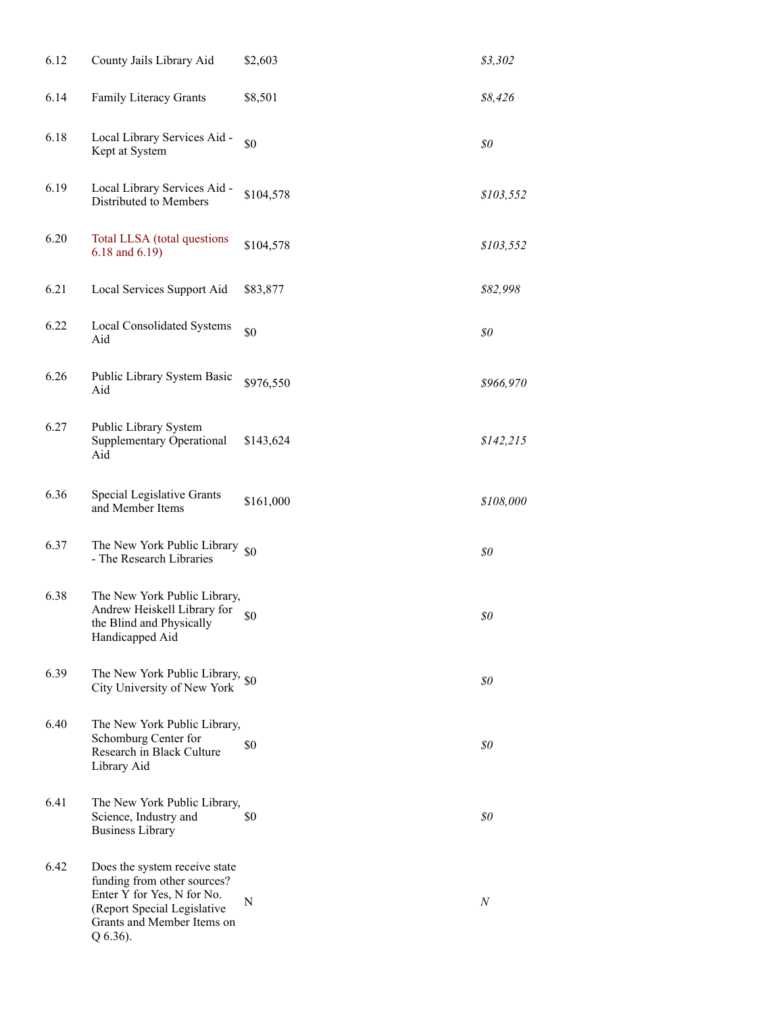| 6.12 | County Jails Library Aid                                                                                                                                            | \$2,603   | \$3,302                              |
|------|---------------------------------------------------------------------------------------------------------------------------------------------------------------------|-----------|--------------------------------------|
| 6.14 | Family Literacy Grants                                                                                                                                              | \$8,501   | \$8,426                              |
| 6.18 | Local Library Services Aid -<br>Kept at System                                                                                                                      | \$0       | \$0                                  |
| 6.19 | Local Library Services Aid -<br>Distributed to Members                                                                                                              | \$104,578 | \$103,552                            |
| 6.20 | Total LLSA (total questions<br>6.18 and 6.19)                                                                                                                       | \$104,578 | \$103,552                            |
| 6.21 | Local Services Support Aid                                                                                                                                          | \$83,877  | \$82,998                             |
| 6.22 | Local Consolidated Systems<br>Aid                                                                                                                                   | \$0       | $\mathcal{S}^{\scriptscriptstyle O}$ |
| 6.26 | Public Library System Basic<br>Aid                                                                                                                                  | \$976,550 | \$966,970                            |
| 6.27 | Public Library System<br><b>Supplementary Operational</b><br>Aid                                                                                                    | \$143,624 | \$142,215                            |
| 6.36 | Special Legislative Grants<br>and Member Items                                                                                                                      | \$161,000 | \$108,000                            |
| 6.37 | The New York Public Library<br>- The Research Libraries                                                                                                             | \$0       | \$0                                  |
| 6.38 | The New York Public Library,<br>Andrew Heiskell Library for<br>the Blind and Physically<br>Handicapped Aid                                                          | \$0       | \$0                                  |
| 6.39 | The New York Public Library, $\frac{1}{20}$<br>City University of New York                                                                                          |           | \$0                                  |
| 6.40 | The New York Public Library,<br>Schomburg Center for<br>Research in Black Culture<br>Library Aid                                                                    | \$0       | \$0                                  |
| 6.41 | The New York Public Library,<br>Science, Industry and<br><b>Business Library</b>                                                                                    | \$0       | \$0                                  |
| 6.42 | Does the system receive state<br>funding from other sources?<br>Enter Y for Yes, N for No.<br>(Report Special Legislative<br>Grants and Member Items on<br>Q 6.36). | N         | $\boldsymbol{N}$                     |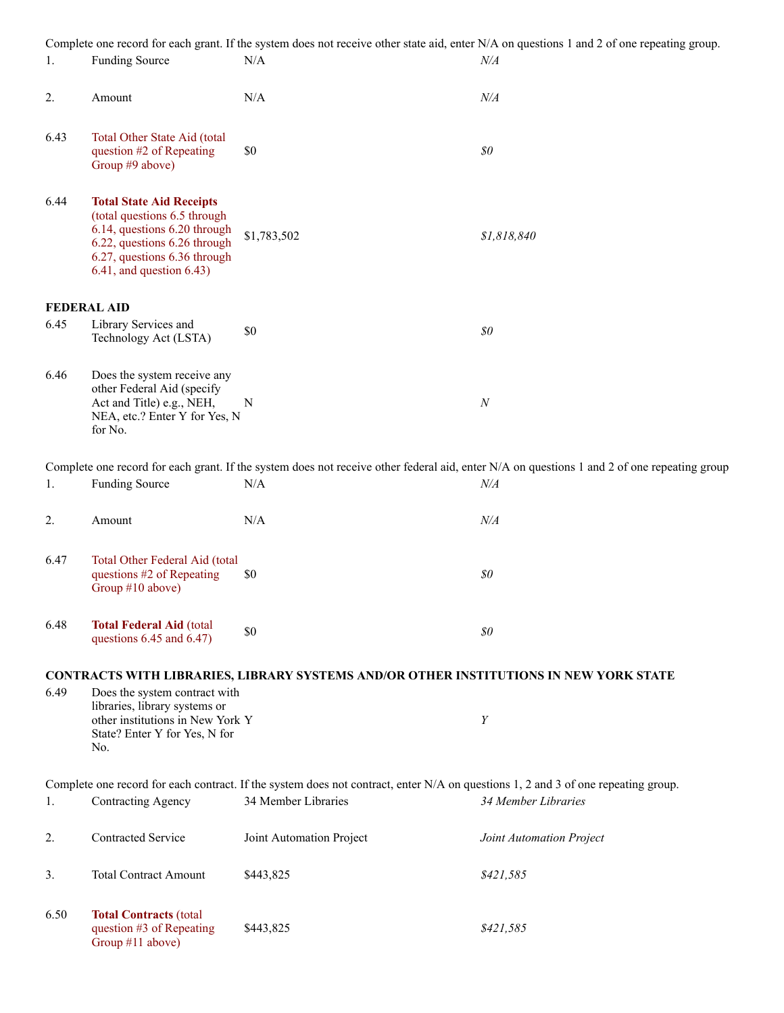Complete one record for each grant. If the system does not receive other state aid, enter N/A on questions 1 and 2 of one repeating group.

| 1.   | <b>Funding Source</b>                                                                                                                                                                             | N/A                                                                                   | Complete one record for each grant. If the system does not receive other state aid, enter N/A on questions 1 and 2 of one repeating group.<br>$N\!/\!A$ |
|------|---------------------------------------------------------------------------------------------------------------------------------------------------------------------------------------------------|---------------------------------------------------------------------------------------|---------------------------------------------------------------------------------------------------------------------------------------------------------|
| 2.   | Amount                                                                                                                                                                                            | $\rm N/A$                                                                             | $N\!/\!A$                                                                                                                                               |
| 6.43 | Total Other State Aid (total<br>question #2 of Repeating<br>Group #9 above)                                                                                                                       | \$0                                                                                   | \$0\$                                                                                                                                                   |
| 6.44 | <b>Total State Aid Receipts</b><br>(total questions 6.5 through<br>6.14, questions 6.20 through<br>6.22, questions 6.26 through<br>6.27, questions 6.36 through<br>$6.41$ , and question $6.43$ ) | \$1,783,502                                                                           | \$1,818,840                                                                                                                                             |
|      | <b>FEDERAL AID</b>                                                                                                                                                                                |                                                                                       |                                                                                                                                                         |
| 6.45 | Library Services and<br>Technology Act (LSTA)                                                                                                                                                     | \$0                                                                                   | \$0\$                                                                                                                                                   |
| 6.46 | Does the system receive any<br>other Federal Aid (specify<br>Act and Title) e.g., NEH,<br>NEA, etc.? Enter Y for Yes, N<br>for No.                                                                | N                                                                                     | $\cal N$                                                                                                                                                |
|      |                                                                                                                                                                                                   |                                                                                       | Complete one record for each grant. If the system does not receive other federal aid, enter N/A on questions 1 and 2 of one repeating group             |
| 1.   | <b>Funding Source</b>                                                                                                                                                                             | N/A                                                                                   | $N\!/\!A$                                                                                                                                               |
| 2.   | Amount                                                                                                                                                                                            | N/A                                                                                   | $N\!/\!A$                                                                                                                                               |
| 6.47 | Total Other Federal Aid (total<br>questions #2 of Repeating<br>Group #10 above)                                                                                                                   | \$0                                                                                   | $\mathcal{S}^{\scriptscriptstyle O}$                                                                                                                    |
| 6.48 | <b>Total Federal Aid (total</b><br>questions 6.45 and 6.47)                                                                                                                                       | \$0                                                                                   | \$0                                                                                                                                                     |
|      |                                                                                                                                                                                                   | CONTRACTS WITH LIBRARIES, LIBRARY SYSTEMS AND/OR OTHER INSTITUTIONS IN NEW YORK STATE |                                                                                                                                                         |
| 6.49 | Does the system contract with<br>libraries, library systems or<br>other institutions in New York Y<br>State? Enter Y for Yes, N for                                                               |                                                                                       | Y                                                                                                                                                       |

Complete one record for each contract. If the system does not contract, enter N/A on questions 1, 2 and 3 of one repeating group. 1. Contracting Agency 34 Member Libraries *34 Member Libraries*

|      | <b>Contracted Service</b>                                                      | Joint Automation Project | Joint Automation Project |
|------|--------------------------------------------------------------------------------|--------------------------|--------------------------|
| 3.   | <b>Total Contract Amount</b>                                                   | \$443,825                | \$421,585                |
| 6.50 | <b>Total Contracts (total)</b><br>question #3 of Repeating<br>Group #11 above) | \$443,825                | \$421,585                |

No.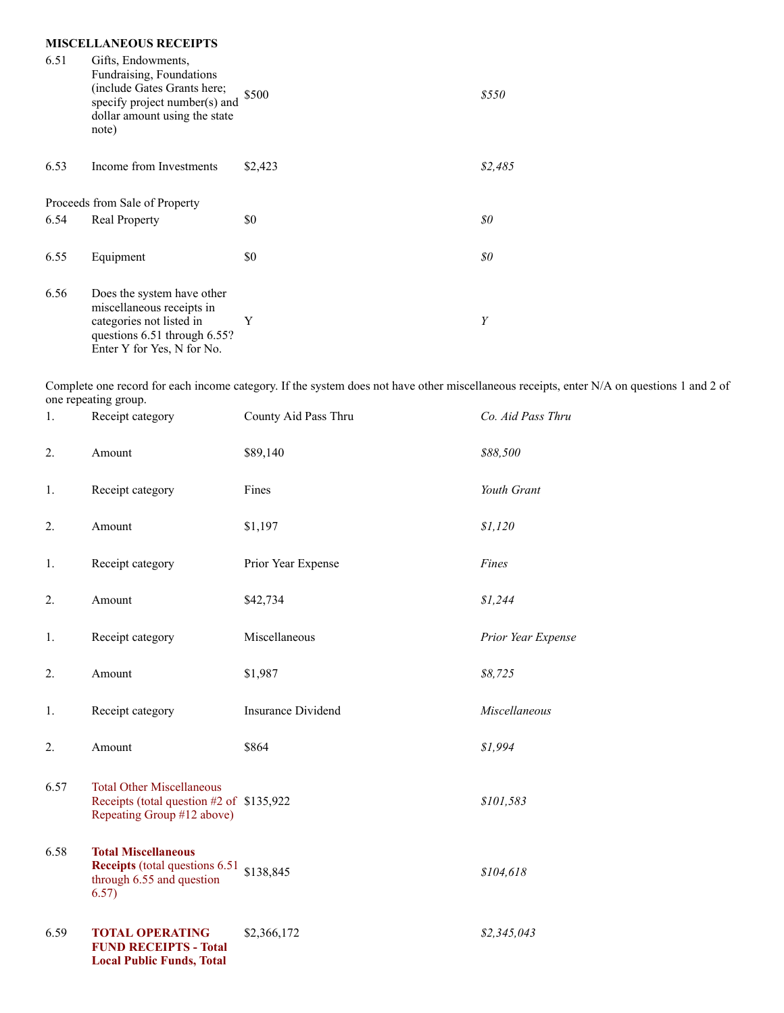### **MISCELLANEOUS RECEIPTS**

| 6.51 | Gifts, Endowments,<br>Fundraising, Foundations<br>(include Gates Grants here;<br>specify project number(s) and<br>dollar amount using the state<br>note) | \$500   | \$550   |
|------|----------------------------------------------------------------------------------------------------------------------------------------------------------|---------|---------|
| 6.53 | Income from Investments                                                                                                                                  | \$2,423 | \$2,485 |
|      | Proceeds from Sale of Property                                                                                                                           |         |         |
| 6.54 | <b>Real Property</b>                                                                                                                                     | \$0     | 80      |
| 6.55 | Equipment                                                                                                                                                | \$0     | 80      |
| 6.56 | Does the system have other<br>miscellaneous receipts in<br>categories not listed in<br>questions 6.51 through 6.55?<br>Enter Y for Yes, N for No.        | Y       | Y       |

Complete one record for each income category. If the system does not have other miscellaneous receipts, enter N/A on questions 1 and 2 of one repeating group.<br>1 Receipt cate

| 1.   | Receipt category                                                                                                     | County Aid Pass Thru      | Co. Aid Pass Thru  |
|------|----------------------------------------------------------------------------------------------------------------------|---------------------------|--------------------|
| 2.   | Amount                                                                                                               | \$89,140                  | \$88,500           |
| 1.   | Receipt category                                                                                                     | Fines                     | Youth Grant        |
| 2.   | Amount                                                                                                               | \$1,197                   | \$1,120            |
| 1.   | Receipt category                                                                                                     | Prior Year Expense        | Fines              |
| 2.   | Amount                                                                                                               | \$42,734                  | \$1,244            |
| 1.   | Receipt category                                                                                                     | Miscellaneous             | Prior Year Expense |
| 2.   | Amount                                                                                                               | \$1,987                   | \$8,725            |
| 1.   | Receipt category                                                                                                     | <b>Insurance Dividend</b> | Miscellaneous      |
| 2.   | Amount                                                                                                               | \$864                     | \$1,994            |
| 6.57 | <b>Total Other Miscellaneous</b><br>Receipts (total question #2 of \$135,922<br>Repeating Group #12 above)           |                           | \$101,583          |
| 6.58 | <b>Total Miscellaneous</b><br><b>Receipts</b> (total questions 6.51 \$138,845)<br>through 6.55 and question<br>6.57) |                           | \$104,618          |
| 6.59 | <b>TOTAL OPERATING</b><br><b>FUND RECEIPTS - Total</b><br><b>Local Public Funds, Total</b>                           | \$2,366,172               | \$2,345,043        |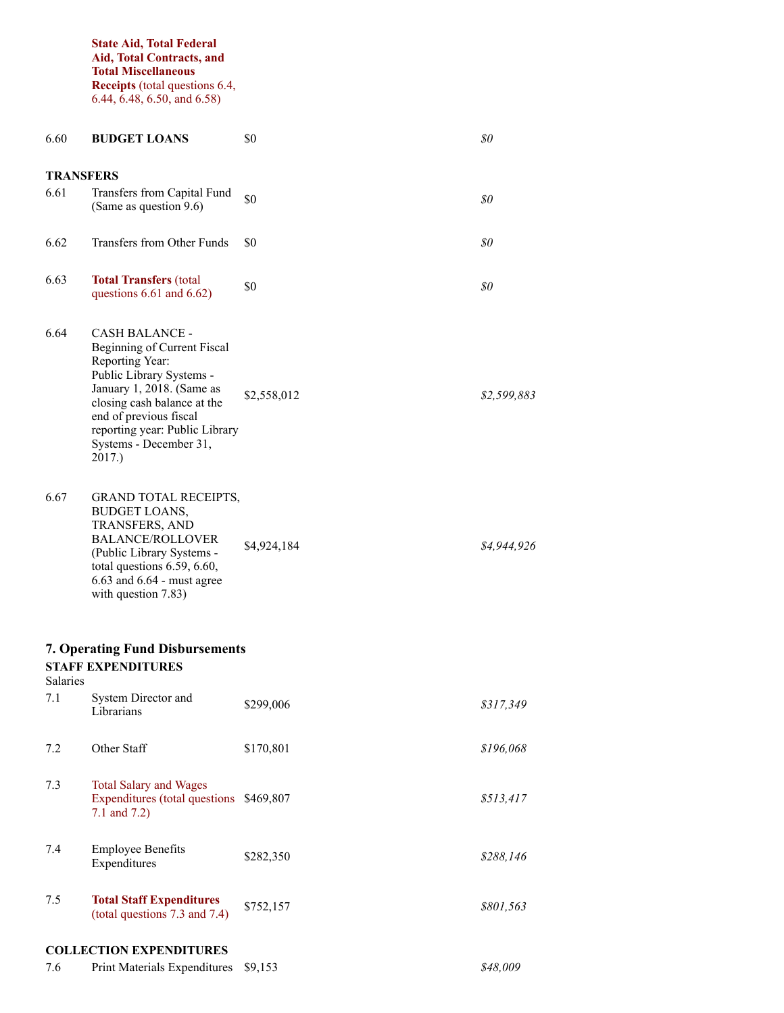**State Aid, Total Federal Aid, Total Contracts, and Total Miscellaneous Receipts** (total questions 6.4, 6.44, 6.48, 6.50, and 6.58)

| 6.60             | <b>BUDGET LOANS</b>                                                                                                                                                                                                                                             | \$0         | \$0         |
|------------------|-----------------------------------------------------------------------------------------------------------------------------------------------------------------------------------------------------------------------------------------------------------------|-------------|-------------|
| <b>TRANSFERS</b> |                                                                                                                                                                                                                                                                 |             |             |
| 6.61             | Transfers from Capital Fund<br>(Same as question 9.6)                                                                                                                                                                                                           | \$0         | \$0         |
| 6.62             | Transfers from Other Funds                                                                                                                                                                                                                                      | \$0         | 80          |
| 6.63             | <b>Total Transfers (total</b><br>questions $6.61$ and $6.62$ )                                                                                                                                                                                                  | \$0         | \$0         |
| 6.64             | <b>CASH BALANCE -</b><br>Beginning of Current Fiscal<br>Reporting Year:<br>Public Library Systems -<br>January 1, 2018. (Same as<br>closing cash balance at the<br>end of previous fiscal<br>reporting year: Public Library<br>Systems - December 31,<br>2017.) | \$2,558,012 | \$2,599,883 |
| 6.67             | <b>GRAND TOTAL RECEIPTS,</b><br><b>BUDGET LOANS,</b><br>TRANSFERS, AND<br><b>BALANCE/ROLLOVER</b><br>(Public Library Systems -<br>total questions 6.59, 6.60,<br>6.63 and 6.64 - must agree<br>with question 7.83)                                              | \$4,924,184 | \$4,944,926 |
|                  | <b>7. Operating Fund Disbursements</b>                                                                                                                                                                                                                          |             |             |
| <b>Salaries</b>  | <b>STAFF EXPENDITURES</b>                                                                                                                                                                                                                                       |             |             |
| 7.1              | System Director and<br>Librarians                                                                                                                                                                                                                               | \$299,006   | \$317,349   |
| 7.2              | Other Staff                                                                                                                                                                                                                                                     | \$170,801   | \$196,068   |
| 7.3              | <b>Total Salary and Wages</b><br>Expenditures (total questions \$469,807<br>7.1 and $7.2$ )                                                                                                                                                                     |             | \$513,417   |
| 7.4              | <b>Employee Benefits</b><br>Expenditures                                                                                                                                                                                                                        | \$282,350   | \$288,146   |
| 7.5              | <b>Total Staff Expenditures</b><br>(total questions 7.3 and 7.4)                                                                                                                                                                                                | \$752,157   | \$801,563   |
|                  | <b>COLLECTION EXPENDITURES</b>                                                                                                                                                                                                                                  |             |             |
| 7.6              | Print Materials Expenditures                                                                                                                                                                                                                                    | \$9,153     | \$48,009    |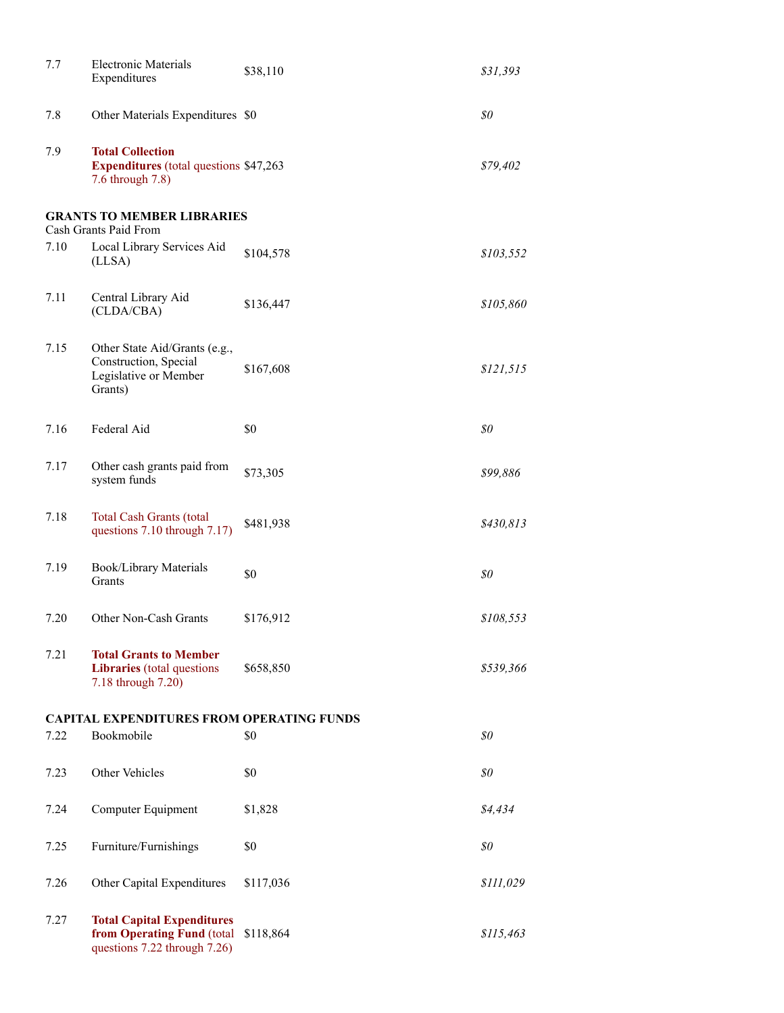| 7.7  | <b>Electronic Materials</b><br>Expenditures                                                     | \$38,110  | \$31,393  |
|------|-------------------------------------------------------------------------------------------------|-----------|-----------|
| 7.8  | Other Materials Expenditures \$0                                                                |           | \$0       |
| 7.9  | <b>Total Collection</b><br><b>Expenditures</b> (total questions \$47,263)<br>7.6 through 7.8)   |           | \$79,402  |
|      | <b>GRANTS TO MEMBER LIBRARIES</b><br>Cash Grants Paid From                                      |           |           |
| 7.10 | Local Library Services Aid<br>(LLSA)                                                            | \$104,578 | \$103,552 |
| 7.11 | Central Library Aid<br>(CLDA/CBA)                                                               | \$136,447 | \$105,860 |
| 7.15 | Other State Aid/Grants (e.g.,<br>Construction, Special<br>Legislative or Member<br>Grants)      | \$167,608 | \$121,515 |
| 7.16 | Federal Aid                                                                                     | \$0       | \$0       |
| 7.17 | Other cash grants paid from<br>system funds                                                     | \$73,305  | \$99,886  |
| 7.18 | <b>Total Cash Grants (total</b><br>questions 7.10 through 7.17)                                 | \$481,938 | \$430,813 |
| 7.19 | Book/Library Materials<br>Grants                                                                | \$0       | \$0       |
| 7.20 | Other Non-Cash Grants                                                                           | \$176,912 | \$108,553 |
| 7.21 | <b>Total Grants to Member</b><br>Libraries (total questions<br>7.18 through 7.20)               | \$658,850 | \$539,366 |
|      | <b>CAPITAL EXPENDITURES FROM OPERATING FUNDS</b>                                                |           |           |
| 7.22 | Bookmobile                                                                                      | \$0       | 80        |
| 7.23 | Other Vehicles                                                                                  | \$0       | \$0       |
| 7.24 | Computer Equipment                                                                              | \$1,828   | \$4,434   |
| 7.25 | Furniture/Furnishings                                                                           | \$0       | \$0       |
| 7.26 | Other Capital Expenditures                                                                      | \$117,036 | \$111,029 |
| 7.27 | <b>Total Capital Expenditures</b><br>from Operating Fund (total<br>questions 7.22 through 7.26) | \$118,864 | \$115,463 |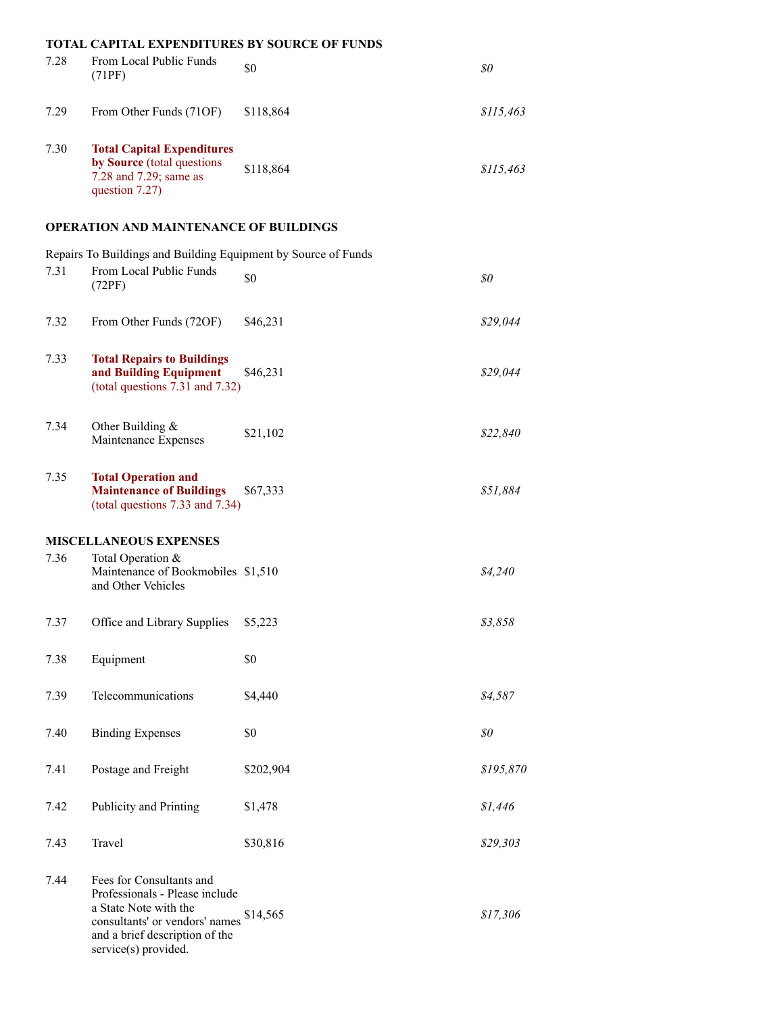|      | <b>TOTAL CAPITAL EXPENDITURES BY SOURCE OF FUNDS</b>                                                                                                                            |           |           |
|------|---------------------------------------------------------------------------------------------------------------------------------------------------------------------------------|-----------|-----------|
| 7.28 | From Local Public Funds<br>(71PF)                                                                                                                                               | \$0       | \$0\$     |
| 7.29 | From Other Funds (71OF)                                                                                                                                                         | \$118,864 | \$115,463 |
| 7.30 | <b>Total Capital Expenditures</b><br>by Source (total questions<br>7.28 and 7.29; same as<br>question 7.27)                                                                     | \$118,864 | \$115,463 |
|      | <b>OPERATION AND MAINTENANCE OF BUILDINGS</b>                                                                                                                                   |           |           |
| 7.31 | Repairs To Buildings and Building Equipment by Source of Funds<br>From Local Public Funds<br>(72PF)                                                                             | \$0       | \$0       |
| 7.32 | From Other Funds (72OF)                                                                                                                                                         | \$46,231  | \$29,044  |
| 7.33 | <b>Total Repairs to Buildings</b><br>and Building Equipment<br>(total questions 7.31 and 7.32)                                                                                  | \$46,231  | \$29,044  |
| 7.34 | Other Building $&$<br>Maintenance Expenses                                                                                                                                      | \$21,102  | \$22,840  |
| 7.35 | <b>Total Operation and</b><br><b>Maintenance of Buildings</b><br>(total questions 7.33 and 7.34)                                                                                | \$67,333  | \$51,884  |
|      | <b>MISCELLANEOUS EXPENSES</b>                                                                                                                                                   |           |           |
| 7.36 | Total Operation &<br>Maintenance of Bookmobiles \$1,510<br>and Other Vehicles                                                                                                   |           | \$4,240   |
| 7.37 | Office and Library Supplies                                                                                                                                                     | \$5,223   | \$3,858   |
| 7.38 | Equipment                                                                                                                                                                       | \$0       |           |
| 7.39 | Telecommunications                                                                                                                                                              | \$4,440   | \$4,587   |
| 7.40 | <b>Binding Expenses</b>                                                                                                                                                         | \$0       | \$0       |
| 7.41 | Postage and Freight                                                                                                                                                             | \$202,904 | \$195,870 |
| 7.42 | Publicity and Printing                                                                                                                                                          | \$1,478   | \$1,446   |
| 7.43 | Travel                                                                                                                                                                          | \$30,816  | \$29,303  |
| 7.44 | Fees for Consultants and<br>Professionals - Please include<br>a State Note with the<br>consultants' or vendors' names<br>and a brief description of the<br>service(s) provided. | \$14,565  | \$17,306  |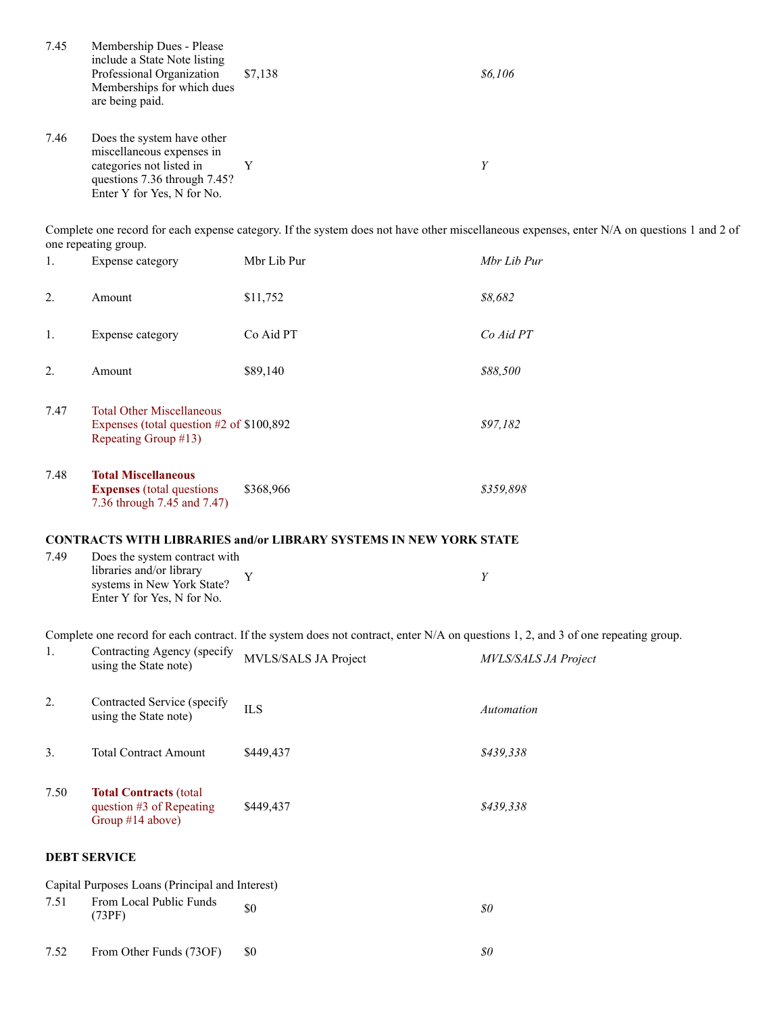| 7.45 | Membership Dues - Please<br>include a State Note listing<br>Professional Organization<br>Memberships for which dues<br>are being paid.            | \$7,138                                                                                                                            | \$6,106                                                                                                                                    |
|------|---------------------------------------------------------------------------------------------------------------------------------------------------|------------------------------------------------------------------------------------------------------------------------------------|--------------------------------------------------------------------------------------------------------------------------------------------|
| 7.46 | Does the system have other<br>miscellaneous expenses in<br>categories not listed in<br>questions 7.36 through 7.45?<br>Enter Y for Yes, N for No. | Y                                                                                                                                  | $\boldsymbol{Y}$                                                                                                                           |
|      | one repeating group.                                                                                                                              |                                                                                                                                    | Complete one record for each expense category. If the system does not have other miscellaneous expenses, enter N/A on questions 1 and 2 of |
| 1.   | Expense category                                                                                                                                  | Mbr Lib Pur                                                                                                                        | Mbr Lib Pur                                                                                                                                |
| 2.   | Amount                                                                                                                                            | \$11,752                                                                                                                           | \$8,682                                                                                                                                    |
| 1.   | Expense category                                                                                                                                  | Co Aid PT                                                                                                                          | Co Aid PT                                                                                                                                  |
| 2.   | Amount                                                                                                                                            | \$89,140                                                                                                                           | \$88,500                                                                                                                                   |
| 7.47 | <b>Total Other Miscellaneous</b><br>Expenses (total question $#2$ of \$100,892<br>Repeating Group #13)                                            |                                                                                                                                    | \$97,182                                                                                                                                   |
| 7.48 | <b>Total Miscellaneous</b><br><b>Expenses</b> (total questions<br>7.36 through 7.45 and 7.47)                                                     | \$368,966                                                                                                                          | \$359,898                                                                                                                                  |
|      |                                                                                                                                                   | <b>CONTRACTS WITH LIBRARIES and/or LIBRARY SYSTEMS IN NEW YORK STATE</b>                                                           |                                                                                                                                            |
| 7.49 | Does the system contract with<br>libraries and/or library<br>systems in New York State?<br>Enter Y for Yes, N for No.                             | Y                                                                                                                                  | Y                                                                                                                                          |
|      |                                                                                                                                                   | Complete one record for each contract. If the system does not contract, enter N/A on questions 1, 2, and 3 of one repeating group. |                                                                                                                                            |
| 1.   | Contracting Agency (specify<br>using the State note)                                                                                              | MVLS/SALS JA Project                                                                                                               | <b>MVLS/SALS JA Project</b>                                                                                                                |
| 2.   | Contracted Service (specify<br>using the State note)                                                                                              | <b>ILS</b>                                                                                                                         | Automation                                                                                                                                 |
| 3.   | <b>Total Contract Amount</b>                                                                                                                      | \$449,437                                                                                                                          | \$439,338                                                                                                                                  |
| 7.50 | <b>Total Contracts (total</b><br>question #3 of Repeating<br>Group #14 above)                                                                     | \$449,437                                                                                                                          | \$439,338                                                                                                                                  |
|      | <b>DEBT SERVICE</b>                                                                                                                               |                                                                                                                                    |                                                                                                                                            |
|      | Capital Purposes Loans (Principal and Interest)                                                                                                   |                                                                                                                                    |                                                                                                                                            |
| 7.51 | From Local Public Funds<br>(73PF)                                                                                                                 | \$0                                                                                                                                | \$0\$                                                                                                                                      |
| 7.52 | From Other Funds (73OF)                                                                                                                           | \$0                                                                                                                                | $\$0$                                                                                                                                      |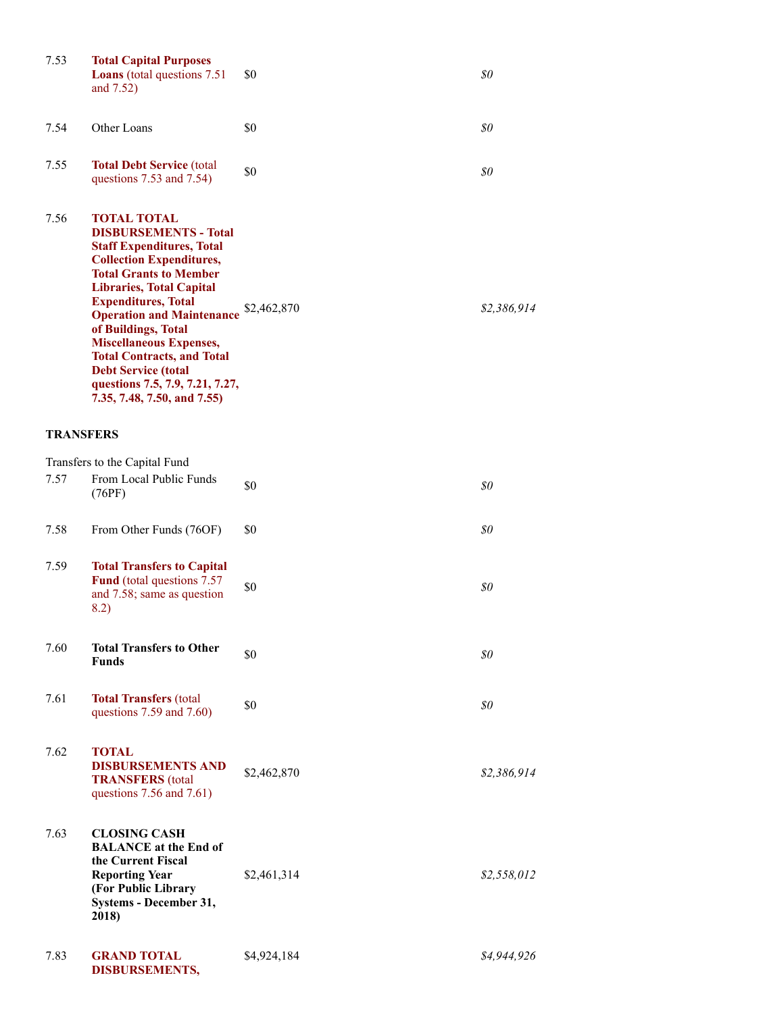| 7.53             | <b>Total Capital Purposes</b><br><b>Loans</b> (total questions 7.51)<br>and 7.52)                                                                                                                                                                                                                                                                                                                                                                             | \$0         | \$0                                  |
|------------------|---------------------------------------------------------------------------------------------------------------------------------------------------------------------------------------------------------------------------------------------------------------------------------------------------------------------------------------------------------------------------------------------------------------------------------------------------------------|-------------|--------------------------------------|
| 7.54             | Other Loans                                                                                                                                                                                                                                                                                                                                                                                                                                                   | \$0         | $\mathcal{S}^{\scriptscriptstyle O}$ |
| 7.55             | <b>Total Debt Service (total</b><br>questions 7.53 and 7.54)                                                                                                                                                                                                                                                                                                                                                                                                  | \$0         | \$0                                  |
| 7.56             | <b>TOTAL TOTAL</b><br><b>DISBURSEMENTS - Total</b><br><b>Staff Expenditures, Total</b><br><b>Collection Expenditures,</b><br><b>Total Grants to Member</b><br><b>Libraries, Total Capital</b><br><b>Expenditures, Total</b><br><b>Operation and Maintenance</b><br>of Buildings, Total<br><b>Miscellaneous Expenses,</b><br><b>Total Contracts, and Total</b><br><b>Debt Service (total</b><br>questions 7.5, 7.9, 7.21, 7.27,<br>7.35, 7.48, 7.50, and 7.55) | \$2,462,870 | \$2,386,914                          |
| <b>TRANSFERS</b> |                                                                                                                                                                                                                                                                                                                                                                                                                                                               |             |                                      |
|                  | Transfers to the Capital Fund                                                                                                                                                                                                                                                                                                                                                                                                                                 |             |                                      |
| 7.57             | From Local Public Funds<br>(76PF)                                                                                                                                                                                                                                                                                                                                                                                                                             | \$0         | \$0                                  |
| 7.58             | From Other Funds (76OF)                                                                                                                                                                                                                                                                                                                                                                                                                                       | \$0         | \$0                                  |
| 7.59             | <b>Total Transfers to Capital</b><br><b>Fund</b> (total questions 7.57)<br>and 7.58; same as question<br>8.2)                                                                                                                                                                                                                                                                                                                                                 | \$0         | \$0                                  |
| 7.60             | <b>Total Transfers to Other</b><br><b>Funds</b>                                                                                                                                                                                                                                                                                                                                                                                                               | \$0         | \$0                                  |
| 7.61             | <b>Total Transfers (total</b><br>questions 7.59 and 7.60)                                                                                                                                                                                                                                                                                                                                                                                                     | \$0         | 80                                   |
| 7.62             | <b>TOTAL</b><br><b>DISBURSEMENTS AND</b><br><b>TRANSFERS</b> (total<br>questions 7.56 and 7.61)                                                                                                                                                                                                                                                                                                                                                               | \$2,462,870 | \$2,386,914                          |
| 7.63             | <b>CLOSING CASH</b><br><b>BALANCE</b> at the End of<br>the Current Fiscal<br><b>Reporting Year</b><br>(For Public Library<br>Systems - December 31,<br>2018)                                                                                                                                                                                                                                                                                                  | \$2,461,314 | \$2,558,012                          |
| 7.83             | <b>GRAND TOTAL</b><br><b>DISBURSEMENTS,</b>                                                                                                                                                                                                                                                                                                                                                                                                                   | \$4,924,184 | \$4,944,926                          |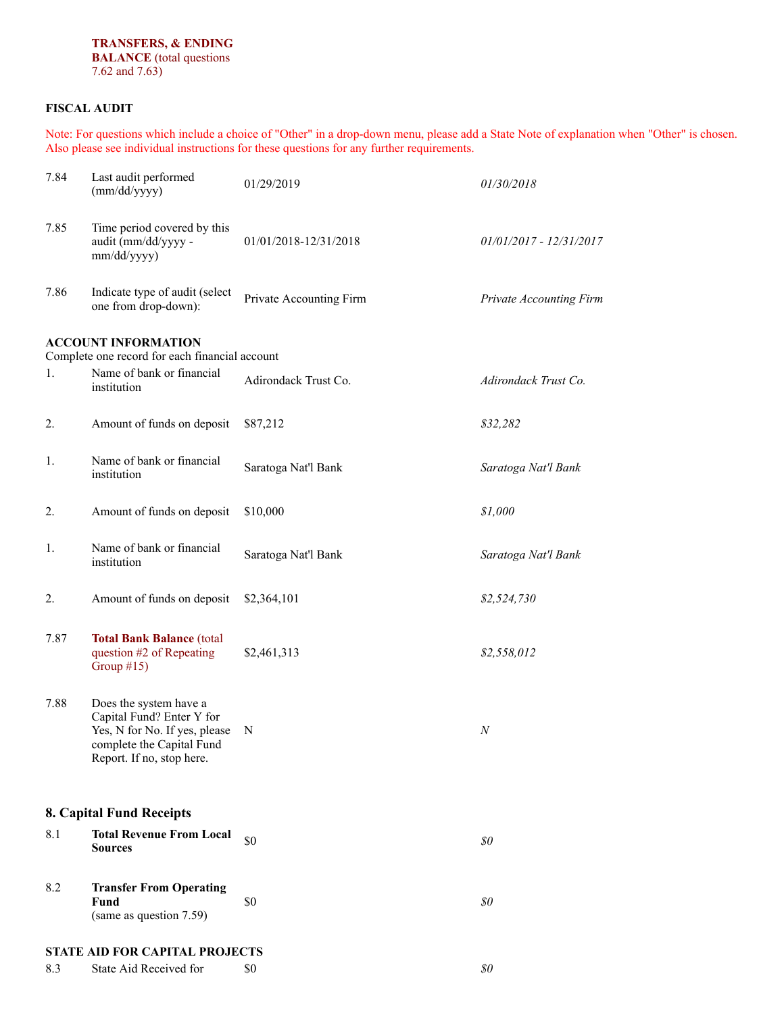### **FISCAL AUDIT**

Note: For questions which include a choice of "Other" in a drop-down menu, please add a State Note of explanation when "Other" is chosen. Also please see individual instructions for these questions for any further requirements.

| 7.84 | Last audit performed<br>(mm/dd/yyyy)                                                                                                           | 01/29/2019              | 01/30/2018                |  |
|------|------------------------------------------------------------------------------------------------------------------------------------------------|-------------------------|---------------------------|--|
| 7.85 | Time period covered by this<br>audit (mm/dd/yyyy-<br>mm/dd/yyyy)                                                                               | 01/01/2018-12/31/2018   | $01/01/2017 - 12/31/2017$ |  |
| 7.86 | Indicate type of audit (select<br>one from drop-down):                                                                                         | Private Accounting Firm | Private Accounting Firm   |  |
|      | <b>ACCOUNT INFORMATION</b>                                                                                                                     |                         |                           |  |
| 1.   | Complete one record for each financial account<br>Name of bank or financial                                                                    |                         |                           |  |
|      | institution                                                                                                                                    | Adirondack Trust Co.    | Adirondack Trust Co.      |  |
| 2.   | Amount of funds on deposit                                                                                                                     | \$87,212                | \$32,282                  |  |
| 1.   | Name of bank or financial<br>institution                                                                                                       | Saratoga Nat'l Bank     | Saratoga Nat'l Bank       |  |
| 2.   | Amount of funds on deposit                                                                                                                     | \$10,000                | \$1,000                   |  |
| 1.   | Name of bank or financial<br>institution                                                                                                       | Saratoga Nat'l Bank     | Saratoga Nat'l Bank       |  |
| 2.   | Amount of funds on deposit                                                                                                                     | \$2,364,101             | \$2,524,730               |  |
| 7.87 | <b>Total Bank Balance (total</b><br>question #2 of Repeating<br>Group $#15$ )                                                                  | \$2,461,313             | \$2,558,012               |  |
| 7.88 | Does the system have a<br>Capital Fund? Enter Y for<br>Yes, N for No. If yes, please<br>complete the Capital Fund<br>Report. If no, stop here. | N                       | N                         |  |
|      | 8. Capital Fund Receipts                                                                                                                       |                         |                           |  |
| 8.1  | <b>Total Revenue From Local</b><br><b>Sources</b>                                                                                              | \$0                     | \$0\$                     |  |
| 8.2  | <b>Transfer From Operating</b><br>Fund<br>(same as question 7.59)                                                                              | \$0                     | \$0\$                     |  |
|      | STATE AID FOR CAPITAL PROJECTS                                                                                                                 |                         |                           |  |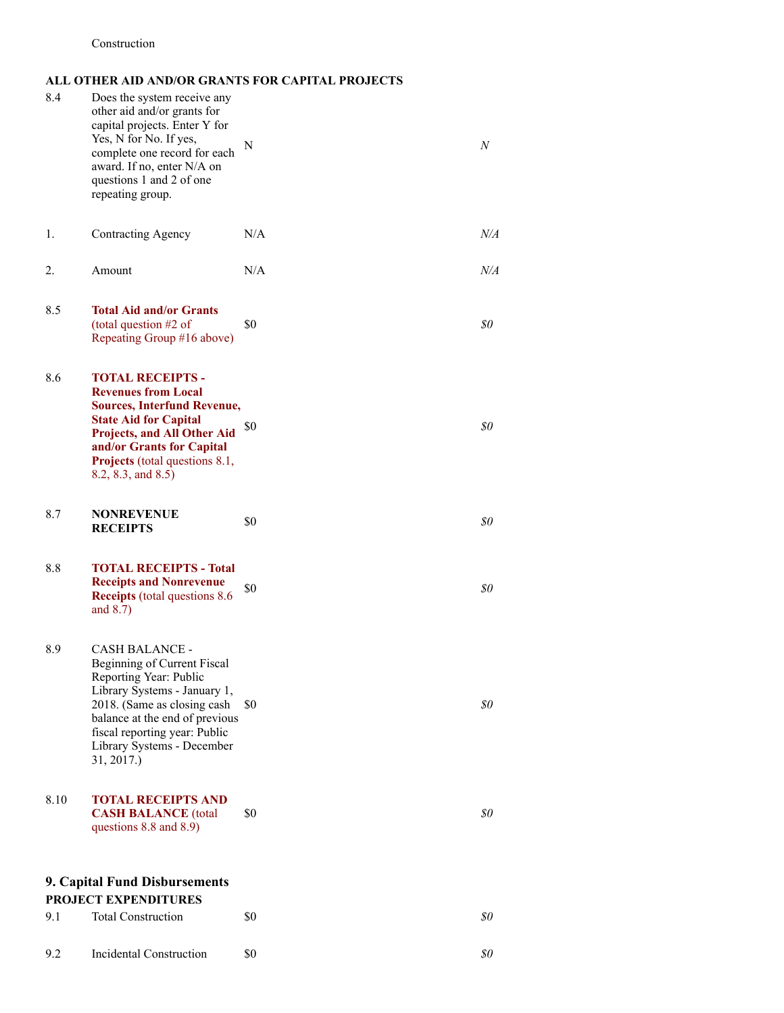### **ALL OTHER AID AND/OR GRANTS FOR CAPITAL PROJECTS**

| 8.4  | Does the system receive any<br>other aid and/or grants for<br>capital projects. Enter Y for<br>Yes, N for No. If yes,<br>complete one record for each<br>award. If no, enter N/A on<br>questions 1 and 2 of one<br>repeating group.                           | N   | N         |
|------|---------------------------------------------------------------------------------------------------------------------------------------------------------------------------------------------------------------------------------------------------------------|-----|-----------|
| 1.   | Contracting Agency                                                                                                                                                                                                                                            | N/A | $N\!/\!A$ |
| 2.   | Amount                                                                                                                                                                                                                                                        | N/A | N/A       |
| 8.5  | <b>Total Aid and/or Grants</b><br>(total question #2 of<br>Repeating Group #16 above)                                                                                                                                                                         | \$0 | 80        |
| 8.6  | <b>TOTAL RECEIPTS -</b><br><b>Revenues from Local</b><br><b>Sources, Interfund Revenue,</b><br><b>State Aid for Capital</b><br><b>Projects, and All Other Aid</b><br>and/or Grants for Capital<br><b>Projects</b> (total questions 8.1,<br>8.2, 8.3, and 8.5) | \$0 | 80        |
| 8.7  | <b>NONREVENUE</b><br><b>RECEIPTS</b>                                                                                                                                                                                                                          | \$0 | \$0       |
| 8.8  | <b>TOTAL RECEIPTS - Total</b><br><b>Receipts and Nonrevenue</b><br><b>Receipts</b> (total questions 8.6)<br>and $8.7$ )                                                                                                                                       | \$0 | \$0       |
| 8.9  | CASH BALANCE -<br>Beginning of Current Fiscal<br>Reporting Year: Public<br>Library Systems - January 1,<br>2018. (Same as closing cash<br>balance at the end of previous<br>fiscal reporting year: Public<br>Library Systems - December<br>31, 2017.)         | \$0 | 80        |
| 8.10 | <b>TOTAL RECEIPTS AND</b><br><b>CASH BALANCE</b> (total<br>questions 8.8 and 8.9)                                                                                                                                                                             | \$0 | 80        |
|      | 9. Capital Fund Disbursements<br><b>PROJECT EXPENDITURES</b>                                                                                                                                                                                                  |     |           |
| 9.1  | <b>Total Construction</b>                                                                                                                                                                                                                                     | \$0 | 80        |
| 9.2  | Incidental Construction                                                                                                                                                                                                                                       | \$0 | \$0       |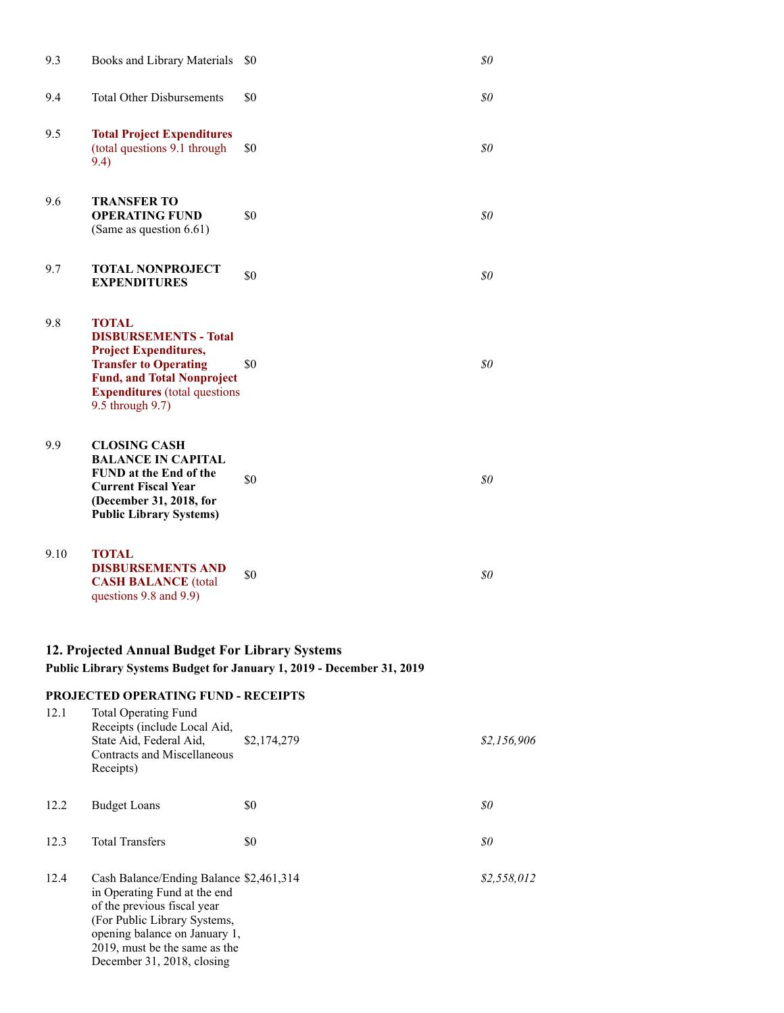| 9.3  | Books and Library Materials                                                                                                                                                                                   | \$0 | \$0   |
|------|---------------------------------------------------------------------------------------------------------------------------------------------------------------------------------------------------------------|-----|-------|
| 9.4  | <b>Total Other Disbursements</b>                                                                                                                                                                              | \$0 | \$0   |
| 9.5  | <b>Total Project Expenditures</b><br>(total questions 9.1 through<br>9.4)                                                                                                                                     | \$0 | \$0   |
| 9.6  | <b>TRANSFER TO</b><br><b>OPERATING FUND</b><br>(Same as question 6.61)                                                                                                                                        | \$0 | \$0\$ |
| 9.7  | <b>TOTAL NONPROJECT</b><br><b>EXPENDITURES</b>                                                                                                                                                                | \$0 | \$0   |
| 9.8  | <b>TOTAL</b><br><b>DISBURSEMENTS - Total</b><br><b>Project Expenditures,</b><br><b>Transfer to Operating</b><br><b>Fund, and Total Nonproject</b><br><b>Expenditures</b> (total questions<br>9.5 through 9.7) | \$0 | \$0\$ |
| 9.9  | <b>CLOSING CASH</b><br><b>BALANCE IN CAPITAL</b><br><b>FUND</b> at the End of the<br><b>Current Fiscal Year</b><br>(December 31, 2018, for<br><b>Public Library Systems)</b>                                  | \$0 | \$0   |
| 9.10 | <b>TOTAL</b><br><b>DISBURSEMENTS AND</b><br><b>CASH BALANCE</b> (total<br>questions 9.8 and 9.9)                                                                                                              | \$0 | \$0   |

### **12. Projected Annual Budget For Library Systems Public Library Systems Budget for January 1, 2019 - December 31, 2019**

### **PROJECTED OPERATING FUND - RECEIPTS**

December 31, 2018, closing

| 12.1 | <b>Total Operating Fund</b><br>Receipts (include Local Aid,<br>State Aid, Federal Aid,<br>Contracts and Miscellaneous<br>Receipts)                                                                       | \$2,174,279 | \$2,156,906 |
|------|----------------------------------------------------------------------------------------------------------------------------------------------------------------------------------------------------------|-------------|-------------|
| 12.2 | <b>Budget Loans</b>                                                                                                                                                                                      | \$0         | 80          |
| 12.3 | <b>Total Transfers</b>                                                                                                                                                                                   | \$0         | 80          |
| 12.4 | Cash Balance/Ending Balance \$2,461,314<br>in Operating Fund at the end<br>of the previous fiscal year<br>(For Public Library Systems,<br>opening balance on January 1,<br>2019, must be the same as the |             | \$2,558,012 |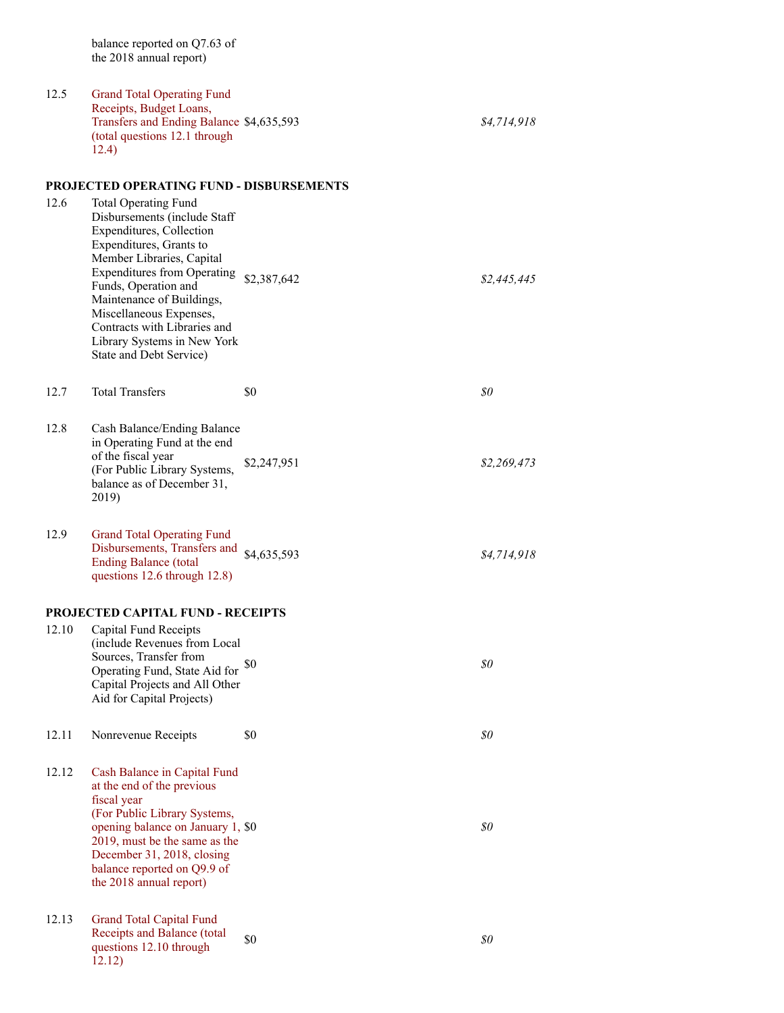balance reported on Q7.63 of the 2018 annual report)

12.5 Grand Total Operating Fund Receipts, Budget Loans, Transfers and Ending Balance \$4,635,593 *\$4,714,918* (total questions 12.1 through 12.4) **PROJECTED OPERATING FUND - DISBURSEMENTS** 12.6 Total Operating Fund Disbursements (include Staff Expenditures, Collection Expenditures, Grants to Member Libraries, Capital Expenditures from Operating \$2,387,642 *\$2,445,445* Funds, Operation and Maintenance of Buildings, Miscellaneous Expenses, Contracts with Libraries and Library Systems in New York State and Debt Service) 12.7 Total Transfers \$0 **\$0** 50 12.8 Cash Balance/Ending Balance in Operating Fund at the end of the fiscal year (For Public Library Systems, balance as of December 31, 2019) \$2,247,951 *\$2,269,473* 12.9 Grand Total Operating Fund Disbursements, Transfers and Ending Balance (total questions 12.6 through 12.8) \$4,635,593 *\$4,714,918* **PROJECTED CAPITAL FUND - RECEIPTS** 12.10 Capital Fund Receipts (include Revenues from Local Sources, Transfer from Operating Fund, State Aid for \$0 Capital Projects and All Other Aid for Capital Projects) \$0 *\$0* 12.11 Nonrevenue Receipts \$0 *\$0* 12.12 Cash Balance in Capital Fund at the end of the previous fiscal year (For Public Library Systems, opening balance on January 1, 2019, must be the same as the December 31, 2018, closing balance reported on Q9.9 of the 2018 annual report) \$0 *\$0* 12.13 Grand Total Capital Fund Receipts and Balance (total questions 12.10 through 12.12) \$0 *\$0*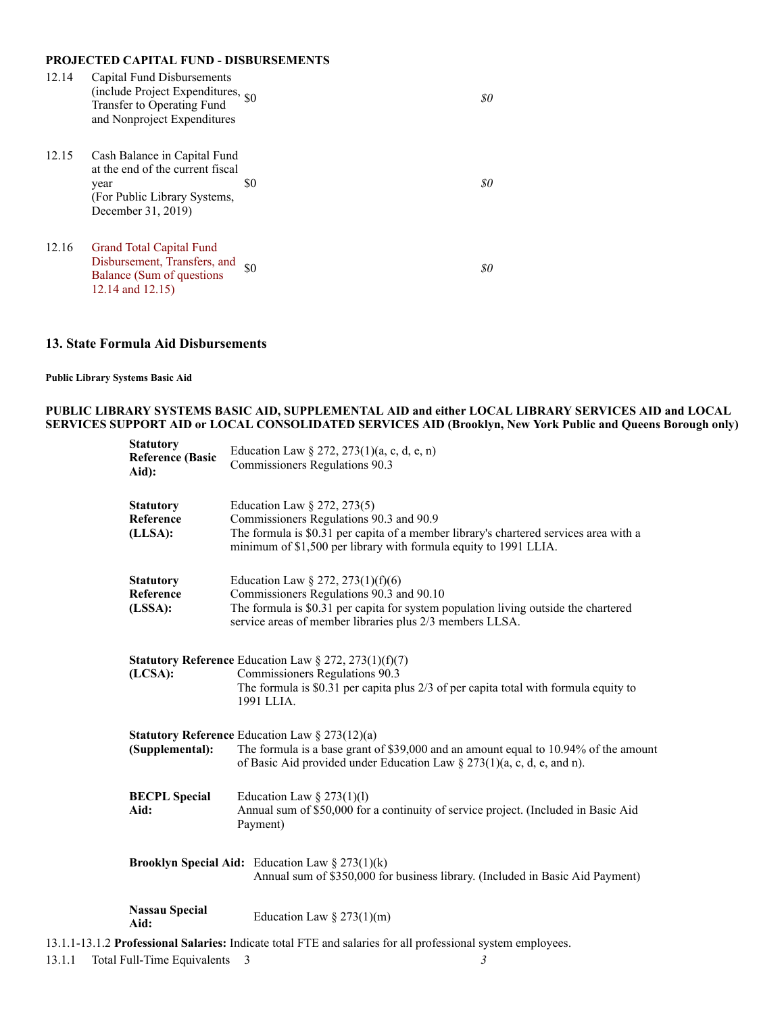### **PROJECTED CAPITAL FUND - DISBURSEMENTS**

| 12.14 | Capital Fund Disbursements<br>(include Project Expenditures, <sub>\$0</sub><br>Transfer to Operating Fund<br>and Nonproject Expenditures |     | 80 |
|-------|------------------------------------------------------------------------------------------------------------------------------------------|-----|----|
| 12.15 | Cash Balance in Capital Fund<br>at the end of the current fiscal<br>year<br>(For Public Library Systems,<br>December 31, 2019)           | \$0 | 80 |
| 12.16 | <b>Grand Total Capital Fund</b><br>Disbursement, Transfers, and<br>Balance (Sum of questions)<br>12.14 and 12.15)                        | \$0 | 80 |

### **13. State Formula Aid Disbursements**

#### **Public Library Systems Basic Aid**

### **PUBLIC LIBRARY SYSTEMS BASIC AID, SUPPLEMENTAL AID and either LOCAL LIBRARY SERVICES AID and LOCAL SERVICES SUPPORT AID or LOCAL CONSOLIDATED SERVICES AID (Brooklyn, New York Public and Queens Borough only)**

| <b>Statutory</b><br><b>Reference (Basic</b><br>Aid): | Education Law $\S 272, 273(1)(a, c, d, e, n)$<br>Commissioners Regulations 90.3                                                                                                                                                     |
|------------------------------------------------------|-------------------------------------------------------------------------------------------------------------------------------------------------------------------------------------------------------------------------------------|
| <b>Statutory</b><br>Reference<br>(LLSA):             | Education Law § 272, 273(5)<br>Commissioners Regulations 90.3 and 90.9<br>The formula is \$0.31 per capita of a member library's chartered services area with a<br>minimum of \$1,500 per library with formula equity to 1991 LLIA. |
| <b>Statutory</b><br>Reference<br>(LSSA):             | Education Law § 272, 273(1)(f)(6)<br>Commissioners Regulations 90.3 and 90.10<br>The formula is \$0.31 per capita for system population living outside the chartered<br>service areas of member libraries plus 2/3 members LLSA.    |
| (LCSA):                                              | <b>Statutory Reference</b> Education Law § 272, 273(1)(f)(7)<br>Commissioners Regulations 90.3<br>The formula is $$0.31$ per capita plus $2/3$ of per capita total with formula equity to<br>1991 LLIA.                             |
| (Supplemental):                                      | <b>Statutory Reference</b> Education Law $\S 273(12)(a)$<br>The formula is a base grant of \$39,000 and an amount equal to 10.94% of the amount<br>of Basic Aid provided under Education Law $\S 273(1)(a, c, d, e, and n)$ .       |
| <b>BECPL</b> Special<br>Aid:                         | Education Law $\S$ 273(1)(1)<br>Annual sum of \$50,000 for a continuity of service project. (Included in Basic Aid<br>Payment)                                                                                                      |
|                                                      | <b>Brooklyn Special Aid:</b> Education Law $\S 273(1)(k)$<br>Annual sum of \$350,000 for business library. (Included in Basic Aid Payment)                                                                                          |
| <b>Nassau Special</b><br>Aid:                        | Education Law $\S$ 273(1)(m)                                                                                                                                                                                                        |
|                                                      | 13.1.1-13.1.2 Professional Salaries: Indicate total FTE and salaries for all professional system employees.                                                                                                                         |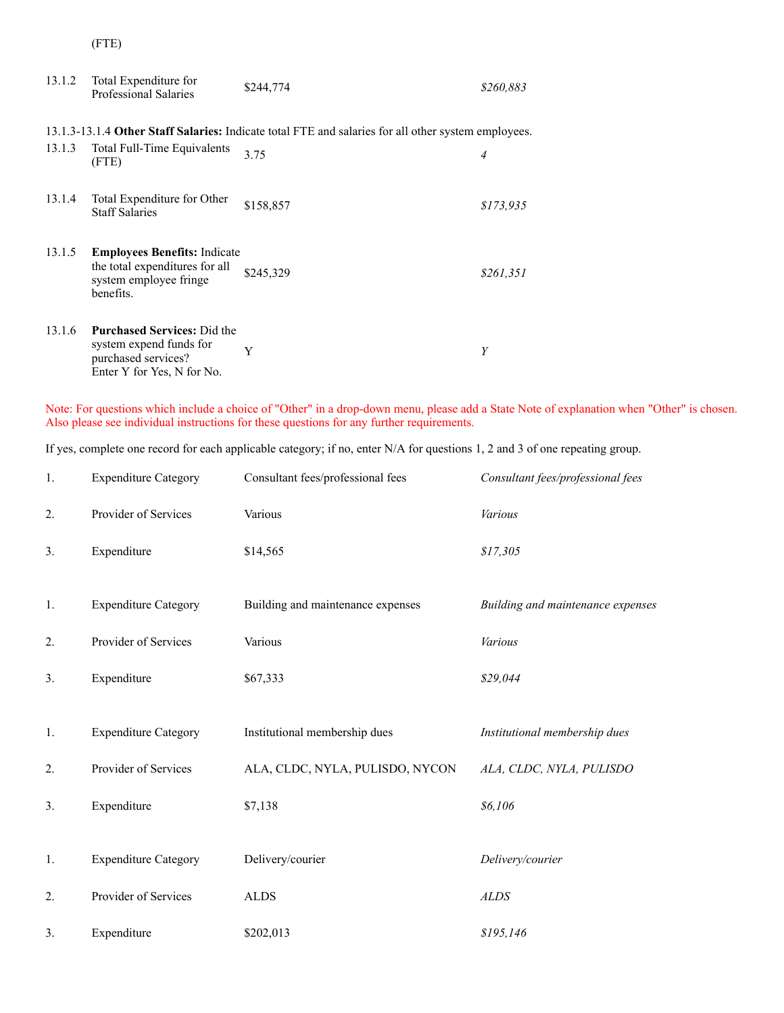(FTE)

| 13.1.2 | Total Expenditure for<br><b>Professional Salaries</b>                                                              | \$244,774                                                                                           | \$260,883 |
|--------|--------------------------------------------------------------------------------------------------------------------|-----------------------------------------------------------------------------------------------------|-----------|
|        |                                                                                                                    | 13.1.3-13.1.4 Other Staff Salaries: Indicate total FTE and salaries for all other system employees. |           |
| 13.1.3 | Total Full-Time Equivalents<br>(FTE)                                                                               | 3.75                                                                                                | 4         |
| 13.1.4 | Total Expenditure for Other<br><b>Staff Salaries</b>                                                               | \$158,857                                                                                           | \$173,935 |
| 13.1.5 | <b>Employees Benefits:</b> Indicate<br>the total expenditures for all<br>system employee fringe<br>benefits.       | \$245,329                                                                                           | \$261,351 |
| 13.1.6 | <b>Purchased Services: Did the</b><br>system expend funds for<br>purchased services?<br>Enter Y for Yes, N for No. | Y                                                                                                   | Y         |

Note: For questions which include a choice of "Other" in a drop-down menu, please add a State Note of explanation when "Other" is chosen. Also please see individual instructions for these questions for any further requirements.

If yes, complete one record for each applicable category; if no, enter N/A for questions 1, 2 and 3 of one repeating group.

| 1. | <b>Expenditure Category</b> | Consultant fees/professional fees | Consultant fees/professional fees |
|----|-----------------------------|-----------------------------------|-----------------------------------|
| 2. | Provider of Services        | Various                           | Various                           |
| 3. | Expenditure                 | \$14,565                          | \$17,305                          |
|    |                             |                                   |                                   |
| 1. | <b>Expenditure Category</b> | Building and maintenance expenses | Building and maintenance expenses |
| 2. | Provider of Services        | Various                           | Various                           |
| 3. | Expenditure                 | \$67,333                          | \$29,044                          |
|    |                             |                                   |                                   |
| 1. | <b>Expenditure Category</b> | Institutional membership dues     | Institutional membership dues     |
| 2. | Provider of Services        | ALA, CLDC, NYLA, PULISDO, NYCON   | ALA, CLDC, NYLA, PULISDO          |
| 3. | Expenditure                 | \$7,138                           | \$6,106                           |
|    |                             |                                   |                                   |
| 1. | <b>Expenditure Category</b> | Delivery/courier                  | Delivery/courier                  |
| 2. | Provider of Services        | <b>ALDS</b>                       | <b>ALDS</b>                       |
| 3. | Expenditure                 | \$202,013                         | \$195,146                         |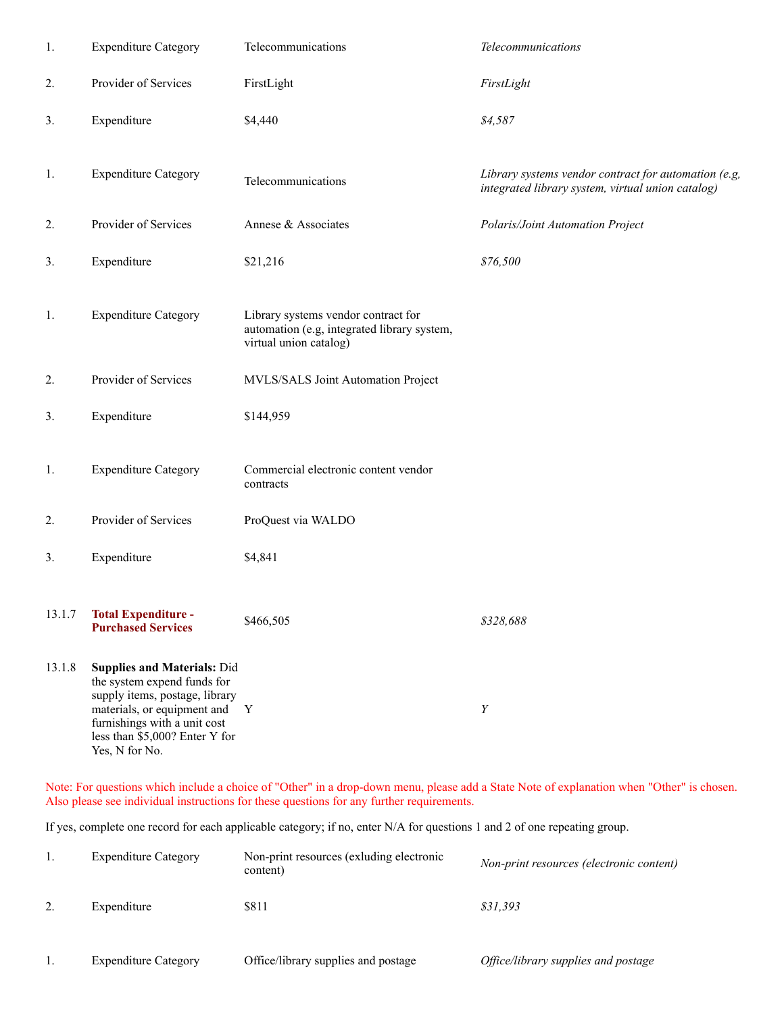| 1.     | <b>Expenditure Category</b>                                                                                                                                                                                            | Telecommunications                                                                                           | Telecommunications                                                                                        |
|--------|------------------------------------------------------------------------------------------------------------------------------------------------------------------------------------------------------------------------|--------------------------------------------------------------------------------------------------------------|-----------------------------------------------------------------------------------------------------------|
| 2.     | Provider of Services                                                                                                                                                                                                   | FirstLight                                                                                                   | FirstLight                                                                                                |
| 3.     | Expenditure                                                                                                                                                                                                            | \$4,440                                                                                                      | \$4,587                                                                                                   |
| 1.     | <b>Expenditure Category</b>                                                                                                                                                                                            | Telecommunications                                                                                           | Library systems vendor contract for automation (e.g,<br>integrated library system, virtual union catalog) |
| 2.     | Provider of Services                                                                                                                                                                                                   | Annese & Associates                                                                                          | Polaris/Joint Automation Project                                                                          |
| 3.     | Expenditure                                                                                                                                                                                                            | \$21,216                                                                                                     | \$76,500                                                                                                  |
| 1.     | <b>Expenditure Category</b>                                                                                                                                                                                            | Library systems vendor contract for<br>automation (e.g, integrated library system,<br>virtual union catalog) |                                                                                                           |
| 2.     | Provider of Services                                                                                                                                                                                                   | MVLS/SALS Joint Automation Project                                                                           |                                                                                                           |
| 3.     | Expenditure                                                                                                                                                                                                            | \$144,959                                                                                                    |                                                                                                           |
| 1.     | <b>Expenditure Category</b>                                                                                                                                                                                            | Commercial electronic content vendor<br>contracts                                                            |                                                                                                           |
| 2.     | Provider of Services                                                                                                                                                                                                   | ProQuest via WALDO                                                                                           |                                                                                                           |
| 3.     | Expenditure                                                                                                                                                                                                            | \$4,841                                                                                                      |                                                                                                           |
| 13.1.7 | <b>Total Expenditure -</b><br><b>Purchased Services</b>                                                                                                                                                                | \$466,505                                                                                                    | \$328,688                                                                                                 |
| 13.1.8 | <b>Supplies and Materials: Did</b><br>the system expend funds for<br>supply items, postage, library<br>materials, or equipment and<br>furnishings with a unit cost<br>less than \$5,000? Enter Y for<br>Yes, N for No. | $\mathbf{Y}$                                                                                                 | Y                                                                                                         |

Note: For questions which include a choice of "Other" in a drop-down menu, please add a State Note of explanation when "Other" is chosen. Also please see individual instructions for these questions for any further requirements.

If yes, complete one record for each applicable category; if no, enter N/A for questions 1 and 2 of one repeating group.

| <b>Expenditure Category</b> | Non-print resources (exluding electronic<br>content) | Non-print resources (electronic content) |
|-----------------------------|------------------------------------------------------|------------------------------------------|
| Expenditure                 | \$811                                                | \$31.393                                 |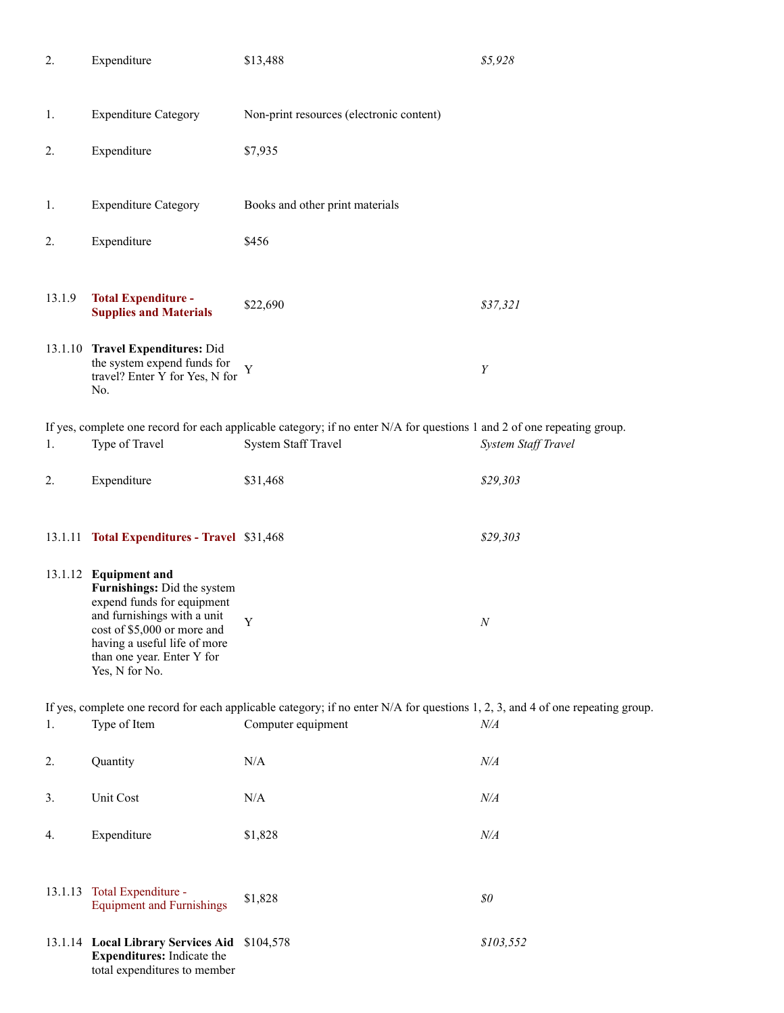| 2.     | Expenditure                                                                                                                                                                                                                      | \$13,488                                                                                                                                             | \$5,928                        |
|--------|----------------------------------------------------------------------------------------------------------------------------------------------------------------------------------------------------------------------------------|------------------------------------------------------------------------------------------------------------------------------------------------------|--------------------------------|
| 1.     | <b>Expenditure Category</b>                                                                                                                                                                                                      | Non-print resources (electronic content)                                                                                                             |                                |
| 2.     | Expenditure                                                                                                                                                                                                                      | \$7,935                                                                                                                                              |                                |
| 1.     | <b>Expenditure Category</b>                                                                                                                                                                                                      | Books and other print materials                                                                                                                      |                                |
| 2.     | Expenditure                                                                                                                                                                                                                      | \$456                                                                                                                                                |                                |
| 13.1.9 | <b>Total Expenditure -</b><br><b>Supplies and Materials</b>                                                                                                                                                                      | \$22,690                                                                                                                                             | \$37,321                       |
|        | 13.1.10 Travel Expenditures: Did<br>the system expend funds for<br>travel? Enter Y for Yes, N for<br>No.                                                                                                                         | Y                                                                                                                                                    | Y                              |
| 1.     | Type of Travel                                                                                                                                                                                                                   | If yes, complete one record for each applicable category; if no enter N/A for questions 1 and 2 of one repeating group.<br>System Staff Travel       | System Staff Travel            |
| 2.     | Expenditure                                                                                                                                                                                                                      | \$31,468                                                                                                                                             | \$29,303                       |
|        | 13.1.11 Total Expenditures - Travel \$31,468                                                                                                                                                                                     |                                                                                                                                                      | \$29,303                       |
|        | 13.1.12 Equipment and<br>Furnishings: Did the system<br>expend funds for equipment<br>and furnishings with a unit<br>cost of \$5,000 or more and<br>having a useful life of more<br>than one year. Enter Y for<br>Yes, N for No. | $\mathbf Y$                                                                                                                                          | $N_{\rm \scriptscriptstyle I}$ |
| 1.     | Type of Item                                                                                                                                                                                                                     | If yes, complete one record for each applicable category; if no enter N/A for questions 1, 2, 3, and 4 of one repeating group.<br>Computer equipment | N/A                            |
| 2.     | Quantity                                                                                                                                                                                                                         | N/A                                                                                                                                                  | N/A                            |
|        | Unit Cost                                                                                                                                                                                                                        | N/A                                                                                                                                                  | N/A                            |
| 3.     |                                                                                                                                                                                                                                  |                                                                                                                                                      |                                |
| 4.     | Expenditure                                                                                                                                                                                                                      | \$1,828                                                                                                                                              | N/A                            |
|        | 13.1.13 Total Expenditure -<br><b>Equipment and Furnishings</b>                                                                                                                                                                  | \$1,828                                                                                                                                              | \$0                            |
|        | 13.1.14 Local Library Services Aid<br><b>Expenditures:</b> Indicate the<br>total expenditures to member                                                                                                                          | \$104,578                                                                                                                                            | \$103,552                      |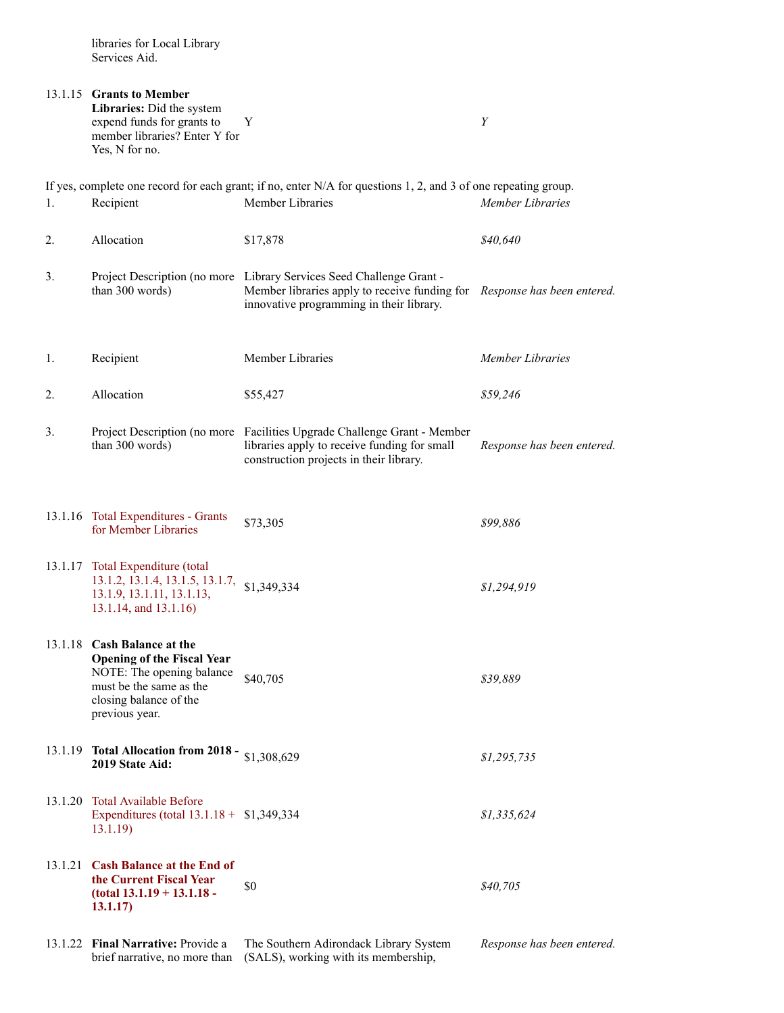|    | 13.1.15 Grants to Member<br>Libraries: Did the system<br>expend funds for grants to<br>member libraries? Enter Y for<br>Yes, N for no.                               | Y                                                                                                                                                                                            | Y                          |
|----|----------------------------------------------------------------------------------------------------------------------------------------------------------------------|----------------------------------------------------------------------------------------------------------------------------------------------------------------------------------------------|----------------------------|
| 1. | Recipient                                                                                                                                                            | If yes, complete one record for each grant; if no, enter $N/A$ for questions 1, 2, and 3 of one repeating group.<br>Member Libraries                                                         | Member Libraries           |
|    |                                                                                                                                                                      |                                                                                                                                                                                              |                            |
| 2. | Allocation                                                                                                                                                           | \$17,878                                                                                                                                                                                     | \$40,640                   |
| 3. | than 300 words)                                                                                                                                                      | Project Description (no more Library Services Seed Challenge Grant -<br>Member libraries apply to receive funding for Response has been entered.<br>innovative programming in their library. |                            |
| 1. | Recipient                                                                                                                                                            | Member Libraries                                                                                                                                                                             | Member Libraries           |
| 2. | Allocation                                                                                                                                                           | \$55,427                                                                                                                                                                                     | \$59,246                   |
| 3. | than 300 words)                                                                                                                                                      | Project Description (no more Facilities Upgrade Challenge Grant - Member<br>libraries apply to receive funding for small<br>construction projects in their library.                          | Response has been entered. |
|    | 13.1.16 Total Expenditures - Grants<br>for Member Libraries                                                                                                          | \$73,305                                                                                                                                                                                     | \$99,886                   |
|    | 13.1.17 Total Expenditure (total<br>13.1.2, 13.1.4, 13.1.5, 13.1.7, \$1,349,334<br>13.1.9, 13.1.11, 13.1.13,<br>13.1.14, and 13.1.16)                                |                                                                                                                                                                                              | \$1,294,919                |
|    | 13.1.18 Cash Balance at the<br><b>Opening of the Fiscal Year</b><br>NOTE: The opening balance<br>must be the same as the<br>closing balance of the<br>previous year. | \$40,705                                                                                                                                                                                     | \$39,889                   |
|    | 13.1.19 Total Allocation from 2018 - \$1,308,629<br>2019 State Aid:                                                                                                  |                                                                                                                                                                                              | \$1,295,735                |
|    | 13.1.20 Total Available Before<br>Expenditures (total $13.1.18 + $1,349,334$<br>13.1.19                                                                              |                                                                                                                                                                                              | \$1,335,624                |
|    | 13.1.21 Cash Balance at the End of<br>the Current Fiscal Year<br>$(total 13.1.19 + 13.1.18 -$<br>13.1.17)                                                            | \$0                                                                                                                                                                                          | \$40,705                   |

13.1.22 **Final Narrative:** Provide a The Southern Adirondack Library System

brief narrative, no more than (SALS), working with its membership,

*Response has been entered.*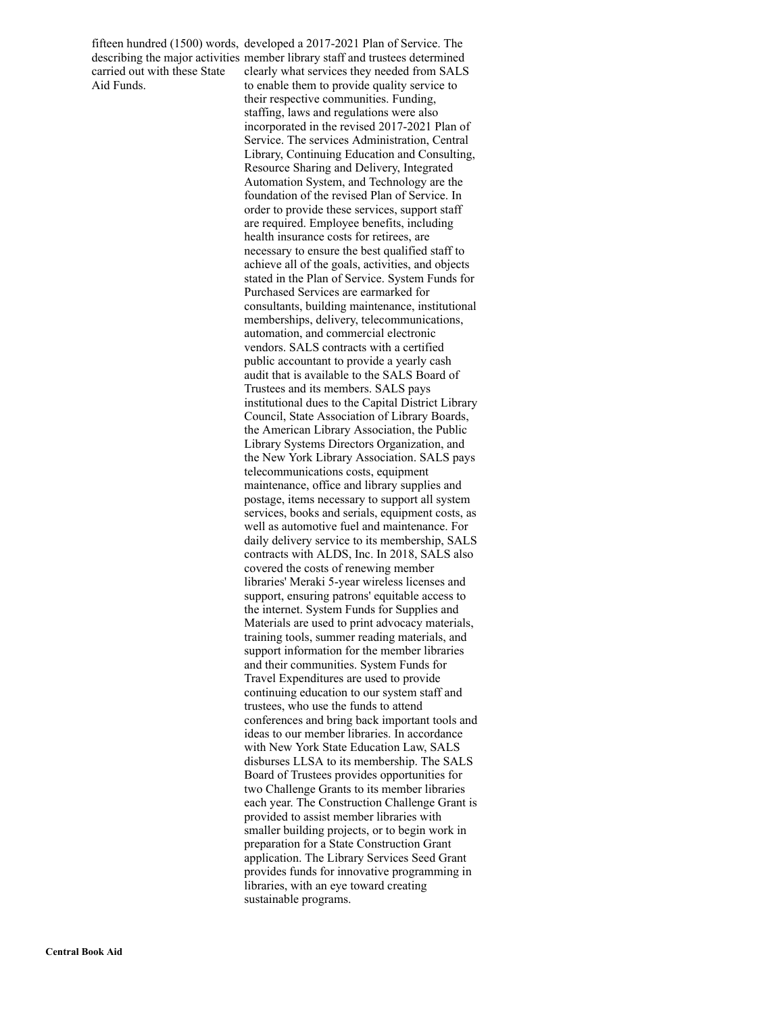carried out with these State Aid Funds.

fifteen hundred (1500) words, developed a 2017-2021 Plan of Service. The describing the major activities member library staff and trustees determined clearly what services they needed from SALS to enable them to provide quality service to their respective communities. Funding, staffing, laws and regulations were also incorporated in the revised 2017-2021 Plan of Service. The services Administration, Central Library, Continuing Education and Consulting, Resource Sharing and Delivery, Integrated Automation System, and Technology are the foundation of the revised Plan of Service. In order to provide these services, support staff are required. Employee benefits, including health insurance costs for retirees, are necessary to ensure the best qualified staff to achieve all of the goals, activities, and objects stated in the Plan of Service. System Funds for Purchased Services are earmarked for consultants, building maintenance, institutional memberships, delivery, telecommunications, automation, and commercial electronic vendors. SALS contracts with a certified public accountant to provide a yearly cash audit that is available to the SALS Board of Trustees and its members. SALS pays institutional dues to the Capital District Library Council, State Association of Library Boards, the American Library Association, the Public Library Systems Directors Organization, and the New York Library Association. SALS pays telecommunications costs, equipment maintenance, office and library supplies and postage, items necessary to support all system services, books and serials, equipment costs, as well as automotive fuel and maintenance. For daily delivery service to its membership, SALS contracts with ALDS, Inc. In 2018, SALS also covered the costs of renewing member libraries' Meraki 5-year wireless licenses and support, ensuring patrons' equitable access to the internet. System Funds for Supplies and Materials are used to print advocacy materials, training tools, summer reading materials, and support information for the member libraries and their communities. System Funds for Travel Expenditures are used to provide continuing education to our system staff and trustees, who use the funds to attend conferences and bring back important tools and ideas to our member libraries. In accordance with New York State Education Law, SALS disburses LLSA to its membership. The SALS Board of Trustees provides opportunities for two Challenge Grants to its member libraries each year. The Construction Challenge Grant is provided to assist member libraries with smaller building projects, or to begin work in preparation for a State Construction Grant application. The Library Services Seed Grant provides funds for innovative programming in libraries, with an eye toward creating sustainable programs.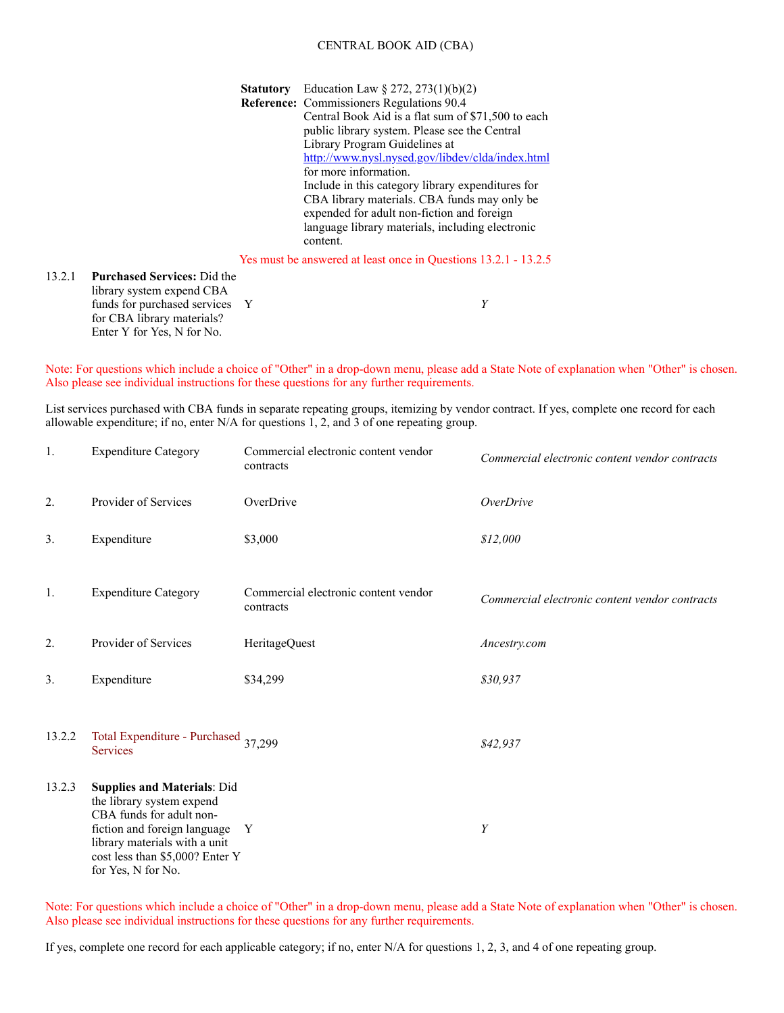#### CENTRAL BOOK AID (CBA)

**Statutory** Education Law § 272, 273(1)(b)(2) **Reference:** Commissioners Regulations 90.4 Central Book Aid is a flat sum of \$71,500 to each public library system. Please see the Central Library Program Guidelines at <http://www.nysl.nysed.gov/libdev/clda/index.html> for more information. Include in this category library expenditures for CBA library materials. CBA funds may only be expended for adult non-fiction and foreign language library materials, including electronic content.

Yes must be answered at least once in Questions 13.2.1 - 13.2.5

#### 13.2.1 **Purchased Services:** Did the library system expend CBA funds for purchased services Y for CBA library materials? Enter Y for Yes, N for No. Y *Y*

Note: For questions which include a choice of "Other" in a drop-down menu, please add a State Note of explanation when "Other" is chosen. Also please see individual instructions for these questions for any further requirements.

List services purchased with CBA funds in separate repeating groups, itemizing by vendor contract. If yes, complete one record for each allowable expenditure; if no, enter N/A for questions 1, 2, and 3 of one repeating group.

| 1.     | <b>Expenditure Category</b>                                                                                                                                                                                           | Commercial electronic content vendor<br>contracts | Commercial electronic content vendor contracts |
|--------|-----------------------------------------------------------------------------------------------------------------------------------------------------------------------------------------------------------------------|---------------------------------------------------|------------------------------------------------|
| 2.     | Provider of Services                                                                                                                                                                                                  | OverDrive                                         | <b>OverDrive</b>                               |
| 3.     | Expenditure                                                                                                                                                                                                           | \$3,000                                           | \$12,000                                       |
| 1.     | <b>Expenditure Category</b>                                                                                                                                                                                           | Commercial electronic content vendor<br>contracts | Commercial electronic content vendor contracts |
| 2.     | Provider of Services                                                                                                                                                                                                  | HeritageQuest                                     | Ancestry.com                                   |
| 3.     | Expenditure                                                                                                                                                                                                           | \$34,299                                          | \$30,937                                       |
| 13.2.2 | Total Expenditure - Purchased 37,299<br><b>Services</b>                                                                                                                                                               |                                                   | \$42,937                                       |
| 13.2.3 | <b>Supplies and Materials: Did</b><br>the library system expend<br>CBA funds for adult non-<br>fiction and foreign language<br>library materials with a unit<br>cost less than \$5,000? Enter Y<br>for Yes, N for No. | Y                                                 | $\boldsymbol{Y}$                               |

Note: For questions which include a choice of "Other" in a drop-down menu, please add a State Note of explanation when "Other" is chosen. Also please see individual instructions for these questions for any further requirements.

If yes, complete one record for each applicable category; if no, enter N/A for questions 1, 2, 3, and 4 of one repeating group.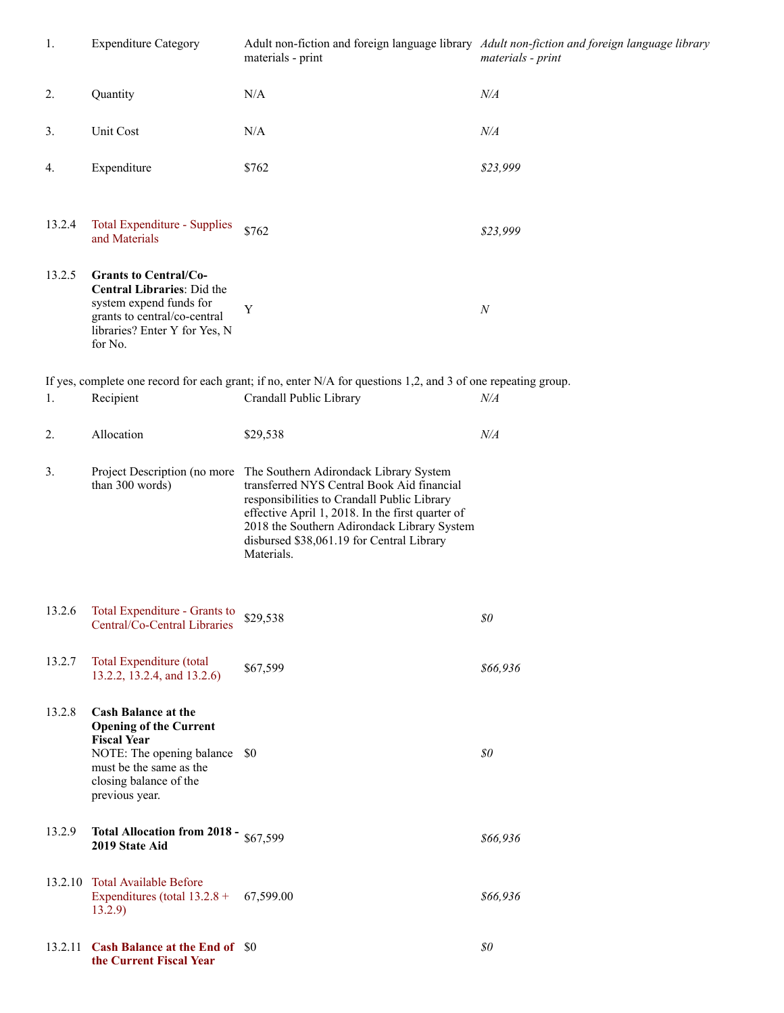| 1.      | <b>Expenditure Category</b>                                                                                                                                                               | materials - print                                                                                                                                                                                                                                                                                                              | Adult non-fiction and foreign language library Adult non-fiction and foreign language library<br>materials - print |
|---------|-------------------------------------------------------------------------------------------------------------------------------------------------------------------------------------------|--------------------------------------------------------------------------------------------------------------------------------------------------------------------------------------------------------------------------------------------------------------------------------------------------------------------------------|--------------------------------------------------------------------------------------------------------------------|
| 2.      | Quantity                                                                                                                                                                                  | $\rm N/A$                                                                                                                                                                                                                                                                                                                      | N/A                                                                                                                |
| 3.      | Unit Cost                                                                                                                                                                                 | N/A                                                                                                                                                                                                                                                                                                                            | N/A                                                                                                                |
| 4.      | Expenditure                                                                                                                                                                               | \$762                                                                                                                                                                                                                                                                                                                          | \$23,999                                                                                                           |
| 13.2.4  | <b>Total Expenditure - Supplies</b><br>and Materials                                                                                                                                      | \$762                                                                                                                                                                                                                                                                                                                          | \$23,999                                                                                                           |
| 13.2.5  | <b>Grants to Central/Co-</b><br>Central Libraries: Did the<br>system expend funds for<br>grants to central/co-central<br>libraries? Enter Y for Yes, N<br>for No.                         | Y                                                                                                                                                                                                                                                                                                                              | $\cal N$                                                                                                           |
|         |                                                                                                                                                                                           | If yes, complete one record for each grant; if no, enter $N/A$ for questions 1,2, and 3 of one repeating group.                                                                                                                                                                                                                |                                                                                                                    |
| 1.      | Recipient                                                                                                                                                                                 | Crandall Public Library                                                                                                                                                                                                                                                                                                        | N/A                                                                                                                |
| 2.      | Allocation                                                                                                                                                                                | \$29,538                                                                                                                                                                                                                                                                                                                       | N/A                                                                                                                |
| 3.      | than 300 words)                                                                                                                                                                           | Project Description (no more The Southern Adirondack Library System<br>transferred NYS Central Book Aid financial<br>responsibilities to Crandall Public Library<br>effective April 1, 2018. In the first quarter of<br>2018 the Southern Adirondack Library System<br>disbursed \$38,061.19 for Central Library<br>Materials. |                                                                                                                    |
|         | 13.2.6 Total Expenditure - Grants to<br>Central/Co-Central Libraries                                                                                                                      | \$29,538                                                                                                                                                                                                                                                                                                                       | $\$0$                                                                                                              |
| 13.2.7  | Total Expenditure (total<br>13.2.2, 13.2.4, and 13.2.6)                                                                                                                                   | \$67,599                                                                                                                                                                                                                                                                                                                       | \$66,936                                                                                                           |
| 13.2.8  | <b>Cash Balance at the</b><br><b>Opening of the Current</b><br><b>Fiscal Year</b><br>NOTE: The opening balance \$0<br>must be the same as the<br>closing balance of the<br>previous year. |                                                                                                                                                                                                                                                                                                                                | \$0\$                                                                                                              |
| 13.2.9  | Total Allocation from 2018 - $$67,599$<br>2019 State Aid                                                                                                                                  |                                                                                                                                                                                                                                                                                                                                | \$66,936                                                                                                           |
|         | 13.2.10 Total Available Before<br>Expenditures (total $13.2.8 +$<br>13.2.9)                                                                                                               | 67,599.00                                                                                                                                                                                                                                                                                                                      | \$66,936                                                                                                           |
| 13.2.11 | <b>Cash Balance at the End of \$0</b><br>the Current Fiscal Year                                                                                                                          |                                                                                                                                                                                                                                                                                                                                | $\$0$                                                                                                              |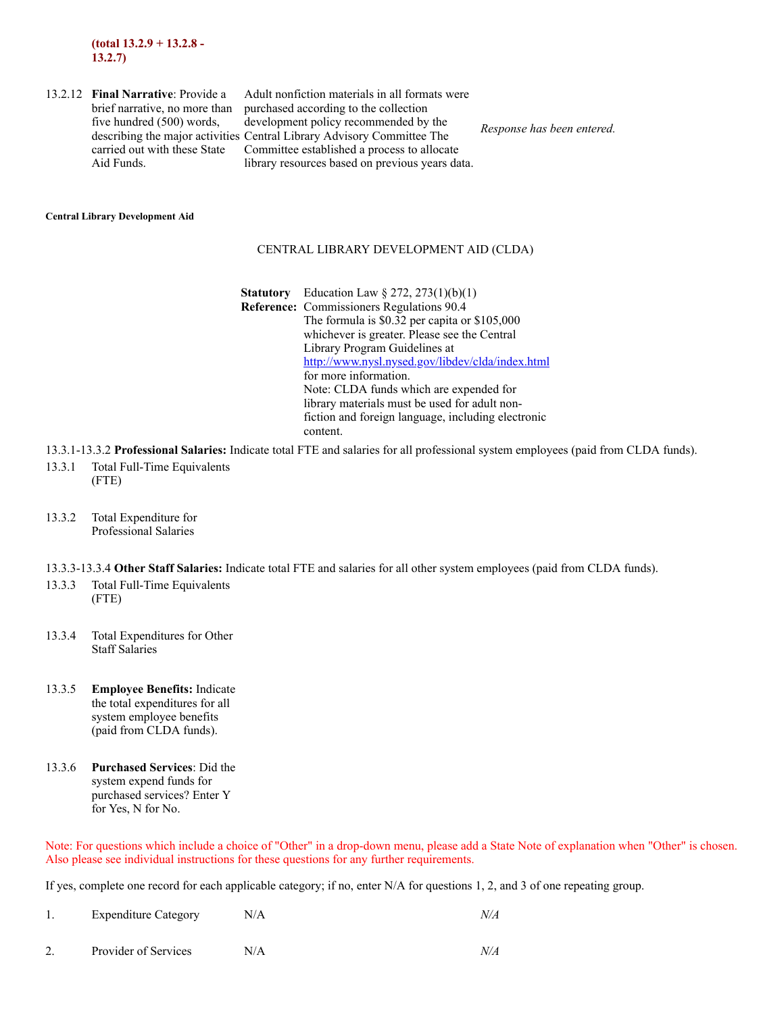13.2.12 **Final Narrative**: Provide a brief narrative, no more than five hundred (500) words, carried out with these State Aid Funds.

describing the major activities Central Library Advisory Committee The Adult nonfiction materials in all formats were purchased according to the collection development policy recommended by the Committee established a process to allocate library resources based on previous years data.

*Response has been entered.*

#### **Central Library Development Aid**

#### CENTRAL LIBRARY DEVELOPMENT AID (CLDA)

- **Statutory** Education Law § 272, 273(1)(b)(1) **Reference:** Commissioners Regulations 90.4 The formula is \$0.32 per capita or \$105,000 whichever is greater. Please see the Central Library Program Guidelines at <http://www.nysl.nysed.gov/libdev/clda/index.html> for more information. Note: CLDA funds which are expended for library materials must be used for adult nonfiction and foreign language, including electronic content.
- 13.3.1-13.3.2 **Professional Salaries:** Indicate total FTE and salaries for all professional system employees (paid from CLDA funds).
- 13.3.1 Total Full-Time Equivalents (FTE)
- 13.3.2 Total Expenditure for Professional Salaries
- 13.3.3-13.3.4 **Other Staff Salaries:** Indicate total FTE and salaries for all other system employees (paid from CLDA funds).
- 13.3.3 Total Full-Time Equivalents (FTE)
- 13.3.4 Total Expenditures for Other Staff Salaries
- 13.3.5 **Employee Benefits:** Indicate the total expenditures for all system employee benefits (paid from CLDA funds).
- 13.3.6 **Purchased Services**: Did the system expend funds for purchased services? Enter Y for Yes, N for No.

Note: For questions which include a choice of "Other" in a drop-down menu, please add a State Note of explanation when "Other" is chosen. Also please see individual instructions for these questions for any further requirements.

If yes, complete one record for each applicable category; if no, enter N/A for questions 1, 2, and 3 of one repeating group.

| <b>Expenditure Category</b> | N/A |  |
|-----------------------------|-----|--|
|-----------------------------|-----|--|

2. Provider of Services N/A *N/A*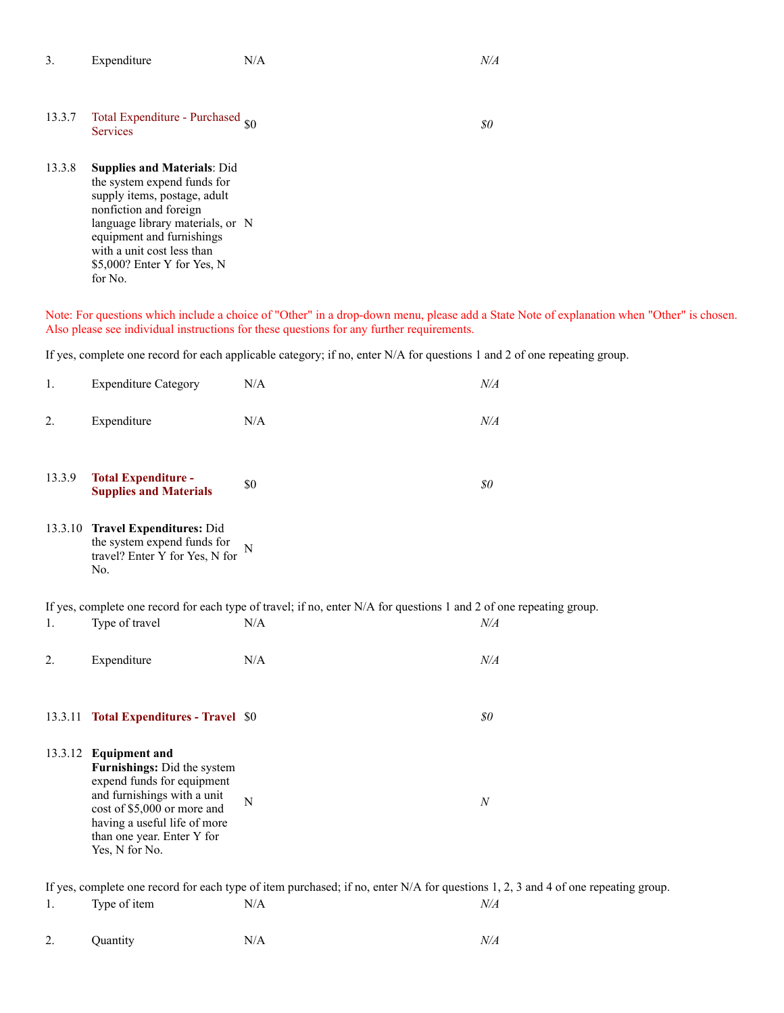| Expenditure<br>N/A<br>N/A<br><u>.</u> |
|---------------------------------------|
|---------------------------------------|

# 13.3.7 Total Expenditure - Purchased  $\omega$  \$0 *\$0 \$0*

13.3.8 **Supplies and Materials**: Did the system expend funds for supply items, postage, adult nonfiction and foreign language library materials, or N equipment and furnishings with a unit cost less than \$5,000? Enter Y for Yes, N for No.

Note: For questions which include a choice of "Other" in a drop-down menu, please add a State Note of explanation when "Other" is chosen. Also please see individual instructions for these questions for any further requirements.

If yes, complete one record for each applicable category; if no, enter N/A for questions 1 and 2 of one repeating group.

| 1.     | <b>Expenditure Category</b>                                                                                                                                                                                                      | N/A                                                                                                                                 | $N\!/\!A$ |
|--------|----------------------------------------------------------------------------------------------------------------------------------------------------------------------------------------------------------------------------------|-------------------------------------------------------------------------------------------------------------------------------------|-----------|
| 2.     | Expenditure                                                                                                                                                                                                                      | N/A                                                                                                                                 | $N\!/\!A$ |
| 13.3.9 | <b>Total Expenditure -</b><br><b>Supplies and Materials</b>                                                                                                                                                                      | \$0                                                                                                                                 | $\$0$     |
|        | 13.3.10 Travel Expenditures: Did<br>the system expend funds for<br>travel? Enter Y for Yes, N for<br>No.                                                                                                                         | N                                                                                                                                   |           |
|        |                                                                                                                                                                                                                                  | If yes, complete one record for each type of travel; if no, enter N/A for questions 1 and 2 of one repeating group.                 |           |
| 1.     | Type of travel                                                                                                                                                                                                                   | N/A                                                                                                                                 | $N\!/\!A$ |
| 2.     | Expenditure                                                                                                                                                                                                                      | N/A                                                                                                                                 | $N\!/\!A$ |
|        | 13.3.11 Total Expenditures - Travel \$0                                                                                                                                                                                          |                                                                                                                                     | \$0\$     |
|        | 13.3.12 Equipment and<br>Furnishings: Did the system<br>expend funds for equipment<br>and furnishings with a unit<br>cost of \$5,000 or more and<br>having a useful life of more<br>than one year. Enter Y for<br>Yes, N for No. | $\mathbf N$                                                                                                                         | $\cal N$  |
|        |                                                                                                                                                                                                                                  | If yes, complete one record for each type of item purchased; if no, enter $N/A$ for questions 1, 2, 3 and 4 of one repeating group. |           |

1. Type of item  $N/A$  *N/A N/A* 

2. Quantity N/A *N/A*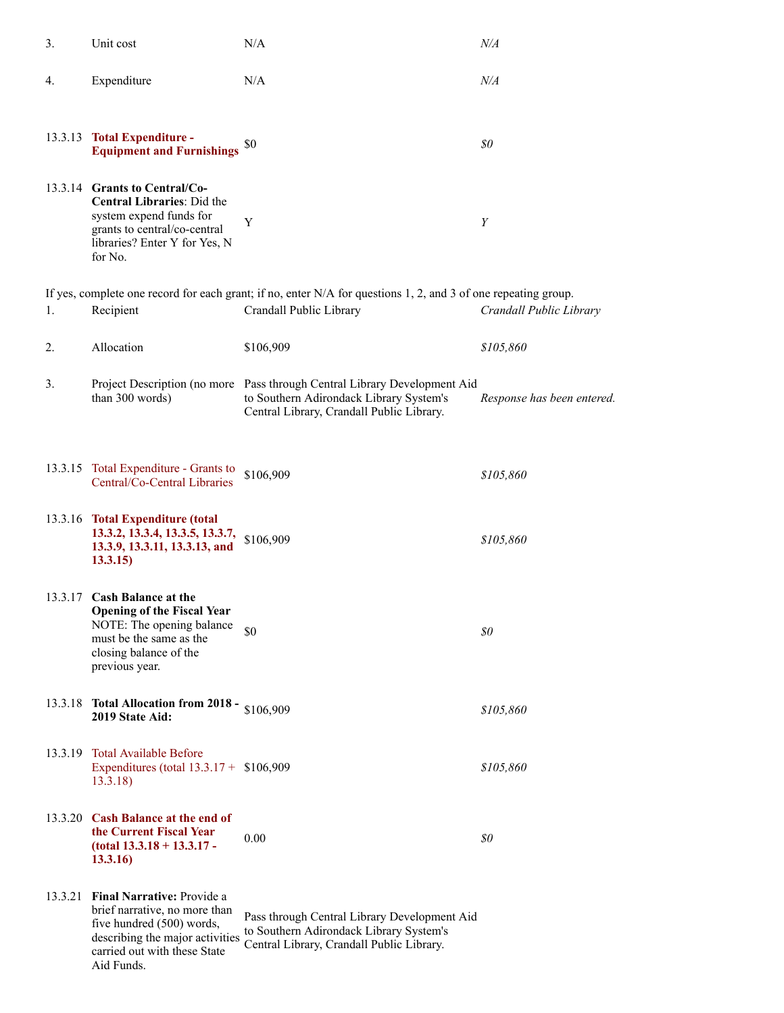| 3.      | Unit cost                                                                                                                                                                         | N/A                                                                                                                                                               | N/A                        |
|---------|-----------------------------------------------------------------------------------------------------------------------------------------------------------------------------------|-------------------------------------------------------------------------------------------------------------------------------------------------------------------|----------------------------|
| 4.      | Expenditure                                                                                                                                                                       | N/A                                                                                                                                                               | $N\!/\!A$                  |
|         | 13.3.13 Total Expenditure -<br><b>Equipment and Furnishings</b>                                                                                                                   | \$0                                                                                                                                                               | \$0                        |
|         | 13.3.14 Grants to Central/Co-<br><b>Central Libraries: Did the</b><br>system expend funds for<br>grants to central/co-central<br>libraries? Enter Y for Yes, N<br>for No.         | Y                                                                                                                                                                 | Y                          |
| 1.      | Recipient                                                                                                                                                                         | If yes, complete one record for each grant; if no, enter N/A for questions 1, 2, and 3 of one repeating group.<br>Crandall Public Library                         | Crandall Public Library    |
| 2.      | Allocation                                                                                                                                                                        | \$106,909                                                                                                                                                         | \$105,860                  |
| 3.      | than 300 words)                                                                                                                                                                   | Project Description (no more Pass through Central Library Development Aid<br>to Southern Adirondack Library System's<br>Central Library, Crandall Public Library. | Response has been entered. |
|         | 13.3.15 Total Expenditure - Grants to<br>Central/Co-Central Libraries                                                                                                             | \$106,909                                                                                                                                                         | \$105,860                  |
|         | 13.3.16 Total Expenditure (total<br>13.3.2, 13.3.4, 13.3.5, 13.3.7,<br>13.3.9, 13.3.11, 13.3.13, and<br>13.3.15                                                                   | \$106,909                                                                                                                                                         | \$105,860                  |
|         | 13.3.17 Cash Balance at the<br><b>Opening of the Fiscal Year</b><br>NOTE: The opening balance<br>must be the same as the<br>closing balance of the<br>previous year.              | \$0                                                                                                                                                               | \$0                        |
| 13.3.18 | Total Allocation from 2018 - $$106,909$<br>2019 State Aid:                                                                                                                        |                                                                                                                                                                   | \$105,860                  |
| 13.3.19 | <b>Total Available Before</b><br>Expenditures (total $13.3.17 + $106,909$<br>13.3.18                                                                                              |                                                                                                                                                                   | \$105,860                  |
|         | 13.3.20 Cash Balance at the end of<br>the Current Fiscal Year<br>$(total 13.3.18 + 13.3.17 -$<br>13.3.16                                                                          | 0.00                                                                                                                                                              | \$0                        |
|         | 13.3.21 Final Narrative: Provide a<br>brief narrative, no more than<br>five hundred (500) words,<br>describing the major activities<br>carried out with these State<br>Aid Funds. | Pass through Central Library Development Aid<br>to Southern Adirondack Library System's<br>Central Library, Crandall Public Library.                              |                            |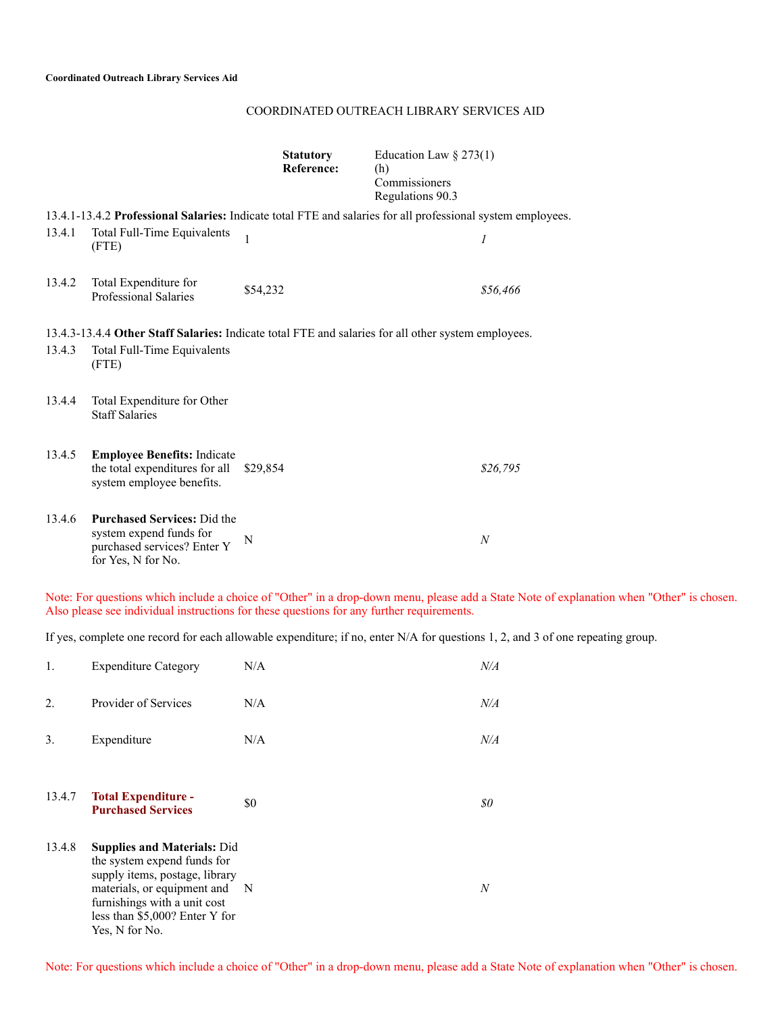|--|

|        |                                                                                                                    | <b>Statutory</b><br><b>Reference:</b> | Education Law $\S 273(1)$<br>(h)<br>Commissioners<br>Regulations 90.3 |                  |
|--------|--------------------------------------------------------------------------------------------------------------------|---------------------------------------|-----------------------------------------------------------------------|------------------|
|        | 13.4.1-13.4.2 Professional Salaries: Indicate total FTE and salaries for all professional system employees.        |                                       |                                                                       |                  |
| 13.4.1 | Total Full-Time Equivalents<br>(FTE)                                                                               | $\mathbf{1}$                          |                                                                       | 1                |
| 13.4.2 | Total Expenditure for<br><b>Professional Salaries</b>                                                              | \$54,232                              |                                                                       | \$56,466         |
|        | 13.4.3-13.4.4 Other Staff Salaries: Indicate total FTE and salaries for all other system employees.                |                                       |                                                                       |                  |
| 13.4.3 | Total Full-Time Equivalents<br>(FTE)                                                                               |                                       |                                                                       |                  |
| 13.4.4 | Total Expenditure for Other<br><b>Staff Salaries</b>                                                               |                                       |                                                                       |                  |
| 13.4.5 | <b>Employee Benefits: Indicate</b><br>the total expenditures for all<br>system employee benefits.                  | \$29,854                              |                                                                       | \$26,795         |
| 13.4.6 | <b>Purchased Services: Did the</b><br>system expend funds for<br>purchased services? Enter Y<br>for Yes, N for No. | N                                     |                                                                       | $\boldsymbol{N}$ |

Note: For questions which include a choice of "Other" in a drop-down menu, please add a State Note of explanation when "Other" is chosen. Also please see individual instructions for these questions for any further requirements.

If yes, complete one record for each allowable expenditure; if no, enter N/A for questions 1, 2, and 3 of one repeating group.

| 1.     | <b>Expenditure Category</b>                                                                                                                                                                                              | N/A | N/A       |
|--------|--------------------------------------------------------------------------------------------------------------------------------------------------------------------------------------------------------------------------|-----|-----------|
| 2.     | Provider of Services                                                                                                                                                                                                     | N/A | $N\!/\!A$ |
| 3.     | Expenditure                                                                                                                                                                                                              | N/A | $N\!/\!A$ |
| 13.4.7 | <b>Total Expenditure -</b><br><b>Purchased Services</b>                                                                                                                                                                  | \$0 | 80        |
| 13.4.8 | <b>Supplies and Materials: Did</b><br>the system expend funds for<br>supply items, postage, library<br>materials, or equipment and N<br>furnishings with a unit cost<br>less than \$5,000? Enter Y for<br>Yes, N for No. |     | N         |

Note: For questions which include a choice of "Other" in a drop-down menu, please add a State Note of explanation when "Other" is chosen.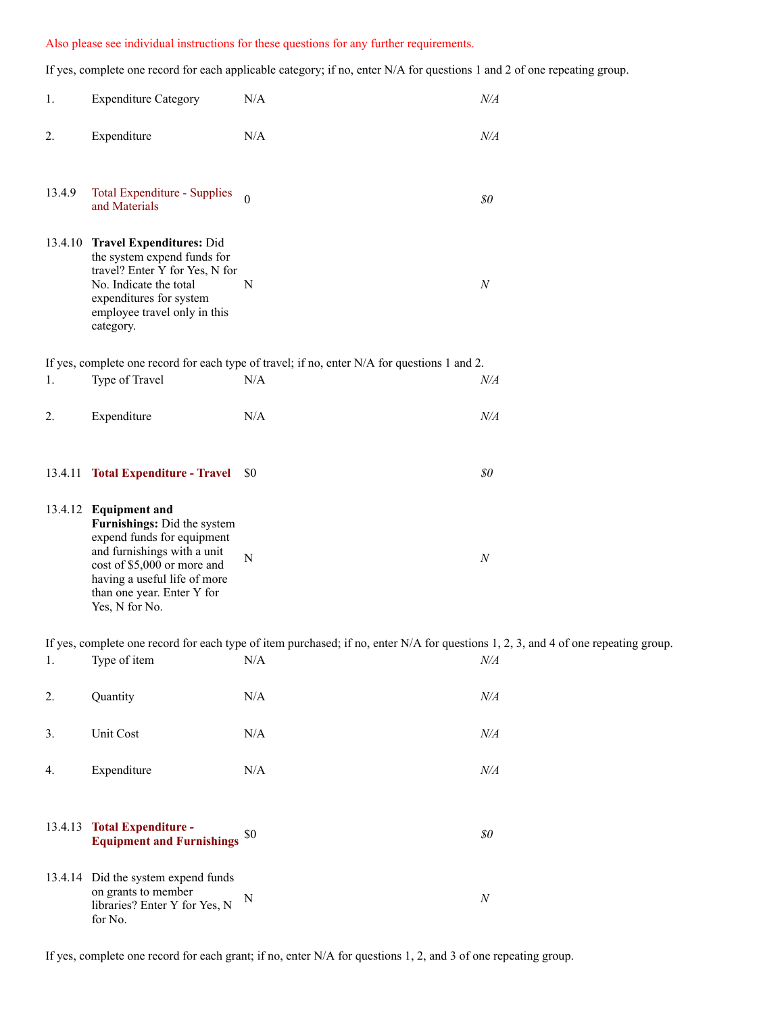### Also please see individual instructions for these questions for any further requirements.

If yes, complete one record for each applicable category; if no, enter N/A for questions 1 and 2 of one repeating group.

| 1.     | <b>Expenditure Category</b>                                                                                                                                                                                                      | $\rm N/A$                                                                                                                            | $N\!/\!A$ |
|--------|----------------------------------------------------------------------------------------------------------------------------------------------------------------------------------------------------------------------------------|--------------------------------------------------------------------------------------------------------------------------------------|-----------|
| 2.     | Expenditure                                                                                                                                                                                                                      | $\rm N/A$                                                                                                                            | $N\!/\!A$ |
| 13.4.9 | Total Expenditure - Supplies<br>and Materials                                                                                                                                                                                    | $\overline{0}$                                                                                                                       | $\$0$     |
|        | 13.4.10 Travel Expenditures: Did<br>the system expend funds for<br>travel? Enter Y for Yes, N for<br>No. Indicate the total<br>expenditures for system<br>employee travel only in this<br>category.                              | N                                                                                                                                    | $\cal N$  |
|        |                                                                                                                                                                                                                                  | If yes, complete one record for each type of travel; if no, enter N/A for questions 1 and 2.                                         |           |
| 1.     | Type of Travel                                                                                                                                                                                                                   | N/A                                                                                                                                  | $N\!/\!A$ |
| 2.     | Expenditure                                                                                                                                                                                                                      | N/A                                                                                                                                  | $N\!/\!A$ |
|        |                                                                                                                                                                                                                                  |                                                                                                                                      |           |
|        | 13.4.11 Total Expenditure - Travel \$0                                                                                                                                                                                           |                                                                                                                                      | $\$0$     |
|        | 13.4.12 Equipment and<br>Furnishings: Did the system<br>expend funds for equipment<br>and furnishings with a unit<br>cost of \$5,000 or more and<br>having a useful life of more<br>than one year. Enter Y for<br>Yes, N for No. | $\mathbf N$                                                                                                                          | $\cal N$  |
|        |                                                                                                                                                                                                                                  | If yes, complete one record for each type of item purchased; if no, enter $N/A$ for questions 1, 2, 3, and 4 of one repeating group. |           |
| 1.     | Type of item                                                                                                                                                                                                                     | N/A                                                                                                                                  | $N\!/\!A$ |
| 2.     | Quantity                                                                                                                                                                                                                         | $\rm N/A$                                                                                                                            | $N\!/\!A$ |
| 3.     | Unit Cost                                                                                                                                                                                                                        | N/A                                                                                                                                  | $N\!/\!A$ |
| 4.     | Expenditure                                                                                                                                                                                                                      | N/A                                                                                                                                  | $N\!/\!A$ |
|        |                                                                                                                                                                                                                                  |                                                                                                                                      |           |
|        | 13.4.13 Total Expenditure -<br><b>Equipment and Furnishings</b>                                                                                                                                                                  | \$0                                                                                                                                  | $\$0$     |
|        | 13.4.14 Did the system expend funds<br>on grants to member<br>libraries? Enter Y for Yes, N<br>for No.                                                                                                                           | N                                                                                                                                    | $\cal N$  |

If yes, complete one record for each grant; if no, enter N/A for questions 1, 2, and 3 of one repeating group.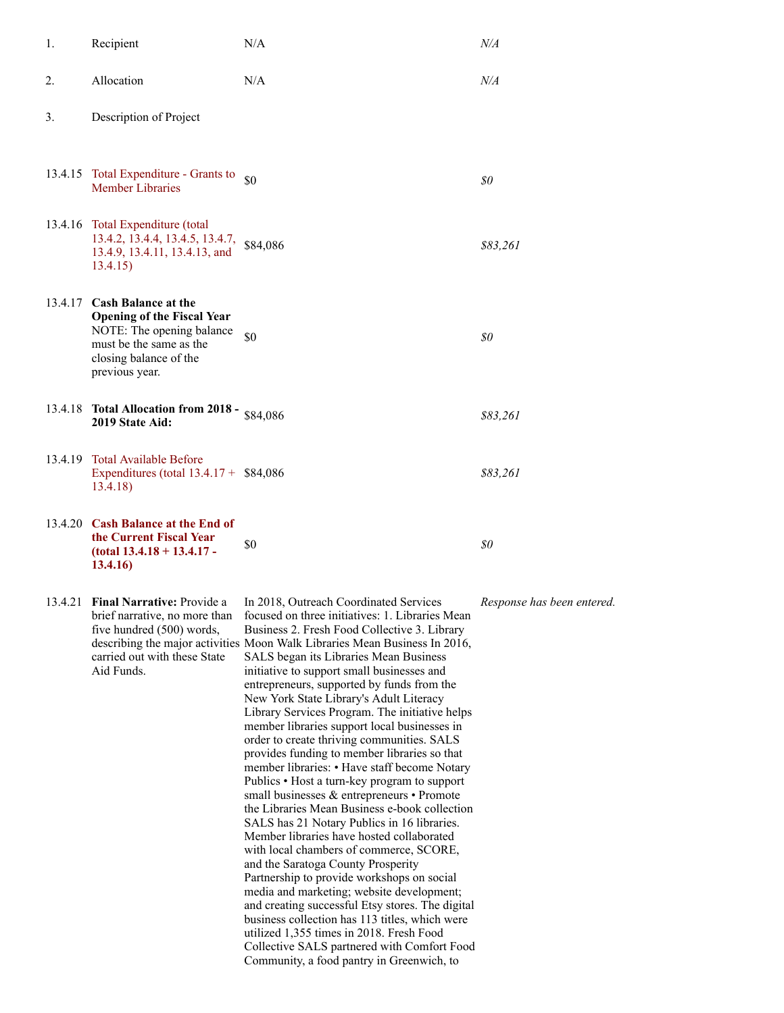| 1.      | Recipient                                                                                                                                                            | N/A                                                                                                                                                                                                                                                                                                                                                          | N/A       |
|---------|----------------------------------------------------------------------------------------------------------------------------------------------------------------------|--------------------------------------------------------------------------------------------------------------------------------------------------------------------------------------------------------------------------------------------------------------------------------------------------------------------------------------------------------------|-----------|
| 2.      | Allocation                                                                                                                                                           | N/A                                                                                                                                                                                                                                                                                                                                                          | $N\!/\!A$ |
| 3.      | Description of Project                                                                                                                                               |                                                                                                                                                                                                                                                                                                                                                              |           |
|         | 13.4.15 Total Expenditure - Grants to<br><b>Member Libraries</b>                                                                                                     | \$0                                                                                                                                                                                                                                                                                                                                                          | \$0       |
| 13.4.16 | Total Expenditure (total<br>13.4.2, 13.4.4, 13.4.5, 13.4.7,<br>13.4.9, 13.4.11, 13.4.13, and<br>13.4.15)                                                             | \$84,086                                                                                                                                                                                                                                                                                                                                                     | \$83,261  |
|         | 13.4.17 Cash Balance at the<br><b>Opening of the Fiscal Year</b><br>NOTE: The opening balance<br>must be the same as the<br>closing balance of the<br>previous year. | \$0                                                                                                                                                                                                                                                                                                                                                          | \$0       |
|         | 13.4.18 Total Allocation from 2018 - \$84,086<br>2019 State Aid:                                                                                                     |                                                                                                                                                                                                                                                                                                                                                              | 883.261   |
| 13.4.19 | Total Available Before<br>Expenditures (total $13.4.17 + $84,086$<br>13.4.18)                                                                                        |                                                                                                                                                                                                                                                                                                                                                              | \$83,261  |
|         | 13.4.20 Cash Balance at the End of<br>the Current Fiscal Year<br>$(total 13.4.18 + 13.4.17 -$<br>13.4.16)                                                            | \$0                                                                                                                                                                                                                                                                                                                                                          | 80        |
| 13.4.21 | Final Narrative: Provide a<br>brief narrative, no more than<br>five hundred (500) words,<br>carried out with these State<br>Aid Funds.                               | In 2018, Outreach Coordinated Services<br>focused on three initiatives: 1. Libraries Mean<br>Business 2. Fresh Food Collective 3. Library<br>describing the major activities Moon Walk Libraries Mean Business In 2016,<br>SALS began its Libraries Mean Business<br>initiative to support small businesses and<br>entrepreneurs supported by funds from the | Response  |

entrepreneurs, supported by funds from the New York State Library's Adult Literacy Library Services Program. The initiative helps member libraries support local businesses in order to create thriving communities. SALS provides funding to member libraries so that member libraries: • Have staff become Notary Publics • Host a turn-key program to support small businesses & entrepreneurs • Promote the Libraries Mean Business e-book collection SALS has 21 Notary Publics in 16 libraries. Member libraries have hosted collaborated with local chambers of commerce, SCORE, and the Saratoga County Prosperity Partnership to provide workshops on social media and marketing; website development; and creating successful Etsy stores. The digital business collection has 113 titles, which were utilized 1,355 times in 2018. Fresh Food Collective SALS partnered with Comfort Food

Community, a food pantry in Greenwich, to

*Response has been entered.*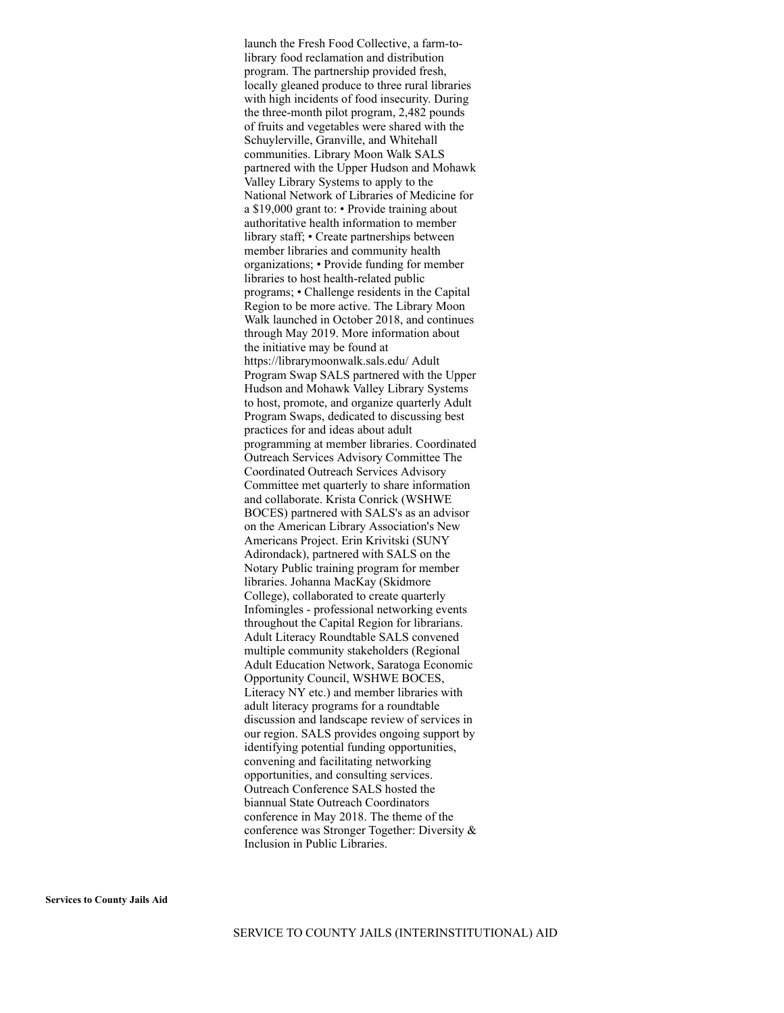launch the Fresh Food Collective, a farm-tolibrary food reclamation and distribution program. The partnership provided fresh, locally gleaned produce to three rural libraries with high incidents of food insecurity. During the three-month pilot program, 2,482 pounds of fruits and vegetables were shared with the Schuylerville, Granville, and Whitehall communities. Library Moon Walk SALS partnered with the Upper Hudson and Mohawk Valley Library Systems to apply to the National Network of Libraries of Medicine for a \$19,000 grant to: • Provide training about authoritative health information to member library staff; • Create partnerships between member libraries and community health organizations; • Provide funding for member libraries to host health-related public programs; • Challenge residents in the Capital Region to be more active. The Library Moon Walk launched in October 2018, and continues through May 2019. More information about the initiative may be found at https://librarymoonwalk.sals.edu/ Adult Program Swap SALS partnered with the Upper Hudson and Mohawk Valley Library Systems to host, promote, and organize quarterly Adult Program Swaps, dedicated to discussing best practices for and ideas about adult programming at member libraries. Coordinated Outreach Services Advisory Committee The Coordinated Outreach Services Advisory Committee met quarterly to share information and collaborate. Krista Conrick (WSHWE BOCES) partnered with SALS's as an advisor on the American Library Association's New Americans Project. Erin Krivitski (SUNY Adirondack), partnered with SALS on the Notary Public training program for member libraries. Johanna MacKay (Skidmore College), collaborated to create quarterly Infomingles - professional networking events throughout the Capital Region for librarians. Adult Literacy Roundtable SALS convened multiple community stakeholders (Regional Adult Education Network, Saratoga Economic Opportunity Council, WSHWE BOCES, Literacy NY etc.) and member libraries with adult literacy programs for a roundtable discussion and landscape review of services in our region. SALS provides ongoing support by identifying potential funding opportunities, convening and facilitating networking opportunities, and consulting services. Outreach Conference SALS hosted the biannual State Outreach Coordinators conference in May 2018. The theme of the conference was Stronger Together: Diversity & Inclusion in Public Libraries.

**Services to County Jails Aid**

SERVICE TO COUNTY JAILS (INTERINSTITUTIONAL) AID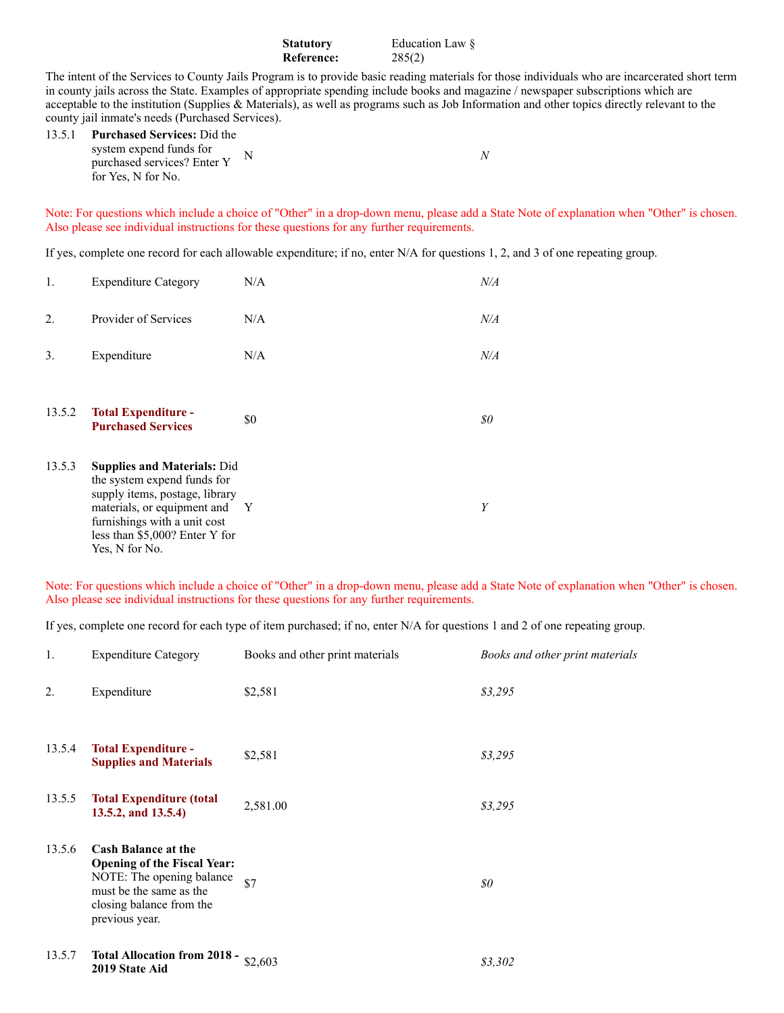| <b>Statutory</b> | Education Law $\delta$ |
|------------------|------------------------|
| Reference:       | 285(2)                 |

The intent of the Services to County Jails Program is to provide basic reading materials for those individuals who are incarcerated short term in county jails across the State. Examples of appropriate spending include books and magazine / newspaper subscriptions which are acceptable to the institution (Supplies & Materials), as well as programs such as Job Information and other topics directly relevant to the county jail inmate's needs (Purchased Services).

| 13.5.1 Purchased Services: Did the                                           |  |
|------------------------------------------------------------------------------|--|
| system expend funds for<br>purchased services? Enter Y<br>for Yes. N for No. |  |
|                                                                              |  |

Note: For questions which include a choice of "Other" in a drop-down menu, please add a State Note of explanation when "Other" is chosen. Also please see individual instructions for these questions for any further requirements.

If yes, complete one record for each allowable expenditure; if no, enter N/A for questions 1, 2, and 3 of one repeating group.

| 1.     | <b>Expenditure Category</b>                                                                                                                                                                                              | N/A | $N\!/\!A$ |
|--------|--------------------------------------------------------------------------------------------------------------------------------------------------------------------------------------------------------------------------|-----|-----------|
| 2.     | Provider of Services                                                                                                                                                                                                     | N/A | $N\!/\!A$ |
| 3.     | Expenditure                                                                                                                                                                                                              | N/A | N/A       |
| 13.5.2 | <b>Total Expenditure -</b><br><b>Purchased Services</b>                                                                                                                                                                  | \$0 | 80        |
| 13.5.3 | <b>Supplies and Materials: Did</b><br>the system expend funds for<br>supply items, postage, library<br>materials, or equipment and Y<br>furnishings with a unit cost<br>less than \$5,000? Enter Y for<br>Yes, N for No. |     | Y         |

Note: For questions which include a choice of "Other" in a drop-down menu, please add a State Note of explanation when "Other" is chosen. Also please see individual instructions for these questions for any further requirements.

If yes, complete one record for each type of item purchased; if no, enter N/A for questions 1 and 2 of one repeating group.

| 1.     | <b>Expenditure Category</b>                                                                                                                                            | Books and other print materials | Books and other print materials |
|--------|------------------------------------------------------------------------------------------------------------------------------------------------------------------------|---------------------------------|---------------------------------|
| 2.     | Expenditure                                                                                                                                                            | \$2,581                         | \$3,295                         |
| 13.5.4 | <b>Total Expenditure -</b><br><b>Supplies and Materials</b>                                                                                                            | \$2,581                         | \$3,295                         |
| 13.5.5 | <b>Total Expenditure (total</b><br>13.5.2, and 13.5.4)                                                                                                                 | 2,581.00                        | \$3,295                         |
| 13.5.6 | <b>Cash Balance at the</b><br><b>Opening of the Fiscal Year:</b><br>NOTE: The opening balance<br>must be the same as the<br>closing balance from the<br>previous year. | \$7                             | \$0\$                           |
| 13.5.7 | <b>Total Allocation from 2018 -</b><br>2019 State Aid                                                                                                                  | \$2,603                         | \$3,302                         |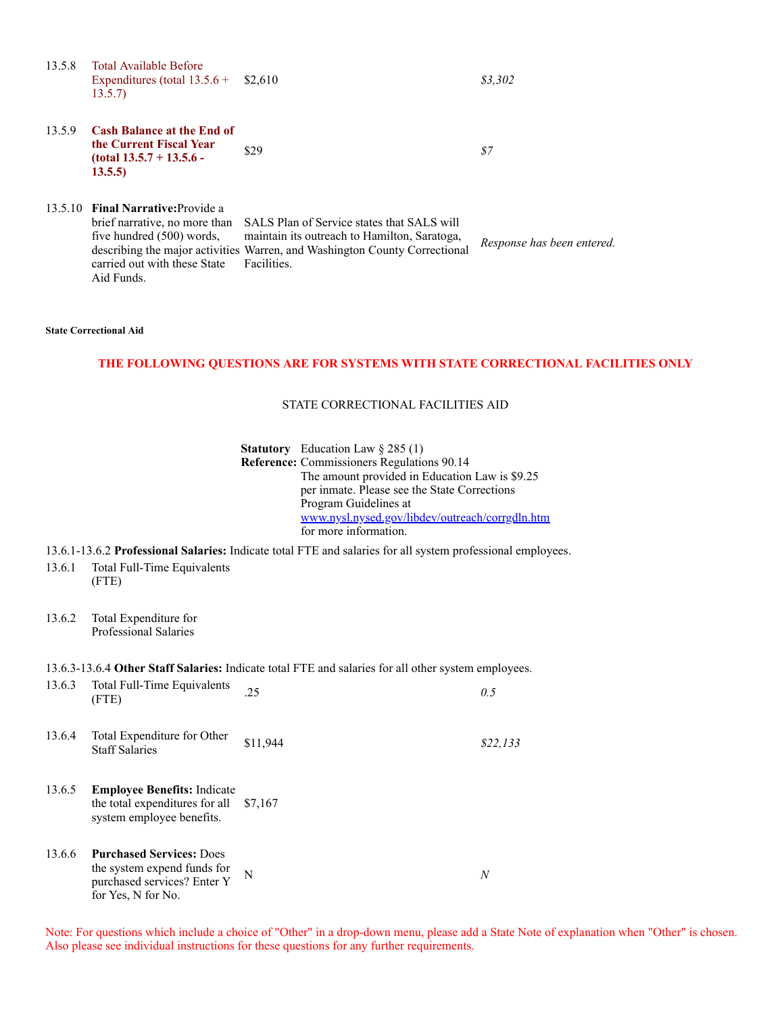13.5.8 Total Available Before Expenditures (total 13.5.6 + 13.5.7) \$2,610 *\$3,302*

13.5.9 **Cash Balance at the End of the Current Fiscal Year (total 13.5.7 + 13.5.6 - 13.5.5)**

\$29 *\$7*

13.5.10 **Final Narrative:**Provide a brief narrative, no more than five hundred (500) words, describing the major activities Warren, and Washington County Correctional carried out with these State Aid Funds. SALS Plan of Service states that SALS will maintain its outreach to Hamilton, Saratoga, Facilities. *Response has been entered.*

#### **State Correctional Aid**

### **THE FOLLOWING QUESTIONS ARE FOR SYSTEMS WITH STATE CORRECTIONAL FACILITIES ONLY**

#### STATE CORRECTIONAL FACILITIES AID

**Statutory** Education Law § 285 (1) **Reference:** Commissioners Regulations 90.14 The amount provided in Education Law is \$9.25 per inmate. Please see the State Corrections Program Guidelines at [www.nysl.nysed.gov/libdev/outreach/corrgdln.htm](http://collectconnect.baker-taylor.com:8080/www.nysl.nysed.gov/libdev/outreach/corrgdln.htm) for more information.

13.6.1-13.6.2 **Professional Salaries:** Indicate total FTE and salaries for all system professional employees.

- 13.6.1 Total Full-Time Equivalents (FTE)
- 13.6.2 Total Expenditure for Professional Salaries

#### 13.6.3-13.6.4 **Other Staff Salaries:** Indicate total FTE and salaries for all other system employees.

| 13.6.3 | Total Full-Time Equivalents<br>(FTE)                                                                                | .25      | 0.5      |
|--------|---------------------------------------------------------------------------------------------------------------------|----------|----------|
| 13.6.4 | Total Expenditure for Other<br><b>Staff Salaries</b>                                                                | \$11,944 | \$22,133 |
| 13.6.5 | <b>Employee Benefits:</b> Indicate<br>the total expenditures for all $$7,167$<br>system employee benefits.          |          |          |
| 13.6.6 | <b>Purchased Services: Does</b><br>the system expend funds for<br>purchased services? Enter Y<br>for Yes, N for No. | N        | N        |

Note: For questions which include a choice of "Other" in a drop-down menu, please add a State Note of explanation when "Other" is chosen. Also please see individual instructions for these questions for any further requirements.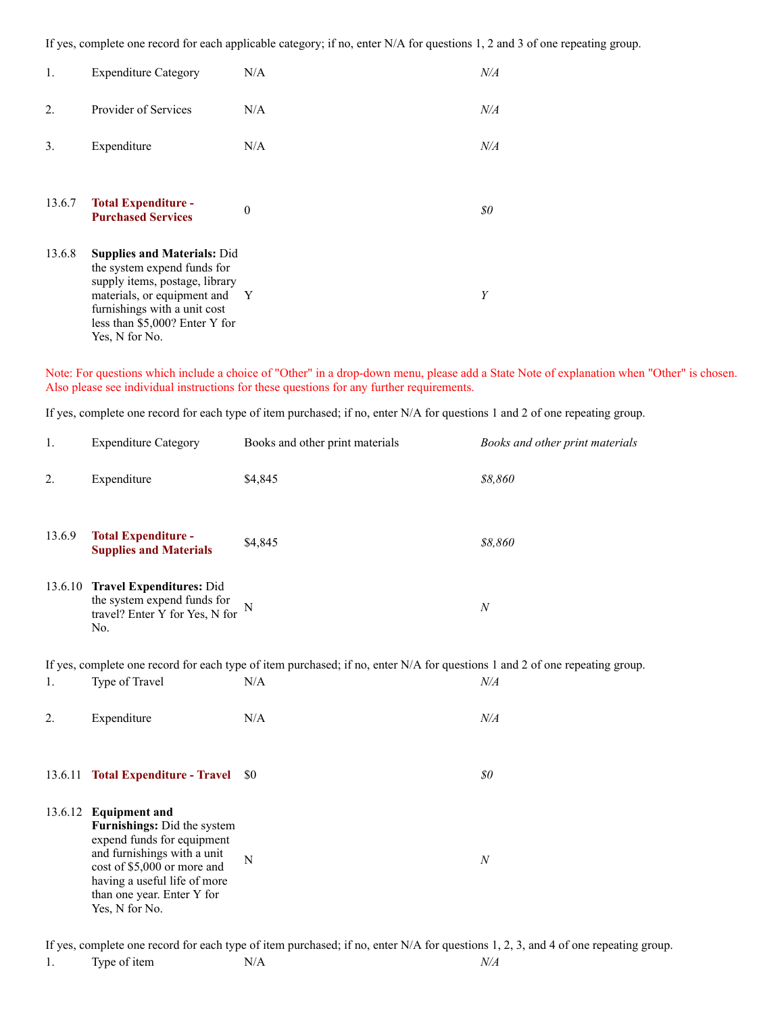If yes, complete one record for each applicable category; if no, enter N/A for questions 1, 2 and 3 of one repeating group.

| 1.     | <b>Expenditure Category</b>                                                                                                                                                                                              | N/A      | $N\!/\!A$ |
|--------|--------------------------------------------------------------------------------------------------------------------------------------------------------------------------------------------------------------------------|----------|-----------|
| 2.     | Provider of Services                                                                                                                                                                                                     | N/A      | $N\!/\!A$ |
| 3.     | Expenditure                                                                                                                                                                                                              | N/A      | N/A       |
| 13.6.7 | <b>Total Expenditure -</b><br><b>Purchased Services</b>                                                                                                                                                                  | $\Omega$ | 80        |
| 13.6.8 | <b>Supplies and Materials: Did</b><br>the system expend funds for<br>supply items, postage, library<br>materials, or equipment and Y<br>furnishings with a unit cost<br>less than \$5,000? Enter Y for<br>Yes, N for No. |          | Y         |

Note: For questions which include a choice of "Other" in a drop-down menu, please add a State Note of explanation when "Other" is chosen. Also please see individual instructions for these questions for any further requirements.

If yes, complete one record for each type of item purchased; if no, enter N/A for questions 1 and 2 of one repeating group.

| 1.     | <b>Expenditure Category</b>                                                                                                                                                                                                      | Books and other print materials | Books and other print materials |  |  |
|--------|----------------------------------------------------------------------------------------------------------------------------------------------------------------------------------------------------------------------------------|---------------------------------|---------------------------------|--|--|
| 2.     | Expenditure                                                                                                                                                                                                                      | \$4,845                         | \$8,860                         |  |  |
| 13.6.9 | <b>Total Expenditure -</b><br><b>Supplies and Materials</b>                                                                                                                                                                      | \$4,845                         | \$8,860                         |  |  |
|        | 13.6.10 Travel Expenditures: Did<br>the system expend funds for<br>travel? Enter Y for Yes, N for<br>No.                                                                                                                         | N                               | $\boldsymbol{N}$                |  |  |
|        | If yes, complete one record for each type of item purchased; if no, enter N/A for questions 1 and 2 of one repeating group.                                                                                                      |                                 |                                 |  |  |
| 1.     | Type of Travel                                                                                                                                                                                                                   | N/A                             | $N\!/\!A$                       |  |  |
| 2.     | Expenditure                                                                                                                                                                                                                      | N/A                             | $N\!/\!A$                       |  |  |
|        |                                                                                                                                                                                                                                  |                                 |                                 |  |  |
|        | 13.6.11 Total Expenditure - Travel                                                                                                                                                                                               | \$0                             | $\$0$                           |  |  |
|        | 13.6.12 Equipment and<br>Furnishings: Did the system<br>expend funds for equipment<br>and furnishings with a unit<br>cost of \$5,000 or more and<br>having a useful life of more<br>than one year. Enter Y for<br>Yes, N for No. | $\mathbf N$                     | $\boldsymbol{N}$                |  |  |

If yes, complete one record for each type of item purchased; if no, enter N/A for questions 1, 2, 3, and 4 of one repeating group.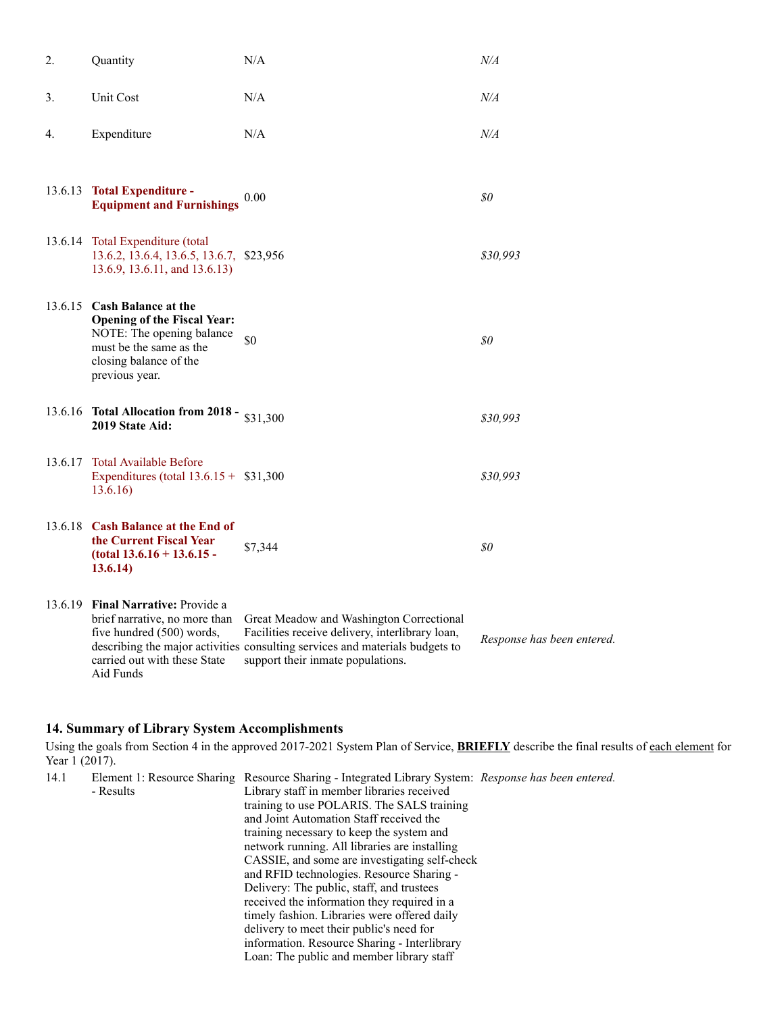| 2. | Quantity                                                                                                                                                              | N/A                                                                                                                                                                                                              | N/A                        |
|----|-----------------------------------------------------------------------------------------------------------------------------------------------------------------------|------------------------------------------------------------------------------------------------------------------------------------------------------------------------------------------------------------------|----------------------------|
| 3. | Unit Cost                                                                                                                                                             | N/A                                                                                                                                                                                                              | N/A                        |
| 4. | Expenditure                                                                                                                                                           | N/A                                                                                                                                                                                                              | N/A                        |
|    | 13.6.13 Total Expenditure -<br><b>Equipment and Furnishings</b>                                                                                                       | $0.00\,$                                                                                                                                                                                                         | 80                         |
|    | 13.6.14 Total Expenditure (total<br>13.6.2, 13.6.4, 13.6.5, 13.6.7, \$23,956<br>13.6.9, 13.6.11, and 13.6.13)                                                         |                                                                                                                                                                                                                  | \$30,993                   |
|    | 13.6.15 Cash Balance at the<br><b>Opening of the Fiscal Year:</b><br>NOTE: The opening balance<br>must be the same as the<br>closing balance of the<br>previous year. | \$0                                                                                                                                                                                                              | \$0\$                      |
|    | 13.6.16 Total Allocation from 2018 - $$31,300$<br>2019 State Aid:                                                                                                     |                                                                                                                                                                                                                  | \$30,993                   |
|    | 13.6.17 Total Available Before<br>Expenditures (total $13.6.15 + $31,300$<br>13.6.16                                                                                  |                                                                                                                                                                                                                  | \$30,993                   |
|    | 13.6.18 Cash Balance at the End of<br>the Current Fiscal Year<br>$(total 13.6.16 + 13.6.15 -$<br>13.6.14)                                                             | \$7,344                                                                                                                                                                                                          | 80                         |
|    | 13.6.19 Final Narrative: Provide a<br>brief narrative, no more than<br>five hundred (500) words,<br>carried out with these State<br>Aid Funds                         | Great Meadow and Washington Correctional<br>Facilities receive delivery, interlibrary loan,<br>describing the major activities consulting services and materials budgets to<br>support their inmate populations. | Response has been entered. |

### **14. Summary of Library System Accomplishments**

Using the goals from Section 4 in the approved 2017-2021 System Plan of Service, **BRIEFLY** describe the final results of each element for Year 1 (2017). *Response has been entered.*

| 14.1 |           | Element 1: Resource Sharing Resource Sharing - Integrated Library System: Response has been entered. |  |
|------|-----------|------------------------------------------------------------------------------------------------------|--|
|      | - Results | Library staff in member libraries received                                                           |  |
|      |           | training to use POLARIS. The SALS training                                                           |  |
|      |           | and Joint Automation Staff received the                                                              |  |
|      |           | training necessary to keep the system and                                                            |  |
|      |           | network running. All libraries are installing                                                        |  |
|      |           | CASSIE, and some are investigating self-check                                                        |  |
|      |           | and RFID technologies. Resource Sharing -                                                            |  |
|      |           | Delivery: The public, staff, and trustees                                                            |  |
|      |           | received the information they required in a                                                          |  |
|      |           | timely fashion. Libraries were offered daily                                                         |  |
|      |           | delivery to meet their public's need for                                                             |  |
|      |           | information. Resource Sharing - Interlibrary                                                         |  |
|      |           | Loan: The public and member library staff                                                            |  |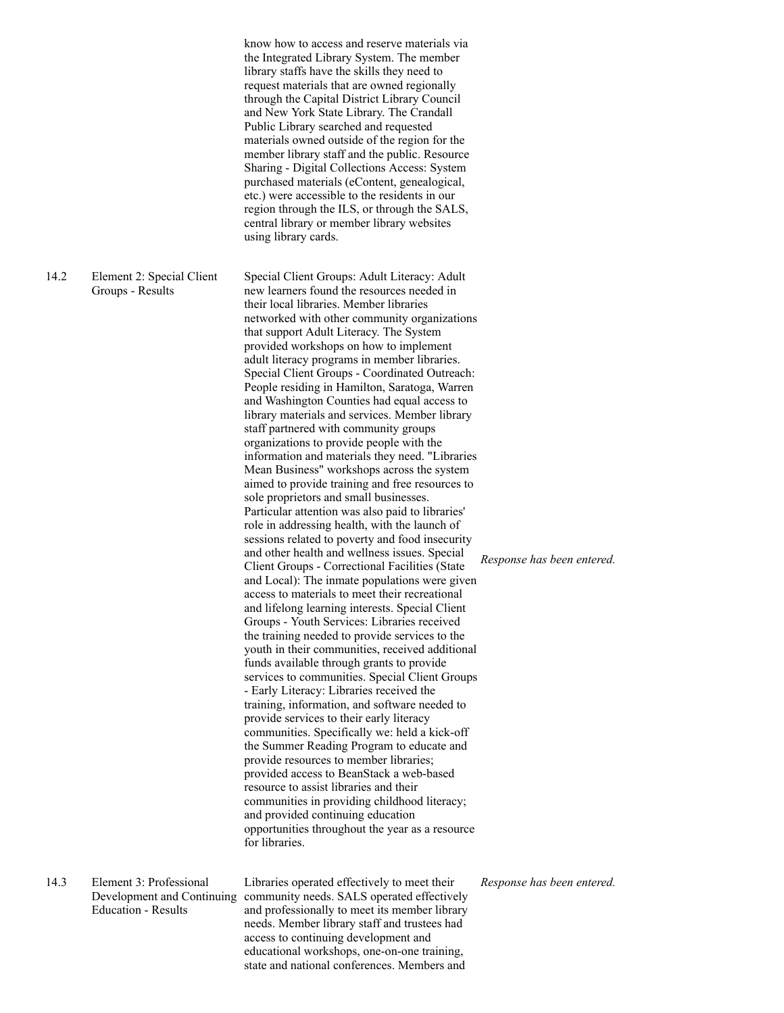know how to access and reserve materials via the Integrated Library System. The member library staffs have the skills they need to request materials that are owned regionally through the Capital District Library Council and New York State Library. The Crandall Public Library searched and requested materials owned outside of the region for the member library staff and the public. Resource Sharing - Digital Collections Access: System purchased materials (eContent, genealogical, etc.) were accessible to the residents in our region through the ILS, or through the SALS, central library or member library websites using library cards.

14.2 Element 2: Special Client Groups - Results

Special Client Groups: Adult Literacy: Adult new learners found the resources needed in their local libraries. Member libraries networked with other community organizations that support Adult Literacy. The System provided workshops on how to implement adult literacy programs in member libraries. Special Client Groups - Coordinated Outreach: People residing in Hamilton, Saratoga, Warren and Washington Counties had equal access to library materials and services. Member library staff partnered with community groups organizations to provide people with the information and materials they need. "Libraries Mean Business" workshops across the system aimed to provide training and free resources to sole proprietors and small businesses. Particular attention was also paid to libraries' role in addressing health, with the launch of sessions related to poverty and food insecurity and other health and wellness issues. Special Client Groups - Correctional Facilities (State and Local): The inmate populations were given access to materials to meet their recreational and lifelong learning interests. Special Client Groups - Youth Services: Libraries received the training needed to provide services to the youth in their communities, received additional funds available through grants to provide services to communities. Special Client Groups - Early Literacy: Libraries received the training, information, and software needed to provide services to their early literacy communities. Specifically we: held a kick-off the Summer Reading Program to educate and provide resources to member libraries; provided access to BeanStack a web-based resource to assist libraries and their communities in providing childhood literacy; and provided continuing education opportunities throughout the year as a resource for libraries.

14.3 Element 3: Professional Education - Results

Development and Continuing community needs. SALS operated effectively Libraries operated effectively to meet their and professionally to meet its member library needs. Member library staff and trustees had access to continuing development and educational workshops, one-on-one training, state and national conferences. Members and

*Response has been entered.*

*Response has been entered.*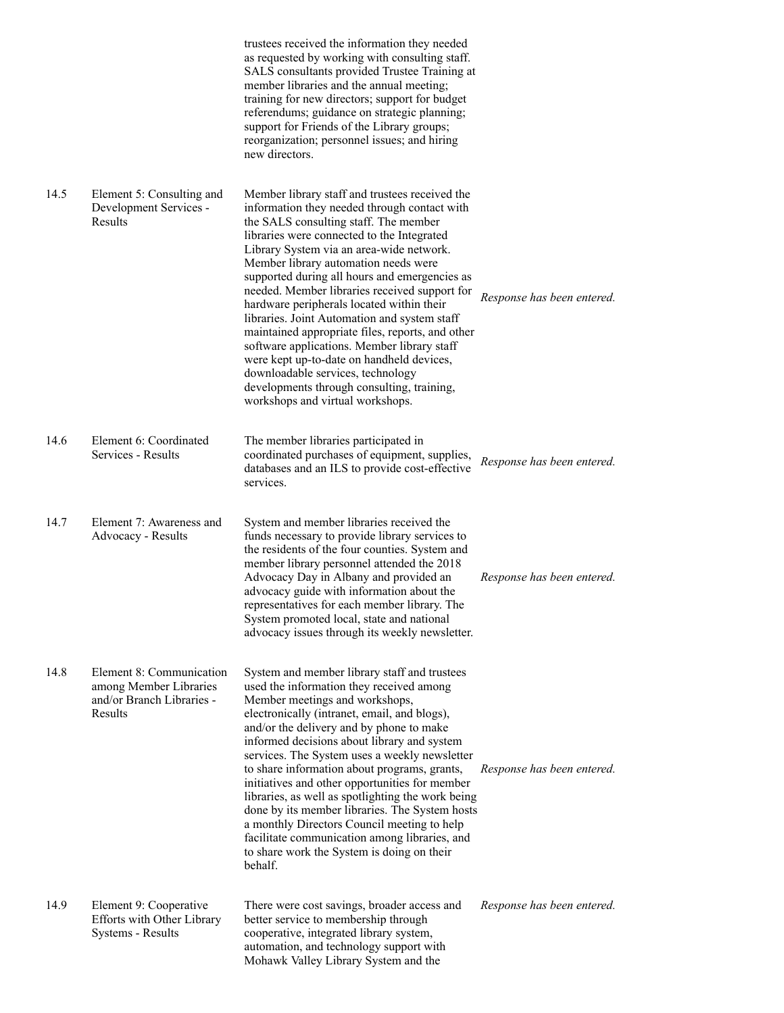|      |                                                                                            | trustees received the information they needed<br>as requested by working with consulting staff.<br>SALS consultants provided Trustee Training at<br>member libraries and the annual meeting;<br>training for new directors; support for budget<br>referendums; guidance on strategic planning;<br>support for Friends of the Library groups;<br>reorganization; personnel issues; and hiring<br>new directors.                                                                                                                                                                                                                                                                                                                                  |                            |
|------|--------------------------------------------------------------------------------------------|-------------------------------------------------------------------------------------------------------------------------------------------------------------------------------------------------------------------------------------------------------------------------------------------------------------------------------------------------------------------------------------------------------------------------------------------------------------------------------------------------------------------------------------------------------------------------------------------------------------------------------------------------------------------------------------------------------------------------------------------------|----------------------------|
| 14.5 | Element 5: Consulting and<br>Development Services -<br>Results                             | Member library staff and trustees received the<br>information they needed through contact with<br>the SALS consulting staff. The member<br>libraries were connected to the Integrated<br>Library System via an area-wide network.<br>Member library automation needs were<br>supported during all hours and emergencies as<br>needed. Member libraries received support for<br>hardware peripherals located within their<br>libraries. Joint Automation and system staff<br>maintained appropriate files, reports, and other<br>software applications. Member library staff<br>were kept up-to-date on handheld devices,<br>downloadable services, technology<br>developments through consulting, training,<br>workshops and virtual workshops. | Response has been entered. |
| 14.6 | Element 6: Coordinated<br>Services - Results                                               | The member libraries participated in<br>coordinated purchases of equipment, supplies,<br>databases and an ILS to provide cost-effective<br>services.                                                                                                                                                                                                                                                                                                                                                                                                                                                                                                                                                                                            | Response has been entered. |
| 14.7 | Element 7: Awareness and<br>Advocacy - Results                                             | System and member libraries received the<br>funds necessary to provide library services to<br>the residents of the four counties. System and<br>member library personnel attended the 2018<br>Advocacy Day in Albany and provided an<br>advocacy guide with information about the<br>representatives for each member library. The<br>System promoted local, state and national<br>advocacy issues through its weekly newsletter.                                                                                                                                                                                                                                                                                                                | Response has been entered. |
| 14.8 | Element 8: Communication<br>among Member Libraries<br>and/or Branch Libraries -<br>Results | System and member library staff and trustees<br>used the information they received among<br>Member meetings and workshops,<br>electronically (intranet, email, and blogs),<br>and/or the delivery and by phone to make<br>informed decisions about library and system<br>services. The System uses a weekly newsletter<br>to share information about programs, grants,<br>initiatives and other opportunities for member<br>libraries, as well as spotlighting the work being<br>done by its member libraries. The System hosts<br>a monthly Directors Council meeting to help<br>facilitate communication among libraries, and<br>to share work the System is doing on their<br>behalf.                                                        | Response has been entered. |
| 14.9 | Element 9: Cooperative<br>Efforts with Other Library<br>Systems - Results                  | There were cost savings, broader access and<br>better service to membership through<br>cooperative, integrated library system,<br>automation, and technology support with<br>Mohawk Valley Library System and the                                                                                                                                                                                                                                                                                                                                                                                                                                                                                                                               | Response has been entered. |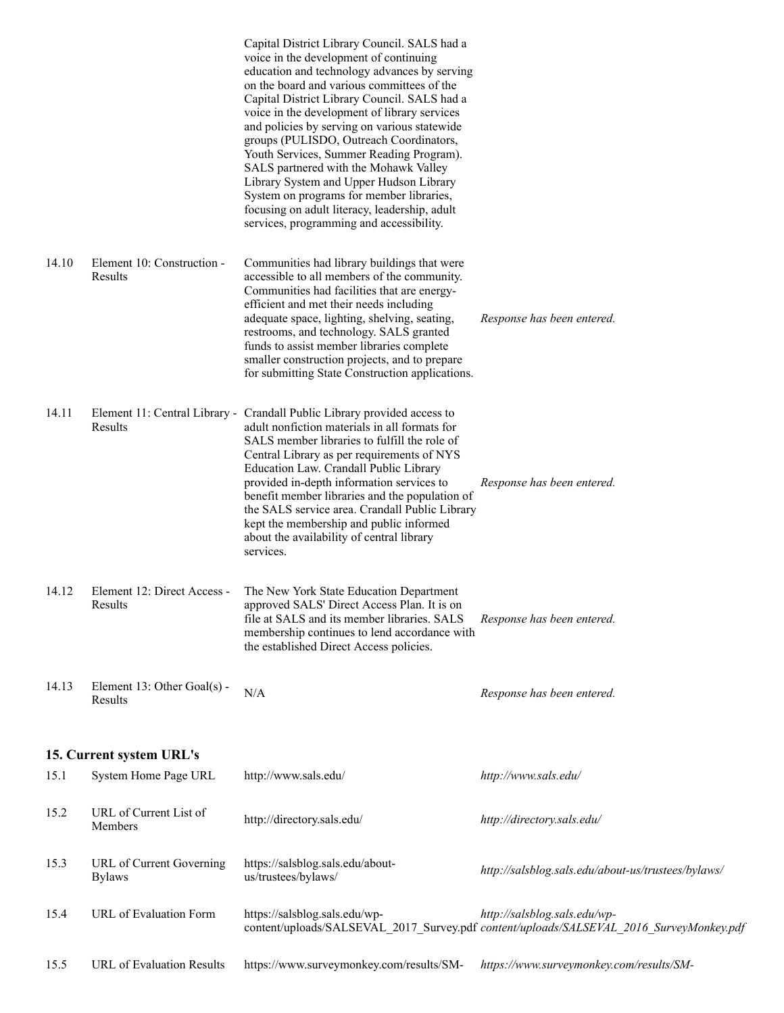|       |                                           | Capital District Library Council. SALS had a<br>voice in the development of continuing<br>education and technology advances by serving<br>on the board and various committees of the<br>Capital District Library Council. SALS had a<br>voice in the development of library services<br>and policies by serving on various statewide<br>groups (PULISDO, Outreach Coordinators,<br>Youth Services, Summer Reading Program).<br>SALS partnered with the Mohawk Valley<br>Library System and Upper Hudson Library<br>System on programs for member libraries,<br>focusing on adult literacy, leadership, adult<br>services, programming and accessibility. |                                                                                                                         |
|-------|-------------------------------------------|----------------------------------------------------------------------------------------------------------------------------------------------------------------------------------------------------------------------------------------------------------------------------------------------------------------------------------------------------------------------------------------------------------------------------------------------------------------------------------------------------------------------------------------------------------------------------------------------------------------------------------------------------------|-------------------------------------------------------------------------------------------------------------------------|
| 14.10 | Element 10: Construction -<br>Results     | Communities had library buildings that were<br>accessible to all members of the community.<br>Communities had facilities that are energy-<br>efficient and met their needs including<br>adequate space, lighting, shelving, seating,<br>restrooms, and technology. SALS granted<br>funds to assist member libraries complete<br>smaller construction projects, and to prepare<br>for submitting State Construction applications.                                                                                                                                                                                                                         | Response has been entered.                                                                                              |
| 14.11 | Results                                   | Element 11: Central Library - Crandall Public Library provided access to<br>adult nonfiction materials in all formats for<br>SALS member libraries to fulfill the role of<br>Central Library as per requirements of NYS<br>Education Law. Crandall Public Library<br>provided in-depth information services to<br>benefit member libraries and the population of<br>the SALS service area. Crandall Public Library<br>kept the membership and public informed<br>about the availability of central library<br>services.                                                                                                                                  | Response has been entered.                                                                                              |
| 14.12 | Element 12: Direct Access -<br>Results    | The New York State Education Department<br>approved SALS' Direct Access Plan. It is on<br>file at SALS and its member libraries. SALS<br>membership continues to lend accordance with<br>the established Direct Access policies.                                                                                                                                                                                                                                                                                                                                                                                                                         | Response has been entered.                                                                                              |
| 14.13 | Element 13: Other Goal(s) -<br>Results    | N/A                                                                                                                                                                                                                                                                                                                                                                                                                                                                                                                                                                                                                                                      | Response has been entered.                                                                                              |
|       | 15. Current system URL's                  |                                                                                                                                                                                                                                                                                                                                                                                                                                                                                                                                                                                                                                                          |                                                                                                                         |
| 15.1  | System Home Page URL                      | http://www.sals.edu/                                                                                                                                                                                                                                                                                                                                                                                                                                                                                                                                                                                                                                     | http://www.sals.edu/                                                                                                    |
| 15.2  | URL of Current List of<br>Members         | http://directory.sals.edu/                                                                                                                                                                                                                                                                                                                                                                                                                                                                                                                                                                                                                               | http://directory.sals.edu/                                                                                              |
| 15.3  | URL of Current Governing<br><b>Bylaws</b> | https://salsblog.sals.edu/about-<br>us/trustees/bylaws/                                                                                                                                                                                                                                                                                                                                                                                                                                                                                                                                                                                                  | http://salsblog.sals.edu/about-us/trustees/bylaws/                                                                      |
| 15.4  | URL of Evaluation Form                    | https://salsblog.sals.edu/wp-                                                                                                                                                                                                                                                                                                                                                                                                                                                                                                                                                                                                                            | http://salsblog.sals.edu/wp-<br>content/uploads/SALSEVAL_2017_Survey.pdf content/uploads/SALSEVAL_2016_SurveyMonkey.pdf |
| 15.5  | URL of Evaluation Results                 | https://www.surveymonkey.com/results/SM-                                                                                                                                                                                                                                                                                                                                                                                                                                                                                                                                                                                                                 | https://www.surveymonkey.com/results/SM-                                                                                |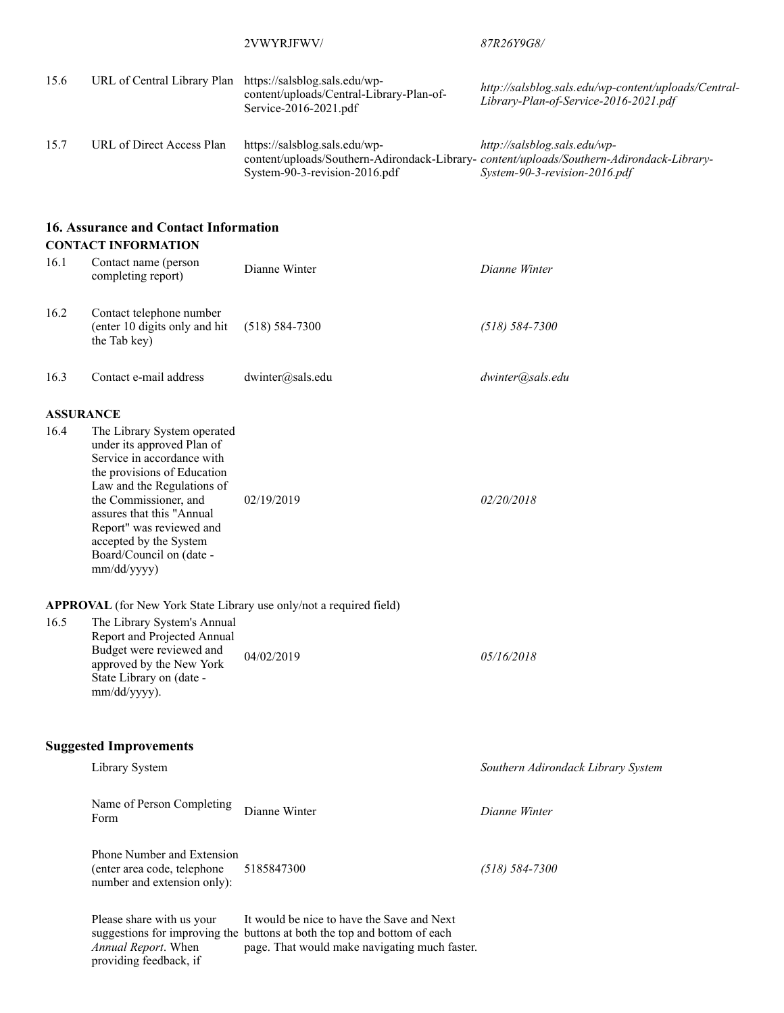|      |                                                                                                                                                                                                                                                                                                             | 2VWYRJFWV/                                                                                                                                                              | 87R26Y9G8/                                                                                                                                                |
|------|-------------------------------------------------------------------------------------------------------------------------------------------------------------------------------------------------------------------------------------------------------------------------------------------------------------|-------------------------------------------------------------------------------------------------------------------------------------------------------------------------|-----------------------------------------------------------------------------------------------------------------------------------------------------------|
| 15.6 | URL of Central Library Plan https://salsblog.sals.edu/wp-                                                                                                                                                                                                                                                   | content/uploads/Central-Library-Plan-of-<br>Service-2016-2021.pdf                                                                                                       | http://salsblog.sals.edu/wp-content/uploads/Central-<br>Library-Plan-of-Service-2016-2021.pdf                                                             |
| 15.7 | URL of Direct Access Plan                                                                                                                                                                                                                                                                                   | https://salsblog.sals.edu/wp-<br>System-90-3-revision-2016.pdf                                                                                                          | http://salsblog.sals.edu/wp-<br>content/uploads/Southern-Adirondack-Library-content/uploads/Southern-Adirondack-Library-<br>System-90-3-revision-2016.pdf |
|      | <b>16. Assurance and Contact Information</b>                                                                                                                                                                                                                                                                |                                                                                                                                                                         |                                                                                                                                                           |
| 16.1 | <b>CONTACT INFORMATION</b><br>Contact name (person<br>completing report)                                                                                                                                                                                                                                    | Dianne Winter                                                                                                                                                           | Dianne Winter                                                                                                                                             |
| 16.2 | Contact telephone number<br>(enter 10 digits only and hit<br>the Tab key)                                                                                                                                                                                                                                   | $(518) 584 - 7300$                                                                                                                                                      | $(518) 584 - 7300$                                                                                                                                        |
| 16.3 | Contact e-mail address                                                                                                                                                                                                                                                                                      | dwinter@sals.edu                                                                                                                                                        | dwinter@sals.edu                                                                                                                                          |
|      | <b>ASSURANCE</b>                                                                                                                                                                                                                                                                                            |                                                                                                                                                                         |                                                                                                                                                           |
| 16.4 | The Library System operated<br>under its approved Plan of<br>Service in accordance with<br>the provisions of Education<br>Law and the Regulations of<br>the Commissioner, and<br>assures that this "Annual<br>Report" was reviewed and<br>accepted by the System<br>Board/Council on (date -<br>mm/dd/yyyy) | 02/19/2019                                                                                                                                                              | 02/20/2018                                                                                                                                                |
|      |                                                                                                                                                                                                                                                                                                             | APPROVAL (for New York State Library use only/not a required field)                                                                                                     |                                                                                                                                                           |
| 16.5 | The Library System's Annual<br>Report and Projected Annual<br>Budget were reviewed and<br>approved by the New York<br>State Library on (date -<br>mm/dd/yyyy).                                                                                                                                              | 04/02/2019                                                                                                                                                              | 05/16/2018                                                                                                                                                |
|      | <b>Suggested Improvements</b>                                                                                                                                                                                                                                                                               |                                                                                                                                                                         |                                                                                                                                                           |
|      | Library System                                                                                                                                                                                                                                                                                              |                                                                                                                                                                         | Southern Adirondack Library System                                                                                                                        |
|      | Name of Person Completing<br>Form                                                                                                                                                                                                                                                                           | Dianne Winter                                                                                                                                                           | Dianne Winter                                                                                                                                             |
|      | Phone Number and Extension<br>(enter area code, telephone<br>number and extension only):                                                                                                                                                                                                                    | 5185847300                                                                                                                                                              | $(518) 584 - 7300$                                                                                                                                        |
|      | Please share with us your<br>Annual Report. When<br>providing feedback, if                                                                                                                                                                                                                                  | It would be nice to have the Save and Next<br>suggestions for improving the buttons at both the top and bottom of each<br>page. That would make navigating much faster. |                                                                                                                                                           |